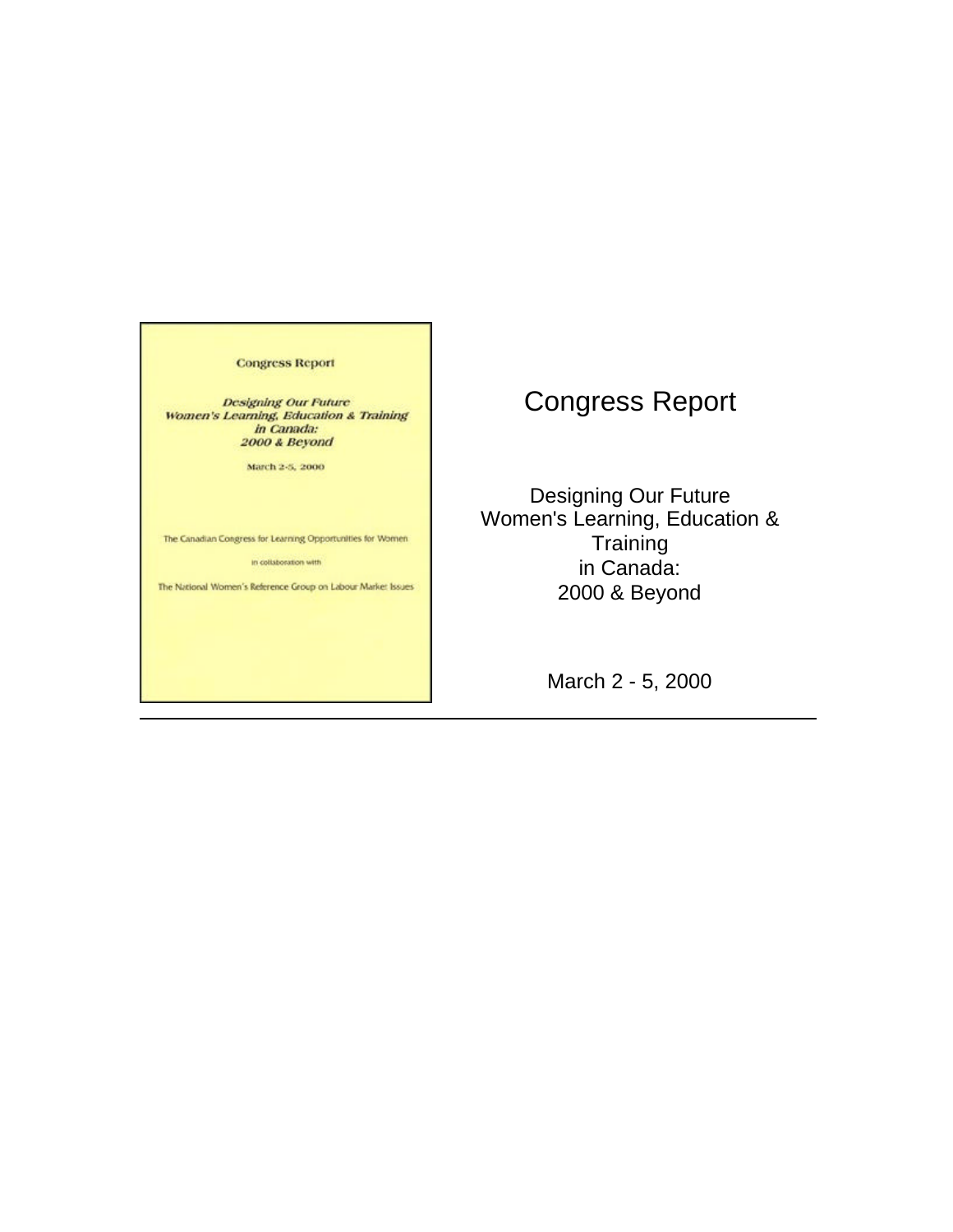**Congress Report** 

**Designing Our Future** Women's Learning, Education & Training in Canada:<br>2000 & Beyond

March 2-5, 2000

The Canadian Congress for Learning Opportunities for Women

in collaboration with

The National Women's Reference Group on Labour Market Issues

# Congress Report

Designing Our Future Women's Learning, Education & **Training** in Canada: 2000 & Beyond

March 2 - 5, 2000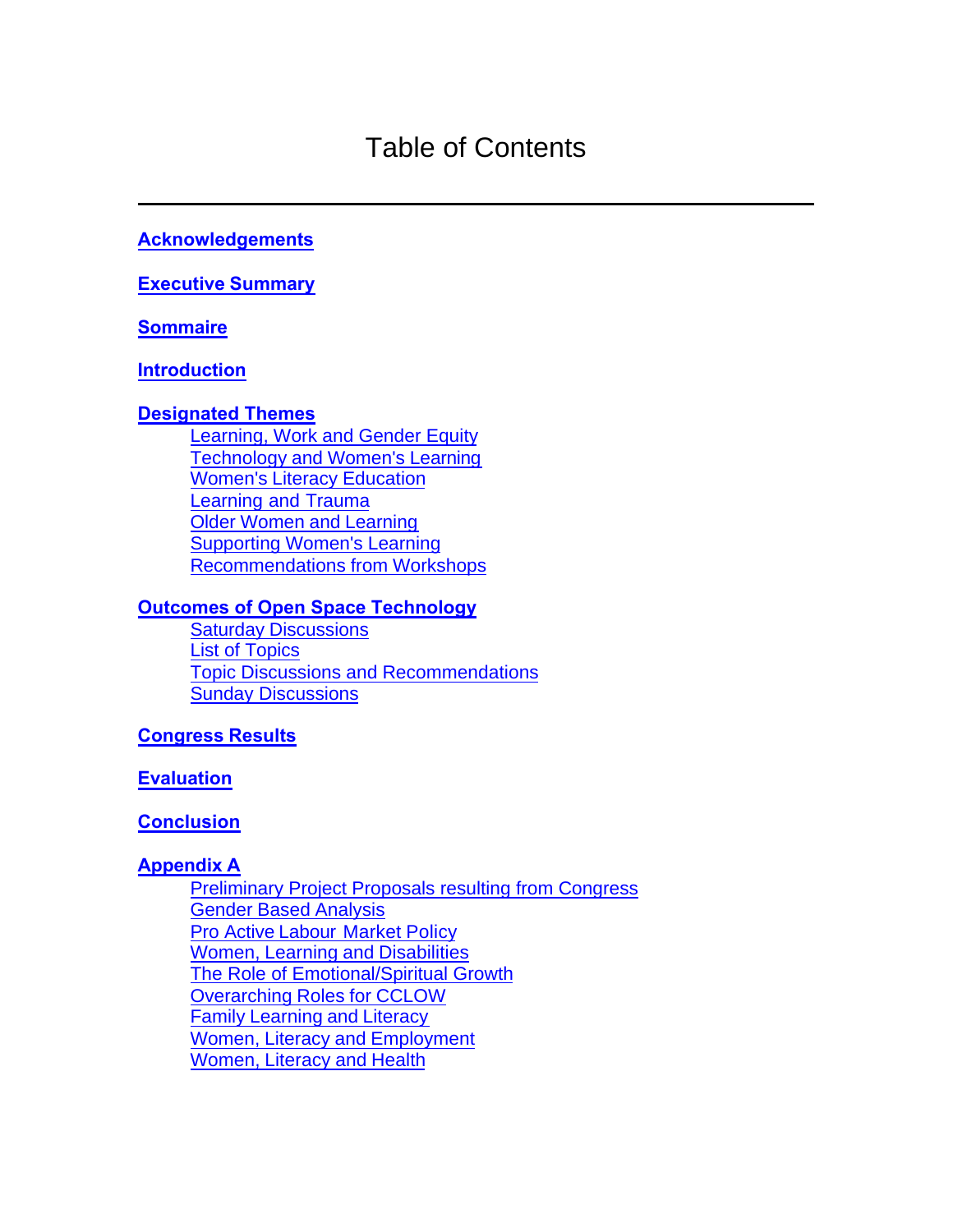# Table of Contents

### **[Acknowledgements](#page-2-0)**

**[Executive Summary](#page-3-0)**

#### **[Sommaire](#page-6-0)**

#### **[Introduction](#page-10-0)**

#### **[Designated Themes](#page-12-0)**

[Learning, Work and Gender Equity](#page-12-0) [Technology and Women's Learning](#page-18-0) [Women's Literacy Education](#page-18-0) [Learning and Trauma](#page-20-0)  [Older Women and Learning](#page-22-0) [Supporting Women's Learning](#page-23-0)  [Recommendations from Workshops](#page-25-0) 

#### **[Outcomes of Open Space Technology](#page-26-0)**

[Saturday Discussions](#page-26-0)  [List of Topics](#page-26-0) [Topic Discussions and Recommendations](#page-27-0) [Sunday Discussions](#page-32-0) 

#### **[Congress Results](#page-33-0)**

#### **[Evaluation](#page-35-0)**

#### **[Conclusion](#page-37-0)**

#### **Appendix A**

[Preliminary Project Proposals resulting from Congress](#page-39-0)  [Gender Based Analysis](#page-40-0) [Pro Active Labour Market Policy](#page-41-0) [Women, Learning and Disabilities](#page-45-0)  [The Role of Emotional/Spiritual Growth](#page-46-0) [Overarching Roles for CCLOW](#page-49-0) [Family Learning and Literacy](#page-51-0)  [Women, Literacy and Employment](#page-53-0)  [Women, Literacy and Health](#page-56-0)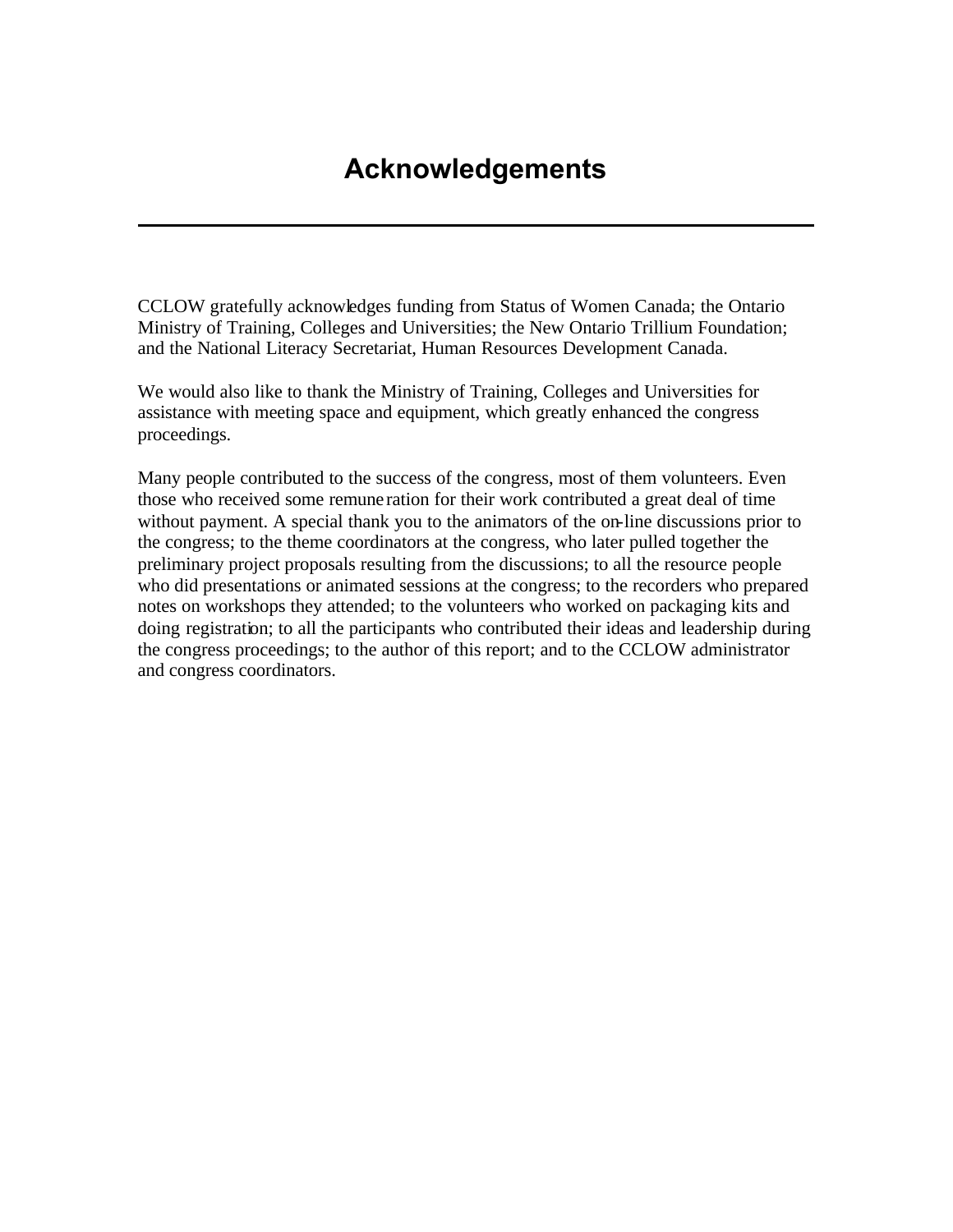# **Acknowledgements**

<span id="page-2-0"></span>CCLOW gratefully acknowledges funding from Status of Women Canada; the Ontario Ministry of Training, Colleges and Universities; the New Ontario Trillium Foundation; and the National Literacy Secretariat, Human Resources Development Canada.

We would also like to thank the Ministry of Training, Colleges and Universities for assistance with meeting space and equipment, which greatly enhanced the congress proceedings.

Many people contributed to the success of the congress, most of them volunteers. Even those who received some remune ration for their work contributed a great deal of time without payment. A special thank you to the animators of the on-line discussions prior to the congress; to the theme coordinators at the congress, who later pulled together the preliminary project proposals resulting from the discussions; to all the resource people who did presentations or animated sessions at the congress; to the recorders who prepared notes on workshops they attended; to the volunteers who worked on packaging kits and doing registration; to all the participants who contributed their ideas and leadership during the congress proceedings; to the author of this report; and to the CCLOW administrator and congress coordinators.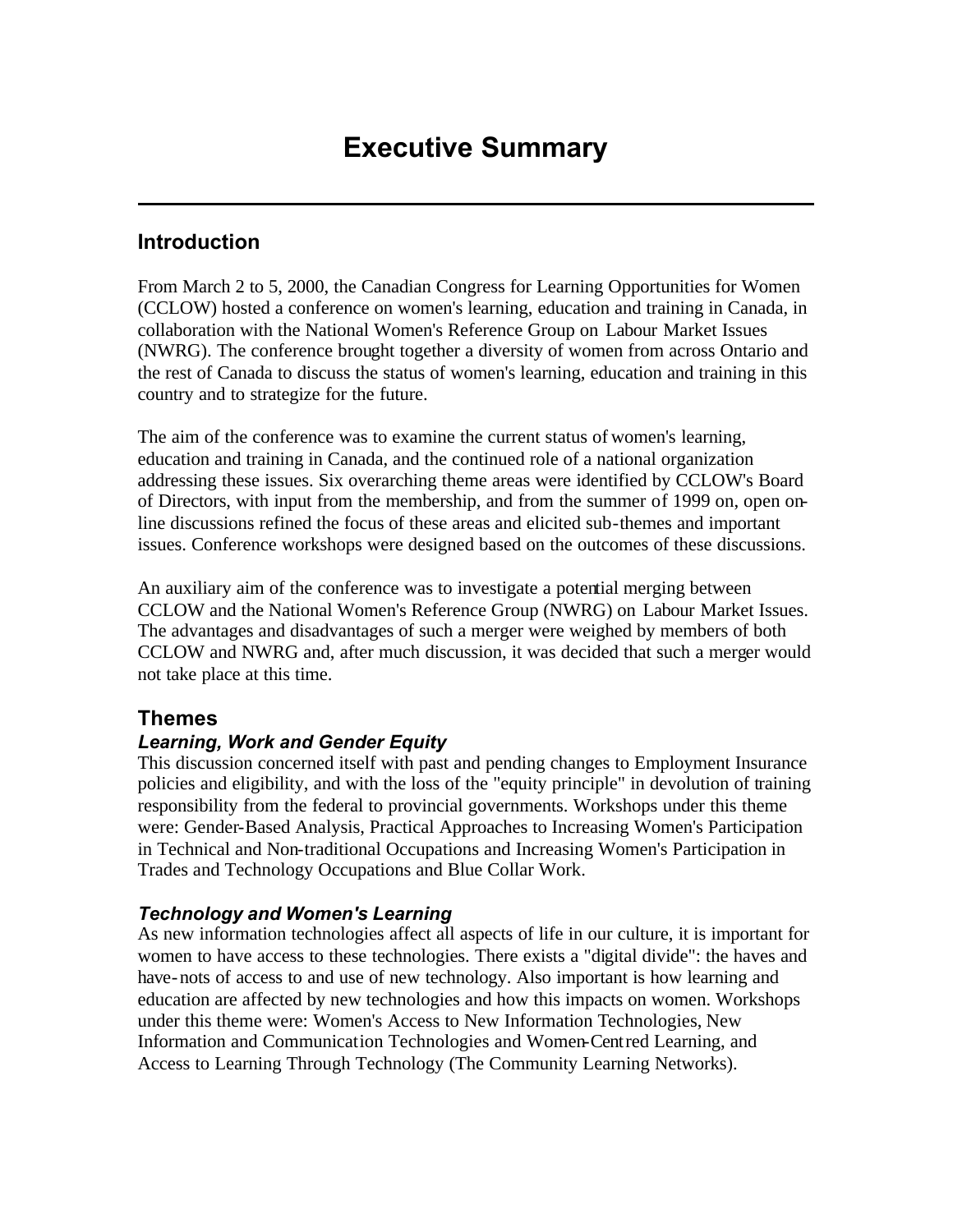# <span id="page-3-0"></span>**Introduction**

From March 2 to 5, 2000, the Canadian Congress for Learning Opportunities for Women (CCLOW) hosted a conference on women's learning, education and training in Canada, in collaboration with the National Women's Reference Group on Labour Market Issues (NWRG). The conference brought together a diversity of women from across Ontario and the rest of Canada to discuss the status of women's learning, education and training in this country and to strategize for the future.

The aim of the conference was to examine the current status of women's learning, education and training in Canada, and the continued role of a national organization addressing these issues. Six overarching theme areas were identified by CCLOW's Board of Directors, with input from the membership, and from the summer of 1999 on, open online discussions refined the focus of these areas and elicited sub-themes and important issues. Conference workshops were designed based on the outcomes of these discussions.

An auxiliary aim of the conference was to investigate a potential merging between CCLOW and the National Women's Reference Group (NWRG) on Labour Market Issues. The advantages and disadvantages of such a merger were weighed by members of both CCLOW and NWRG and, after much discussion, it was decided that such a merger would not take place at this time.

# **Themes**

### *Learning, Work and Gender Equity*

This discussion concerned itself with past and pending changes to Employment Insurance policies and eligibility, and with the loss of the "equity principle" in devolution of training responsibility from the federal to provincial governments. Workshops under this theme were: Gender-Based Analysis, Practical Approaches to Increasing Women's Participation in Technical and Non-traditional Occupations and Increasing Women's Participation in Trades and Technology Occupations and Blue Collar Work.

### *Technology and Women's Learning*

As new information technologies affect all aspects of life in our culture, it is important for women to have access to these technologies. There exists a "digital divide": the haves and have-nots of access to and use of new technology. Also important is how learning and education are affected by new technologies and how this impacts on women. Workshops under this theme were: Women's Access to New Information Technologies, New Information and Communication Technologies and Women-Centred Learning, and Access to Learning Through Technology (The Community Learning Networks).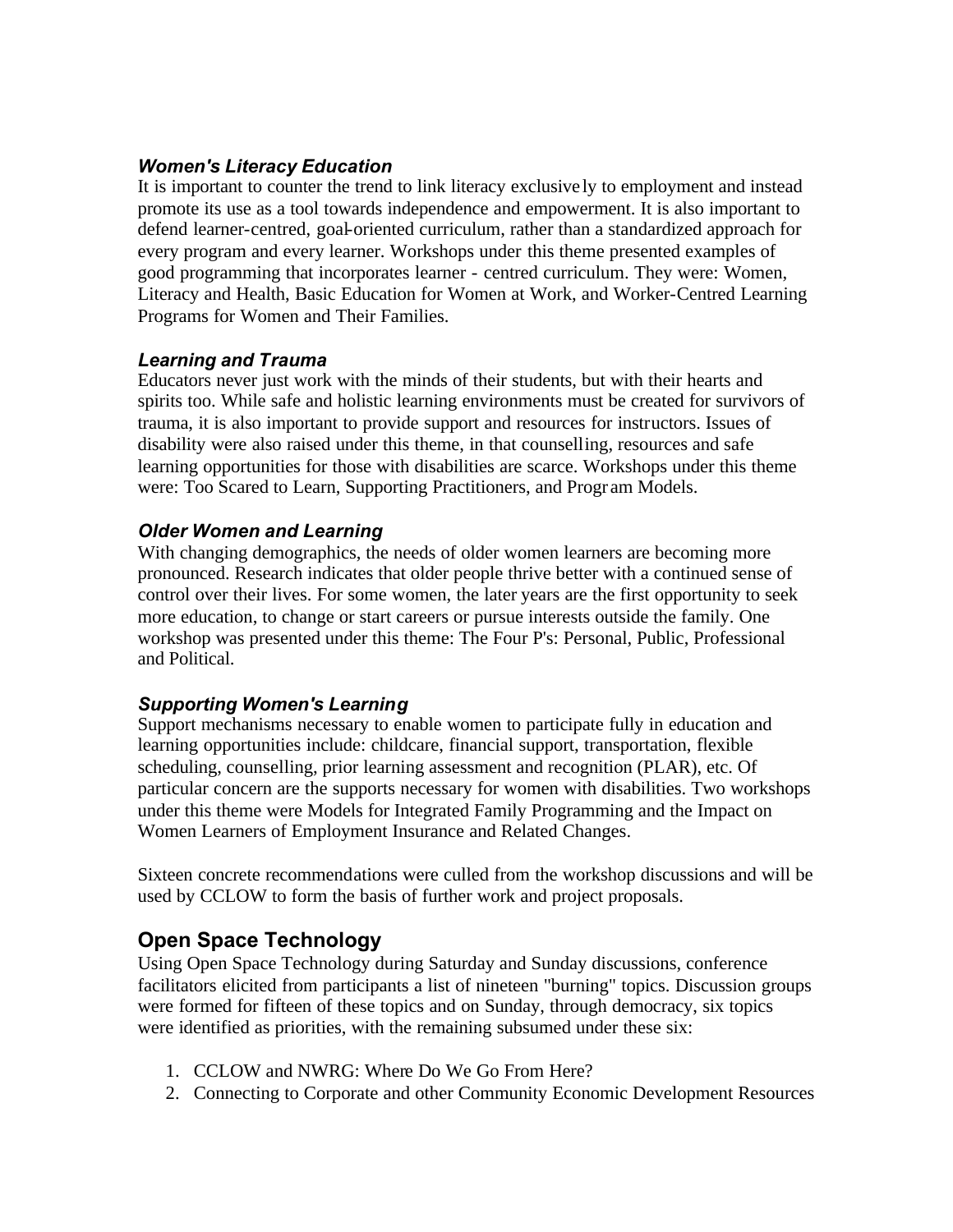### *Women's Literacy Education*

It is important to counter the trend to link literacy exclusive ly to employment and instead promote its use as a tool towards independence and empowerment. It is also important to defend learner-centred, goal-oriented curriculum, rather than a standardized approach for every program and every learner. Workshops under this theme presented examples of good programming that incorporates learner - centred curriculum. They were: Women, Literacy and Health, Basic Education for Women at Work, and Worker-Centred Learning Programs for Women and Their Families.

### *Learning and Trauma*

Educators never just work with the minds of their students, but with their hearts and spirits too. While safe and holistic learning environments must be created for survivors of trauma, it is also important to provide support and resources for instructors. Issues of disability were also raised under this theme, in that counselling, resources and safe learning opportunities for those with disabilities are scarce. Workshops under this theme were: Too Scared to Learn, Supporting Practitioners, and Progr am Models.

## *Older Women and Learning*

With changing demographics, the needs of older women learners are becoming more pronounced. Research indicates that older people thrive better with a continued sense of control over their lives. For some women, the later years are the first opportunity to seek more education, to change or start careers or pursue interests outside the family. One workshop was presented under this theme: The Four P's: Personal, Public, Professional and Political.

# *Supporting Women's Learning*

Support mechanisms necessary to enable women to participate fully in education and learning opportunities include: childcare, financial support, transportation, flexible scheduling, counselling, prior learning assessment and recognition (PLAR), etc. Of particular concern are the supports necessary for women with disabilities. Two workshops under this theme were Models for Integrated Family Programming and the Impact on Women Learners of Employment Insurance and Related Changes.

Sixteen concrete recommendations were culled from the workshop discussions and will be used by CCLOW to form the basis of further work and project proposals.

# **Open Space Technology**

Using Open Space Technology during Saturday and Sunday discussions, conference facilitators elicited from participants a list of nineteen "burning" topics. Discussion groups were formed for fifteen of these topics and on Sunday, through democracy, six topics were identified as priorities, with the remaining subsumed under these six:

- 1. CCLOW and NWRG: Where Do We Go From Here?
- 2. Connecting to Corporate and other Community Economic Development Resources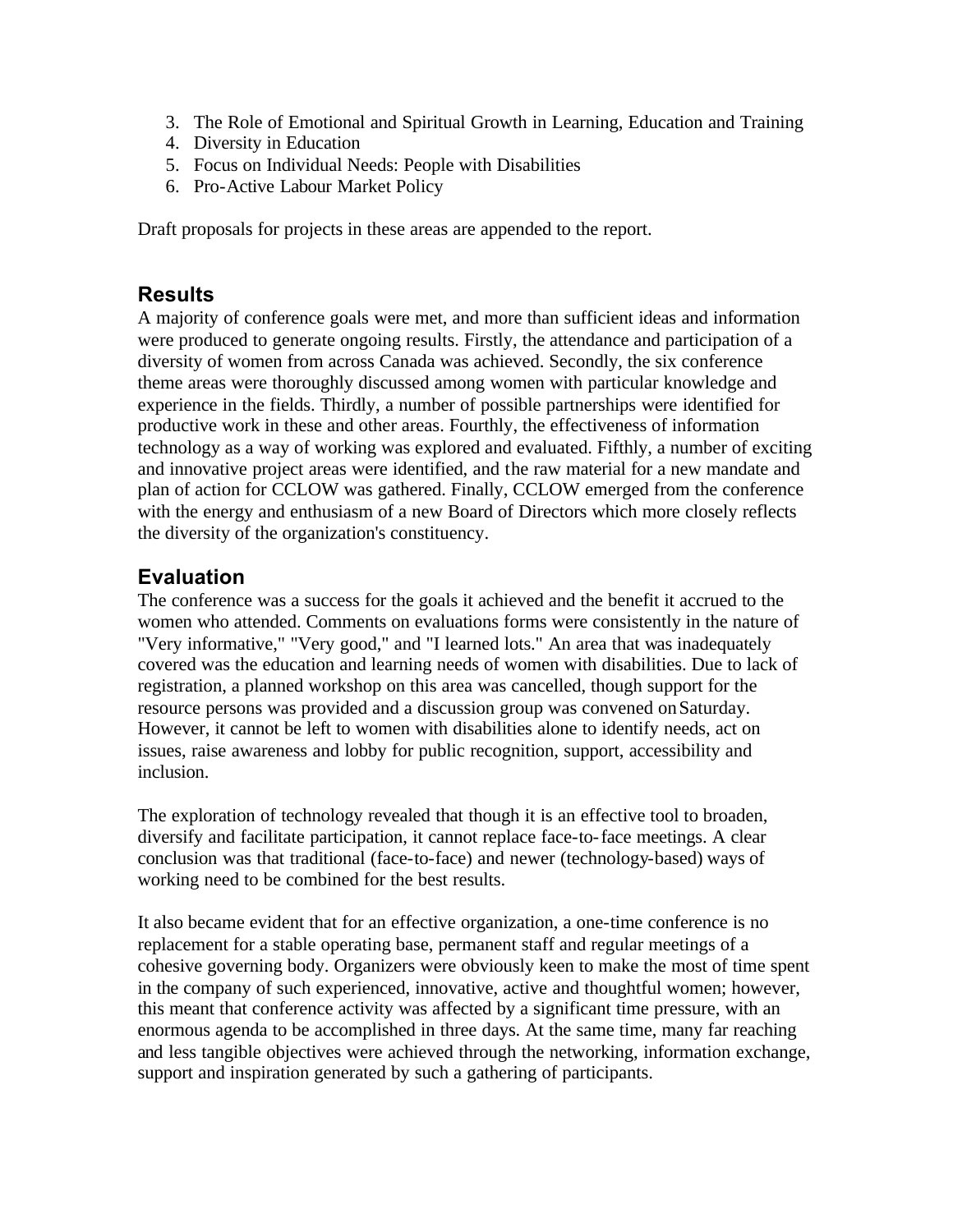- 3. The Role of Emotional and Spiritual Growth in Learning, Education and Training
- 4. Diversity in Education
- 5. Focus on Individual Needs: People with Disabilities
- 6. Pro-Active Labour Market Policy

Draft proposals for projects in these areas are appended to the report.

# **Results**

A majority of conference goals were met, and more than sufficient ideas and information were produced to generate ongoing results. Firstly, the attendance and participation of a diversity of women from across Canada was achieved. Secondly, the six conference theme areas were thoroughly discussed among women with particular knowledge and experience in the fields. Thirdly, a number of possible partnerships were identified for productive work in these and other areas. Fourthly, the effectiveness of information technology as a way of working was explored and evaluated. Fifthly, a number of exciting and innovative project areas were identified, and the raw material for a new mandate and plan of action for CCLOW was gathered. Finally, CCLOW emerged from the conference with the energy and enthusiasm of a new Board of Directors which more closely reflects the diversity of the organization's constituency.

# **Evaluation**

The conference was a success for the goals it achieved and the benefit it accrued to the women who attended. Comments on evaluations forms were consistently in the nature of "Very informative," "Very good," and "I learned lots." An area that was inadequately covered was the education and learning needs of women with disabilities. Due to lack of registration, a planned workshop on this area was cancelled, though support for the resource persons was provided and a discussion group was convened on Saturday. However, it cannot be left to women with disabilities alone to identify needs, act on issues, raise awareness and lobby for public recognition, support, accessibility and inclusion.

The exploration of technology revealed that though it is an effective tool to broaden, diversify and facilitate participation, it cannot replace face-to-face meetings. A clear conclusion was that traditional (face-to-face) and newer (technology-based) ways of working need to be combined for the best results.

It also became evident that for an effective organization, a one-time conference is no replacement for a stable operating base, permanent staff and regular meetings of a cohesive governing body. Organizers were obviously keen to make the most of time spent in the company of such experienced, innovative, active and thoughtful women; however, this meant that conference activity was affected by a significant time pressure, with an enormous agenda to be accomplished in three days. At the same time, many far reaching and less tangible objectives were achieved through the networking, information exchange, support and inspiration generated by such a gathering of participants.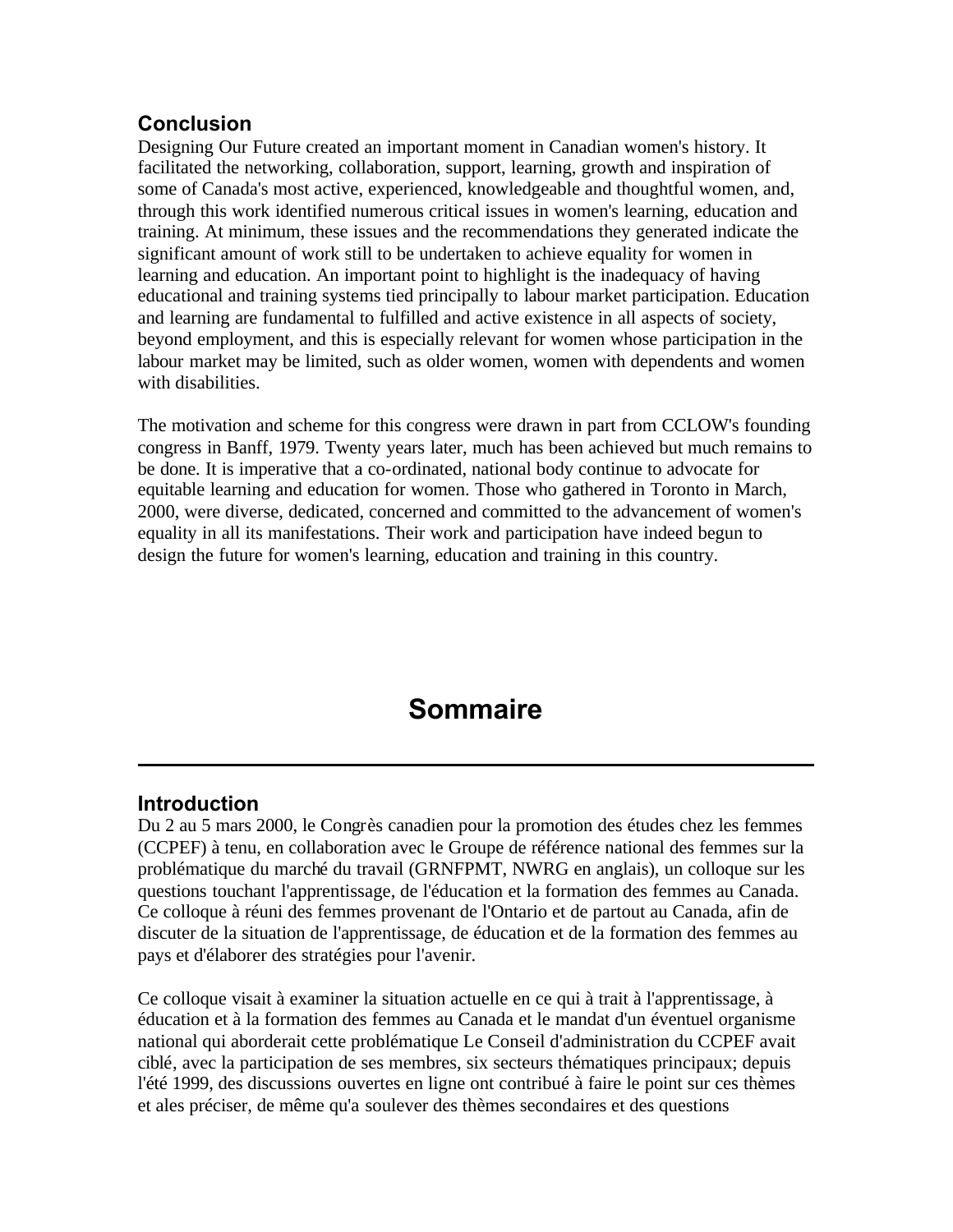# <span id="page-6-0"></span>**Conclusion**

Designing Our Future created an important moment in Canadian women's history. It facilitated the networking, collaboration, support, learning, growth and inspiration of some of Canada's most active, experienced, knowledgeable and thoughtful women, and, through this work identified numerous critical issues in women's learning, education and training. At minimum, these issues and the recommendations they generated indicate the significant amount of work still to be undertaken to achieve equality for women in learning and education. An important point to highlight is the inadequacy of having educational and training systems tied principally to labour market participation. Education and learning are fundamental to fulfilled and active existence in all aspects of society, beyond employment, and this is especially relevant for women whose participation in the labour market may be limited, such as older women, women with dependents and women with disabilities.

The motivation and scheme for this congress were drawn in part from CCLOW's founding congress in Banff, 1979. Twenty years later, much has been achieved but much remains to be done. It is imperative that a co-ordinated, national body continue to advocate for equitable learning and education for women. Those who gathered in Toronto in March, 2000, were diverse, dedicated, concerned and committed to the advancement of women's equality in all its manifestations. Their work and participation have indeed begun to design the future for women's learning, education and training in this country.

# **Sommaire**

# **Introduction**

Du 2 au 5 mars 2000, le Congrès canadien pour la promotion des études chez les femmes (CCPEF) à tenu, en collaboration avec le Groupe de référence national des femmes sur la problématique du marché du travail (GRNFPMT, NWRG en anglais), un colloque sur les questions touchant l'apprentissage, de l'éducation et la formation des femmes au Canada. Ce colloque à réuni des femmes provenant de l'Ontario et de partout au Canada, afin de discuter de la situation de l'apprentissage, de éducation et de la formation des femmes au pays et d'élaborer des stratégies pour l'avenir.

Ce colloque visait à examiner la situation actuelle en ce qui à trait à l'apprentissage, à éducation et à la formation des femmes au Canada et le mandat d'un éventuel organisme national qui aborderait cette problématique Le Conseil d'administration du CCPEF avait ciblé, avec la participation de ses membres, six secteurs thématiques principaux; depuis l'été 1999, des discussions ouvertes en ligne ont contribué à faire le point sur ces thèmes et ales préciser, de même qu'a soulever des thèmes secondaires et des questions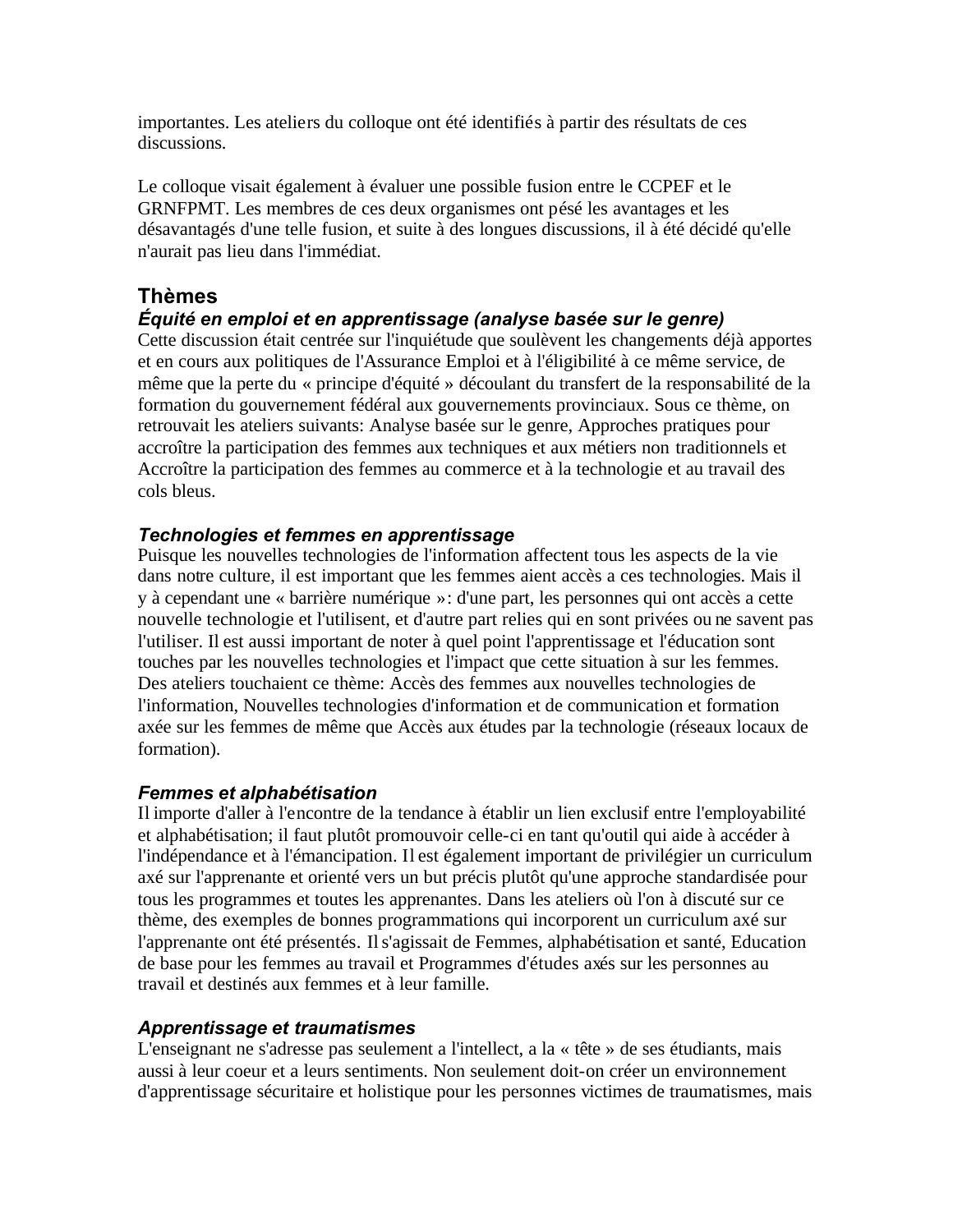importantes. Les ateliers du colloque ont été identifiés à partir des résultats de ces discussions.

Le colloque visait également à évaluer une possible fusion entre le CCPEF et le GRNFPMT. Les membres de ces deux organismes ont pésé les avantages et les désavantagés d'une telle fusion, et suite à des longues discussions, il à été décidé qu'elle n'aurait pas lieu dans l'immédiat.

# **Thèmes**

# *Équité en emploi et en apprentissage (analyse basée sur le genre)*

Cette discussion était centrée sur l'inquiétude que soulèvent les changements déjà apportes et en cours aux politiques de l'Assurance Emploi et à l'éligibilité à ce même service, de même que la perte du « principe d'équité » découlant du transfert de la responsabilité de la formation du gouvernement fédéral aux gouvernements provinciaux. Sous ce thème, on retrouvait les ateliers suivants: Analyse basée sur le genre, Approches pratiques pour accroître la participation des femmes aux techniques et aux métiers non traditionnels et Accroître la participation des femmes au commerce et à la technologie et au travail des cols bleus.

## *Technologies et femmes en apprentissage*

Puisque les nouvelles technologies de l'information affectent tous les aspects de la vie dans notre culture, il est important que les femmes aient accès a ces technologies. Mais il y à cependant une « barrière numérique »: d'une part, les personnes qui ont accès a cette nouvelle technologie et l'utilisent, et d'autre part relies qui en sont privées ou ne savent pas l'utiliser. Il est aussi important de noter à quel point l'apprentissage et l'éducation sont touches par les nouvelles technologies et l'impact que cette situation à sur les femmes. Des ateliers touchaient ce thème: Accès des femmes aux nouvelles technologies de l'information, Nouvelles technologies d'information et de communication et formation axée sur les femmes de même que Accès aux études par la technologie (réseaux locaux de formation).

### *Femmes et alphabétisation*

Il importe d'aller à l'encontre de la tendance à établir un lien exclusif entre l'employabilité et alphabétisation; il faut plutôt promouvoir celle-ci en tant qu'outil qui aide à accéder à l'indépendance et à l'émancipation. Il est également important de privilégier un curriculum axé sur l'apprenante et orienté vers un but précis plutôt qu'une approche standardisée pour tous les programmes et toutes les apprenantes. Dans les ateliers où l'on à discuté sur ce thème, des exemples de bonnes programmations qui incorporent un curriculum axé sur l'apprenante ont été présentés. Il s'agissait de Femmes, alphabétisation et santé, Education de base pour les femmes au travail et Programmes d'études axés sur les personnes au travail et destinés aux femmes et à leur famille.

### *Apprentissage et traumatismes*

L'enseignant ne s'adresse pas seulement a l'intellect, a la « tête » de ses étudiants, mais aussi à leur coeur et a leurs sentiments. Non seulement doit-on créer un environnement d'apprentissage sécuritaire et holistique pour les personnes victimes de traumatismes, mais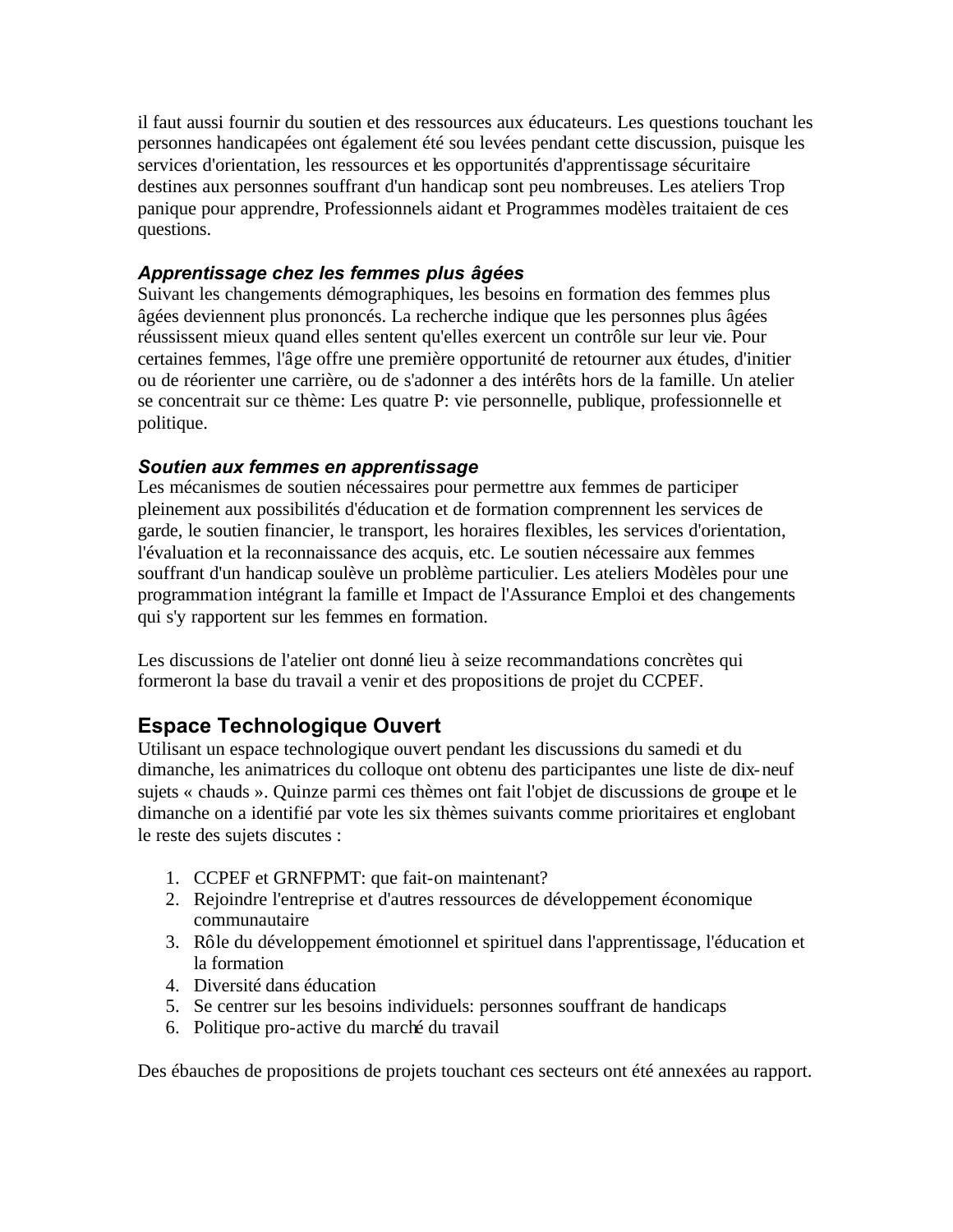il faut aussi fournir du soutien et des ressources aux éducateurs. Les questions touchant les personnes handicapées ont également été sou levées pendant cette discussion, puisque les services d'orientation, les ressources et les opportunités d'apprentissage sécuritaire destines aux personnes souffrant d'un handicap sont peu nombreuses. Les ateliers Trop panique pour apprendre, Professionnels aidant et Programmes modèles traitaient de ces questions.

### *Apprentissage chez les femmes plus âgées*

Suivant les changements démographiques, les besoins en formation des femmes plus âgées deviennent plus prononcés. La recherche indique que les personnes plus âgées réussissent mieux quand elles sentent qu'elles exercent un contrôle sur leur vie. Pour certaines femmes, l'âge offre une première opportunité de retourner aux études, d'initier ou de réorienter une carrière, ou de s'adonner a des intérêts hors de la famille. Un atelier se concentrait sur ce thème: Les quatre P: vie personnelle, publique, professionnelle et politique.

### *Soutien aux femmes en apprentissage*

Les mécanismes de soutien nécessaires pour permettre aux femmes de participer pleinement aux possibilités d'éducation et de formation comprennent les services de garde, le soutien financier, le transport, les horaires flexibles, les services d'orientation, l'évaluation et la reconnaissance des acquis, etc. Le soutien nécessaire aux femmes souffrant d'un handicap soulève un problème particulier. Les ateliers Modèles pour une programmation intégrant la famille et Impact de l'Assurance Emploi et des changements qui s'y rapportent sur les femmes en formation.

Les discussions de l'atelier ont donné lieu à seize recommandations concrètes qui formeront la base du travail a venir et des propositions de projet du CCPEF.

# **Espace Technologique Ouvert**

Utilisant un espace technologique ouvert pendant les discussions du samedi et du dimanche, les animatrices du colloque ont obtenu des participantes une liste de dix-neuf sujets « chauds ». Quinze parmi ces thèmes ont fait l'objet de discussions de groupe et le dimanche on a identifié par vote les six thèmes suivants comme prioritaires et englobant le reste des sujets discutes :

- 1. CCPEF et GRNFPMT: que fait-on maintenant?
- 2. Rejoindre l'entreprise et d'autres ressources de développement économique communautaire
- 3. Rôle du développement émotionnel et spirituel dans l'apprentissage, l'éducation et la formation
- 4. Diversité dans éducation
- 5. Se centrer sur les besoins individuels: personnes souffrant de handicaps
- 6. Politique pro-active du marché du travail

Des ébauches de propositions de projets touchant ces secteurs ont été annexées au rapport.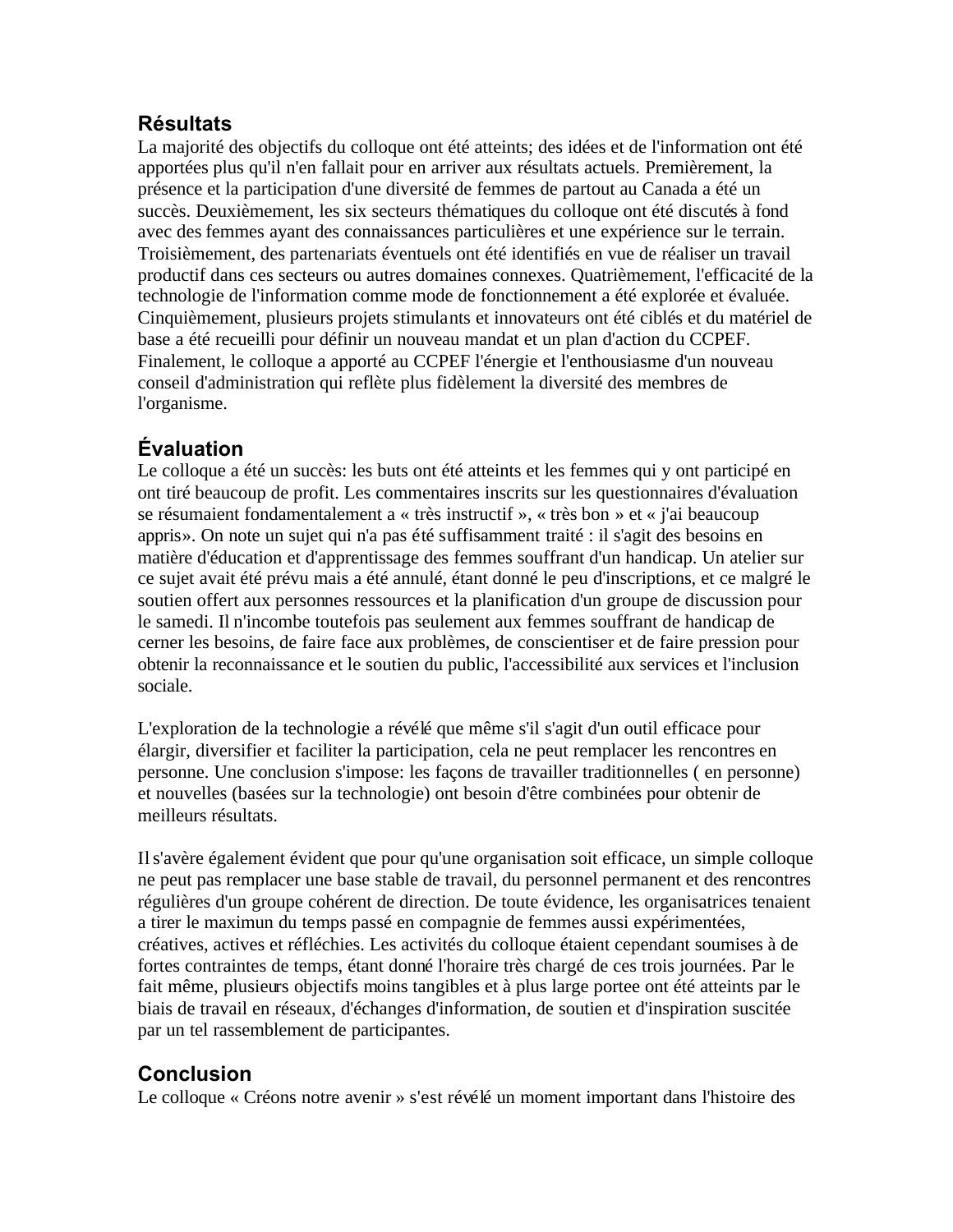# **Résultats**

La majorité des objectifs du colloque ont été atteints; des idées et de l'information ont été apportées plus qu'il n'en fallait pour en arriver aux résultats actuels. Premièrement, la présence et la participation d'une diversité de femmes de partout au Canada a été un succès. Deuxièmement, les six secteurs thématiques du colloque ont été discutés à fond avec des femmes ayant des connaissances particulières et une expérience sur le terrain. Troisièmement, des partenariats éventuels ont été identifiés en vue de réaliser un travail productif dans ces secteurs ou autres domaines connexes. Quatrièmement, l'efficacité de la technologie de l'information comme mode de fonctionnement a été explorée et évaluée. Cinquièmement, plusieurs projets stimulants et innovateurs ont été ciblés et du matériel de base a été recueilli pour définir un nouveau mandat et un plan d'action du CCPEF. Finalement, le colloque a apporté au CCPEF l'énergie et l'enthousiasme d'un nouveau conseil d'administration qui reflète plus fidèlement la diversité des membres de l'organisme.

# **Évaluation**

Le colloque a été un succès: les buts ont été atteints et les femmes qui y ont participé en ont tiré beaucoup de profit. Les commentaires inscrits sur les questionnaires d'évaluation se résumaient fondamentalement a « très instructif », « très bon » et « j'ai beaucoup appris». On note un sujet qui n'a pas été suffisamment traité : il s'agit des besoins en matière d'éducation et d'apprentissage des femmes souffrant d'un handicap. Un atelier sur ce sujet avait été prévu mais a été annulé, étant donné le peu d'inscriptions, et ce malgré le soutien offert aux personnes ressources et la planification d'un groupe de discussion pour le samedi. Il n'incombe toutefois pas seulement aux femmes souffrant de handicap de cerner les besoins, de faire face aux problèmes, de conscientiser et de faire pression pour obtenir la reconnaissance et le soutien du public, l'accessibilité aux services et l'inclusion sociale.

L'exploration de la technologie a révélé que même s'il s'agit d'un outil efficace pour élargir, diversifier et faciliter la participation, cela ne peut remplacer les rencontres en personne. Une conclusion s'impose: les façons de travailler traditionnelles ( en personne) et nouvelles (basées sur la technologie) ont besoin d'être combinées pour obtenir de meilleurs résultats.

Il s'avère également évident que pour qu'une organisation soit efficace, un simple colloque ne peut pas remplacer une base stable de travail, du personnel permanent et des rencontres régulières d'un groupe cohérent de direction. De toute évidence, les organisatrices tenaient a tirer le maximun du temps passé en compagnie de femmes aussi expérimentées, créatives, actives et réfléchies. Les activités du colloque étaient cependant soumises à de fortes contraintes de temps, étant donné l'horaire très chargé de ces trois journées. Par le fait même, plusieurs objectifs moins tangibles et à plus large portee ont été atteints par le biais de travail en réseaux, d'échanges d'information, de soutien et d'inspiration suscitée par un tel rassemblement de participantes.

# **Conclusion**

Le colloque « Créons notre avenir » s'est révélé un moment important dans l'histoire des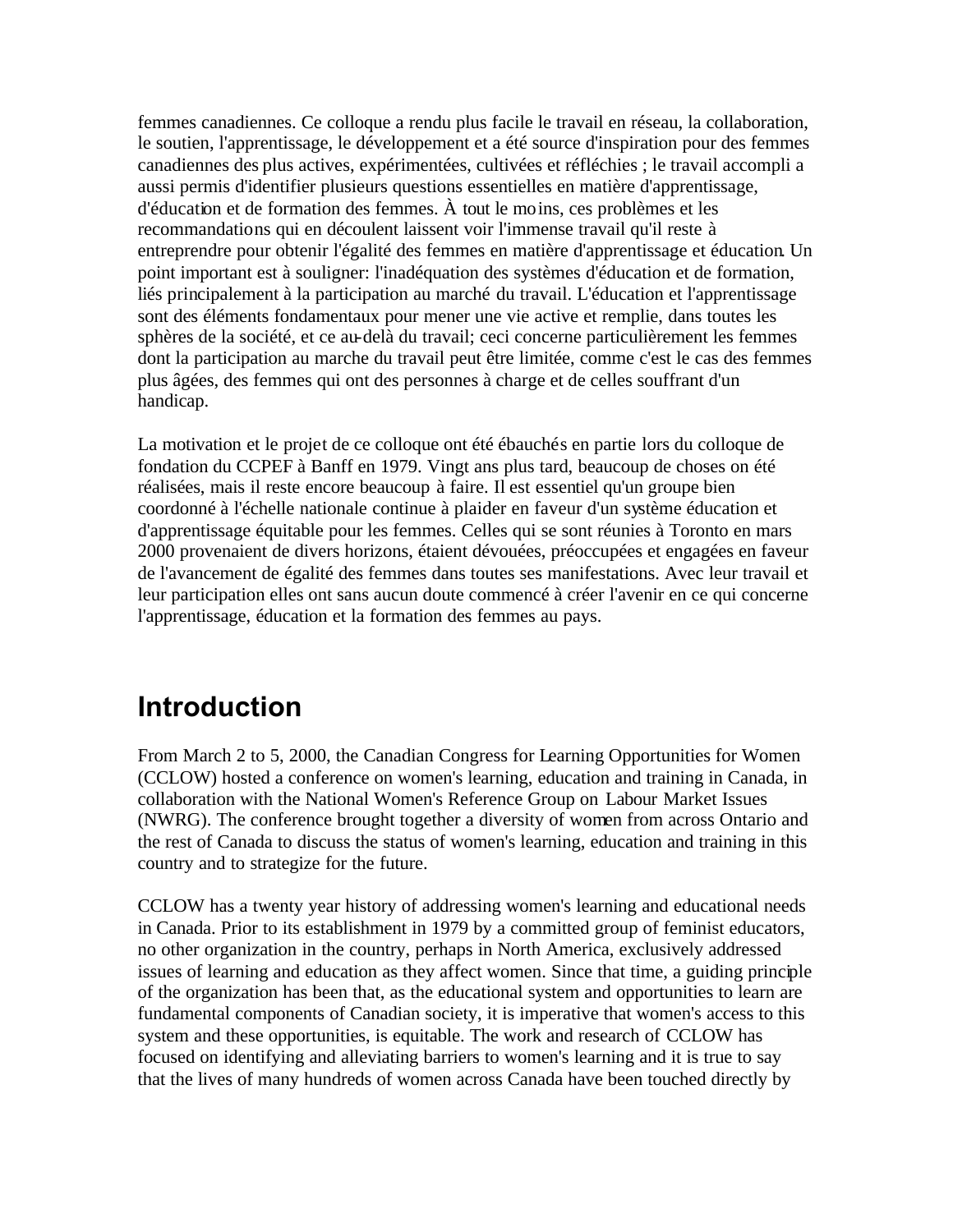<span id="page-10-0"></span>femmes canadiennes. Ce colloque a rendu plus facile le travail en réseau, la collaboration, le soutien, l'apprentissage, le développement et a été source d'inspiration pour des femmes canadiennes des plus actives, expérimentées, cultivées et réfléchies ; le travail accompli a aussi permis d'identifier plusieurs questions essentielles en matière d'apprentissage, d'éducation et de formation des femmes. À tout le moins, ces problèmes et les recommandations qui en découlent laissent voir l'immense travail qu'il reste à entreprendre pour obtenir l'égalité des femmes en matière d'apprentissage et éducation. Un point important est à souligner: l'inadéquation des systèmes d'éducation et de formation, liés principalement à la participation au marché du travail. L'éducation et l'apprentissage sont des éléments fondamentaux pour mener une vie active et remplie, dans toutes les sphères de la société, et ce au-delà du travail; ceci concerne particulièrement les femmes dont la participation au marche du travail peut être limitée, comme c'est le cas des femmes plus âgées, des femmes qui ont des personnes à charge et de celles souffrant d'un handicap.

La motivation et le projet de ce colloque ont été ébauchés en partie lors du colloque de fondation du CCPEF à Banff en 1979. Vingt ans plus tard, beaucoup de choses on été réalisées, mais il reste encore beaucoup à faire. Il est essentiel qu'un groupe bien coordonné à l'échelle nationale continue à plaider en faveur d'un système éducation et d'apprentissage équitable pour les femmes. Celles qui se sont réunies à Toronto en mars 2000 provenaient de divers horizons, étaient dévouées, préoccupées et engagées en faveur de l'avancement de égalité des femmes dans toutes ses manifestations. Avec leur travail et leur participation elles ont sans aucun doute commencé à créer l'avenir en ce qui concerne l'apprentissage, éducation et la formation des femmes au pays.

# **Introduction**

From March 2 to 5, 2000, the Canadian Congress for Learning Opportunities for Women (CCLOW) hosted a conference on women's learning, education and training in Canada, in collaboration with the National Women's Reference Group on Labour Market Issues (NWRG). The conference brought together a diversity of women from across Ontario and the rest of Canada to discuss the status of women's learning, education and training in this country and to strategize for the future.

CCLOW has a twenty year history of addressing women's learning and educational needs in Canada. Prior to its establishment in 1979 by a committed group of feminist educators, no other organization in the country, perhaps in North America, exclusively addressed issues of learning and education as they affect women. Since that time, a guiding principle of the organization has been that, as the educational system and opportunities to learn are fundamental components of Canadian society, it is imperative that women's access to this system and these opportunities, is equitable. The work and research of CCLOW has focused on identifying and alleviating barriers to women's learning and it is true to say that the lives of many hundreds of women across Canada have been touched directly by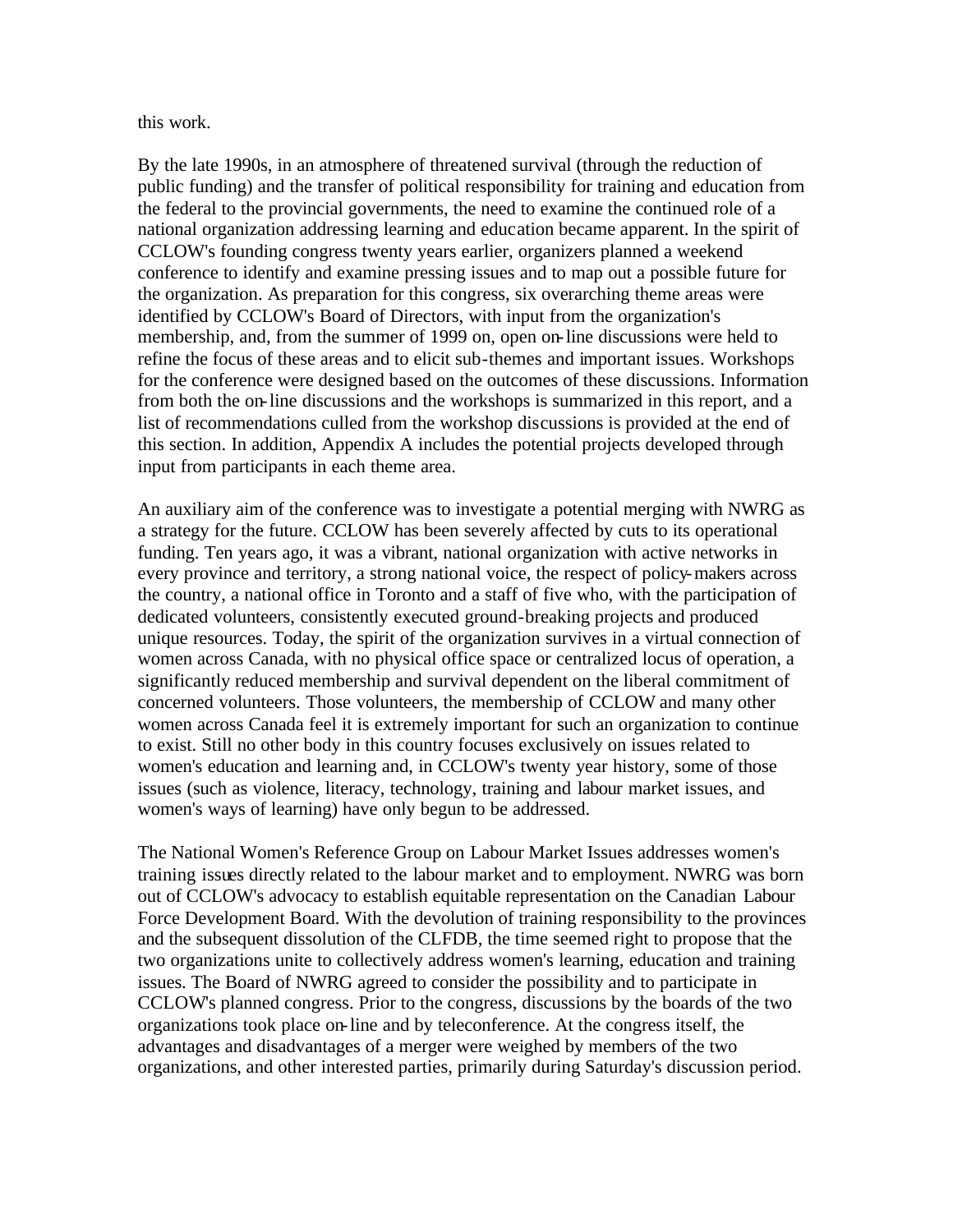this work.

By the late 1990s, in an atmosphere of threatened survival (through the reduction of public funding) and the transfer of political responsibility for training and education from the federal to the provincial governments, the need to examine the continued role of a national organization addressing learning and education became apparent. In the spirit of CCLOW's founding congress twenty years earlier, organizers planned a weekend conference to identify and examine pressing issues and to map out a possible future for the organization. As preparation for this congress, six overarching theme areas were identified by CCLOW's Board of Directors, with input from the organization's membership, and, from the summer of 1999 on, open on-line discussions were held to refine the focus of these areas and to elicit sub-themes and important issues. Workshops for the conference were designed based on the outcomes of these discussions. Information from both the on-line discussions and the workshops is summarized in this report, and a list of recommendations culled from the workshop discussions is provided at the end of this section. In addition, Appendix A includes the potential projects developed through input from participants in each theme area.

An auxiliary aim of the conference was to investigate a potential merging with NWRG as a strategy for the future. CCLOW has been severely affected by cuts to its operational funding. Ten years ago, it was a vibrant, national organization with active networks in every province and territory, a strong national voice, the respect of policy-makers across the country, a national office in Toronto and a staff of five who, with the participation of dedicated volunteers, consistently executed ground-breaking projects and produced unique resources. Today, the spirit of the organization survives in a virtual connection of women across Canada, with no physical office space or centralized locus of operation, a significantly reduced membership and survival dependent on the liberal commitment of concerned volunteers. Those volunteers, the membership of CCLOW and many other women across Canada feel it is extremely important for such an organization to continue to exist. Still no other body in this country focuses exclusively on issues related to women's education and learning and, in CCLOW's twenty year history, some of those issues (such as violence, literacy, technology, training and labour market issues, and women's ways of learning) have only begun to be addressed.

The National Women's Reference Group on Labour Market Issues addresses women's training issues directly related to the labour market and to employment. NWRG was born out of CCLOW's advocacy to establish equitable representation on the Canadian Labour Force Development Board. With the devolution of training responsibility to the provinces and the subsequent dissolution of the CLFDB, the time seemed right to propose that the two organizations unite to collectively address women's learning, education and training issues. The Board of NWRG agreed to consider the possibility and to participate in CCLOW's planned congress. Prior to the congress, discussions by the boards of the two organizations took place on-line and by teleconference. At the congress itself, the advantages and disadvantages of a merger were weighed by members of the two organizations, and other interested parties, primarily during Saturday's discussion period.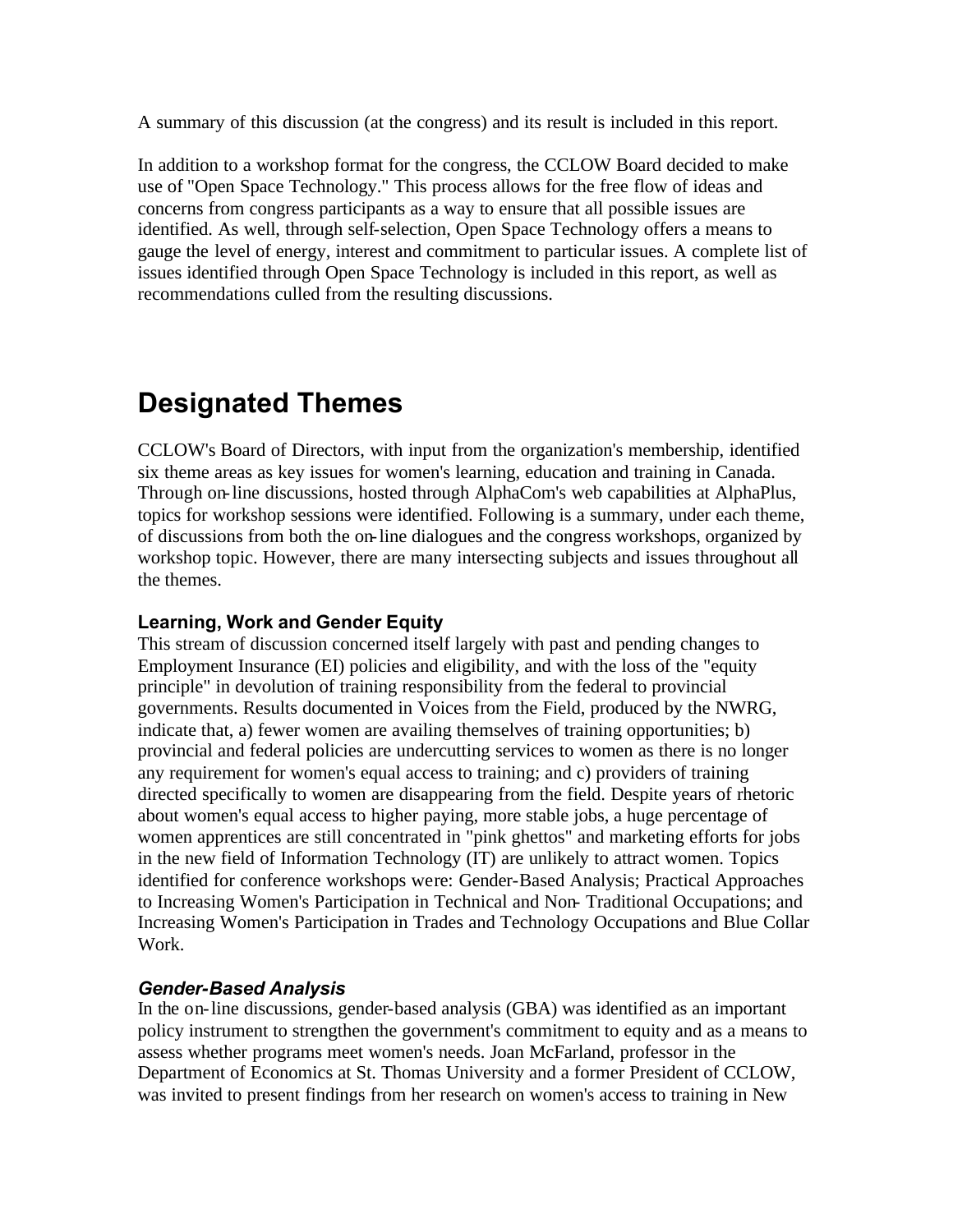<span id="page-12-0"></span>A summary of this discussion (at the congress) and its result is included in this report.

In addition to a workshop format for the congress, the CCLOW Board decided to make use of "Open Space Technology." This process allows for the free flow of ideas and concerns from congress participants as a way to ensure that all possible issues are identified. As well, through self-selection, Open Space Technology offers a means to gauge the level of energy, interest and commitment to particular issues. A complete list of issues identified through Open Space Technology is included in this report, as well as recommendations culled from the resulting discussions.

# **Designated Themes**

CCLOW's Board of Directors, with input from the organization's membership, identified six theme areas as key issues for women's learning, education and training in Canada. Through on-line discussions, hosted through AlphaCom's web capabilities at AlphaPlus, topics for workshop sessions were identified. Following is a summary, under each theme, of discussions from both the on-line dialogues and the congress workshops, organized by workshop topic. However, there are many intersecting subjects and issues throughout all the themes.

## **Learning, Work and Gender Equity**

This stream of discussion concerned itself largely with past and pending changes to Employment Insurance (EI) policies and eligibility, and with the loss of the "equity principle" in devolution of training responsibility from the federal to provincial governments. Results documented in Voices from the Field, produced by the NWRG, indicate that, a) fewer women are availing themselves of training opportunities; b) provincial and federal policies are undercutting services to women as there is no longer any requirement for women's equal access to training; and c) providers of training directed specifically to women are disappearing from the field. Despite years of rhetoric about women's equal access to higher paying, more stable jobs, a huge percentage of women apprentices are still concentrated in "pink ghettos" and marketing efforts for jobs in the new field of Information Technology (IT) are unlikely to attract women. Topics identified for conference workshops were: Gender-Based Analysis; Practical Approaches to Increasing Women's Participation in Technical and Non- Traditional Occupations; and Increasing Women's Participation in Trades and Technology Occupations and Blue Collar Work.

### *Gender-Based Analysis*

In the on-line discussions, gender-based analysis (GBA) was identified as an important policy instrument to strengthen the government's commitment to equity and as a means to assess whether programs meet women's needs. Joan McFarland, professor in the Department of Economics at St. Thomas University and a former President of CCLOW, was invited to present findings from her research on women's access to training in New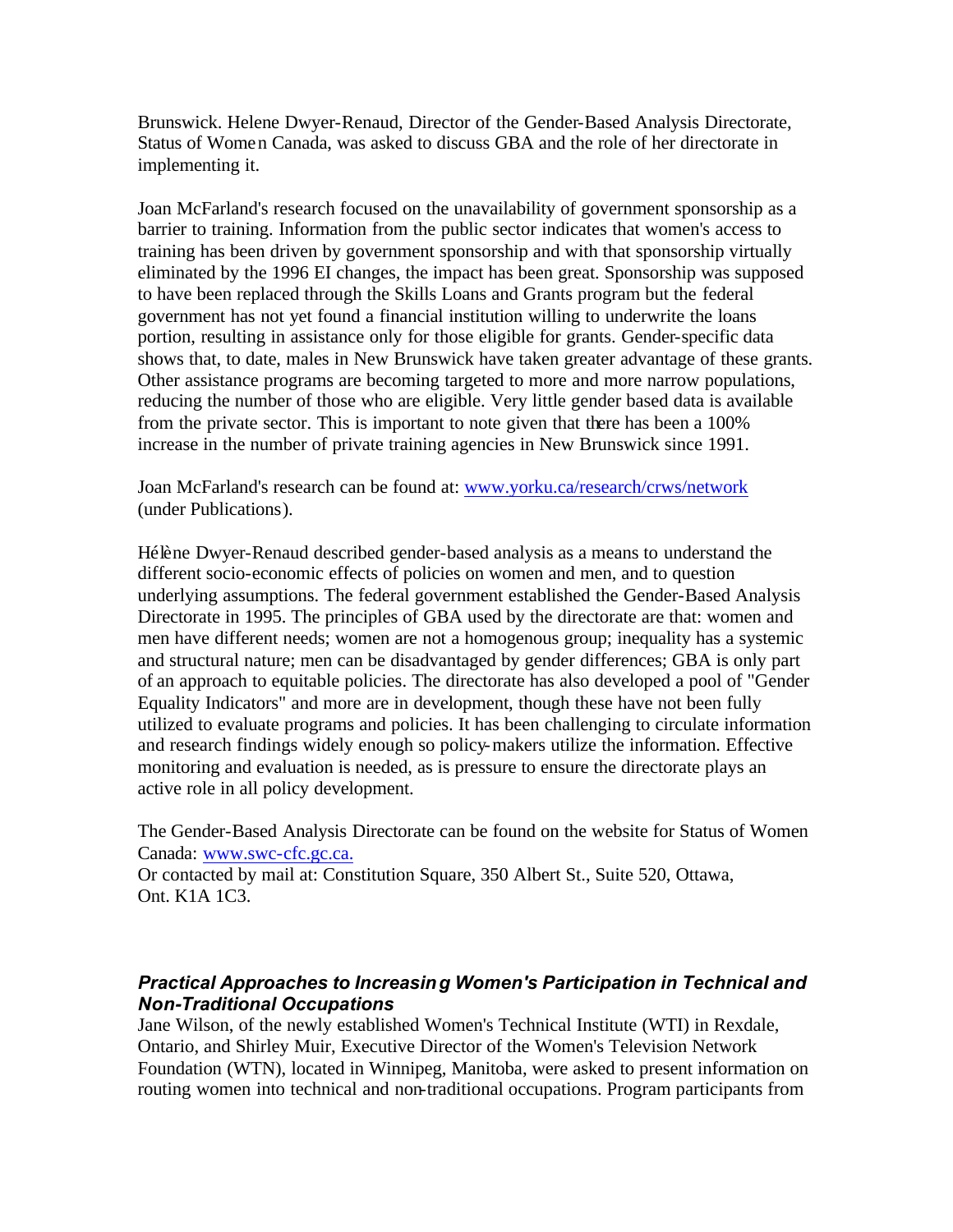Brunswick. Helene Dwyer-Renaud, Director of the Gender-Based Analysis Directorate, Status of Women Canada, was asked to discuss GBA and the role of her directorate in implementing it.

Joan McFarland's research focused on the unavailability of government sponsorship as a barrier to training. Information from the public sector indicates that women's access to training has been driven by government sponsorship and with that sponsorship virtually eliminated by the 1996 EI changes, the impact has been great. Sponsorship was supposed to have been replaced through the Skills Loans and Grants program but the federal government has not yet found a financial institution willing to underwrite the loans portion, resulting in assistance only for those eligible for grants. Gender-specific data shows that, to date, males in New Brunswick have taken greater advantage of these grants. Other assistance programs are becoming targeted to more and more narrow populations, reducing the number of those who are eligible. Very little gender based data is available from the private sector. This is important to note given that there has been a 100% increase in the number of private training agencies in New Brunswick since 1991.

Joan McFarland's research can be found at: www.yorku.ca/research/crws/network (under Publications).

Hélène Dwyer-Renaud described gender-based analysis as a means to understand the different socio-economic effects of policies on women and men, and to question underlying assumptions. The federal government established the Gender-Based Analysis Directorate in 1995. The principles of GBA used by the directorate are that: women and men have different needs; women are not a homogenous group; inequality has a systemic and structural nature; men can be disadvantaged by gender differences; GBA is only part of an approach to equitable policies. The directorate has also developed a pool of "Gender Equality Indicators" and more are in development, though these have not been fully utilized to evaluate programs and policies. It has been challenging to circulate information and research findings widely enough so policy-makers utilize the information. Effective monitoring and evaluation is needed, as is pressure to ensure the directorate plays an active role in all policy development.

The Gender-Based Analysis Directorate can be found on the website for Status of Women Canada: www.swc-cfc.gc.ca.

Or contacted by mail at: Constitution Square, 350 Albert St., Suite 520, Ottawa, Ont. K1A 1C3.

### *Practical Approaches to Increasing Women's Participation in Technical and Non-Traditional Occupations*

Jane Wilson, of the newly established Women's Technical Institute (WTI) in Rexdale, Ontario, and Shirley Muir, Executive Director of the Women's Television Network Foundation (WTN), located in Winnipeg, Manitoba, were asked to present information on routing women into technical and non-traditional occupations. Program participants from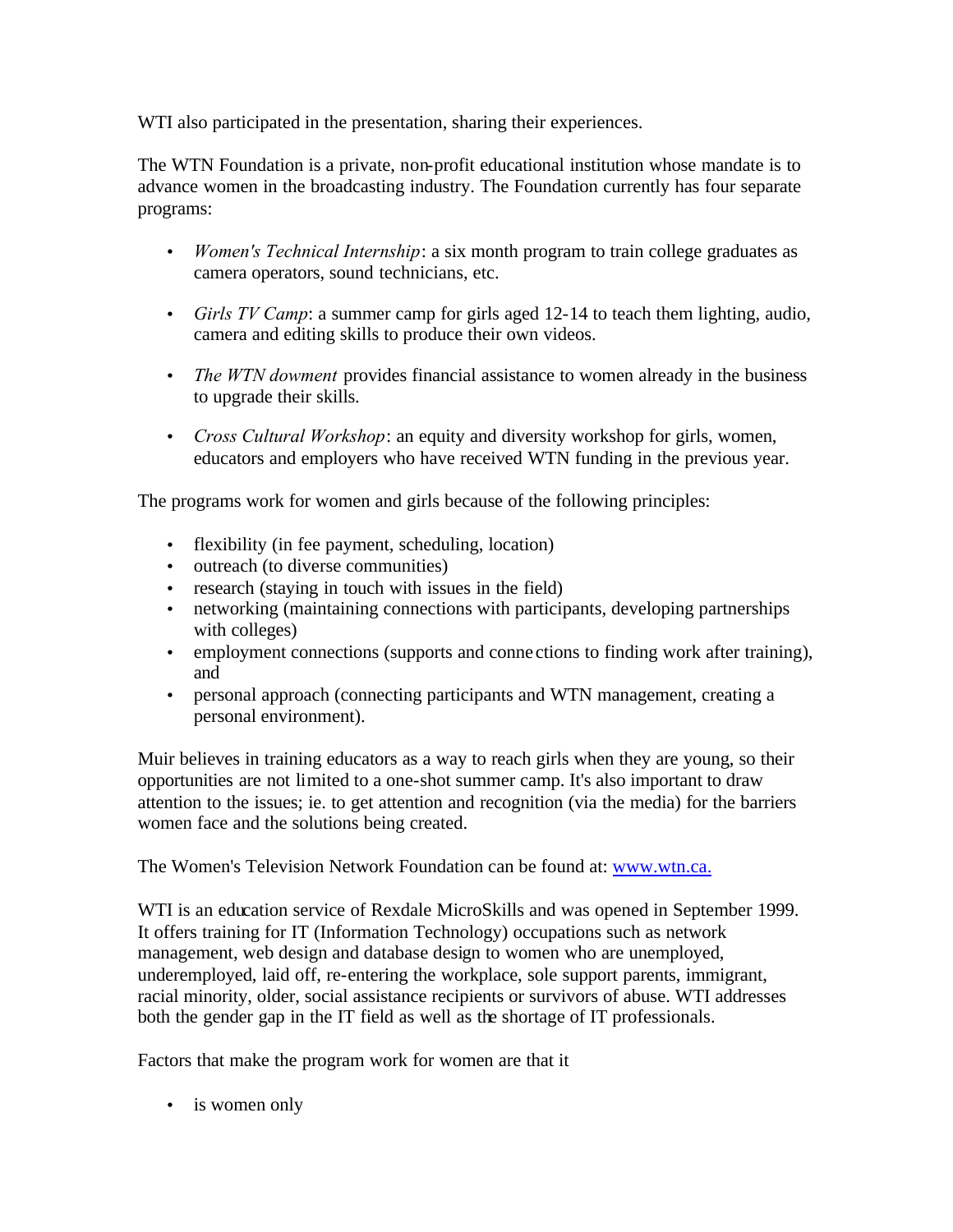WTI also participated in the presentation, sharing their experiences.

The WTN Foundation is a private, non-profit educational institution whose mandate is to advance women in the broadcasting industry. The Foundation currently has four separate programs:

- *Women's Technical Internship*: a six month program to train college graduates as camera operators, sound technicians, etc.
- *Girls TV Camp*: a summer camp for girls aged 12-14 to teach them lighting, audio, camera and editing skills to produce their own videos.
- *The WTN dowment* provides financial assistance to women already in the business to upgrade their skills.
- *Cross Cultural Workshop*: an equity and diversity workshop for girls, women, educators and employers who have received WTN funding in the previous year.

The programs work for women and girls because of the following principles:

- flexibility (in fee payment, scheduling, location)
- outreach (to diverse communities)
- research (staying in touch with issues in the field)
- networking (maintaining connections with participants, developing partnerships with colleges)
- employment connections (supports and conne ctions to finding work after training), and
- personal approach (connecting participants and WTN management, creating a personal environment).

Muir believes in training educators as a way to reach girls when they are young, so their opportunities are not limited to a one-shot summer camp. It's also important to draw attention to the issues; ie. to get attention and recognition (via the media) for the barriers women face and the solutions being created.

The Women's Television Network Foundation can be found at: www.wtn.ca.

WTI is an education service of Rexdale MicroSkills and was opened in September 1999. It offers training for IT (Information Technology) occupations such as network management, web design and database design to women who are unemployed, underemployed, laid off, re-entering the workplace, sole support parents, immigrant, racial minority, older, social assistance recipients or survivors of abuse. WTI addresses both the gender gap in the IT field as well as the shortage of IT professionals.

Factors that make the program work for women are that it

• is women only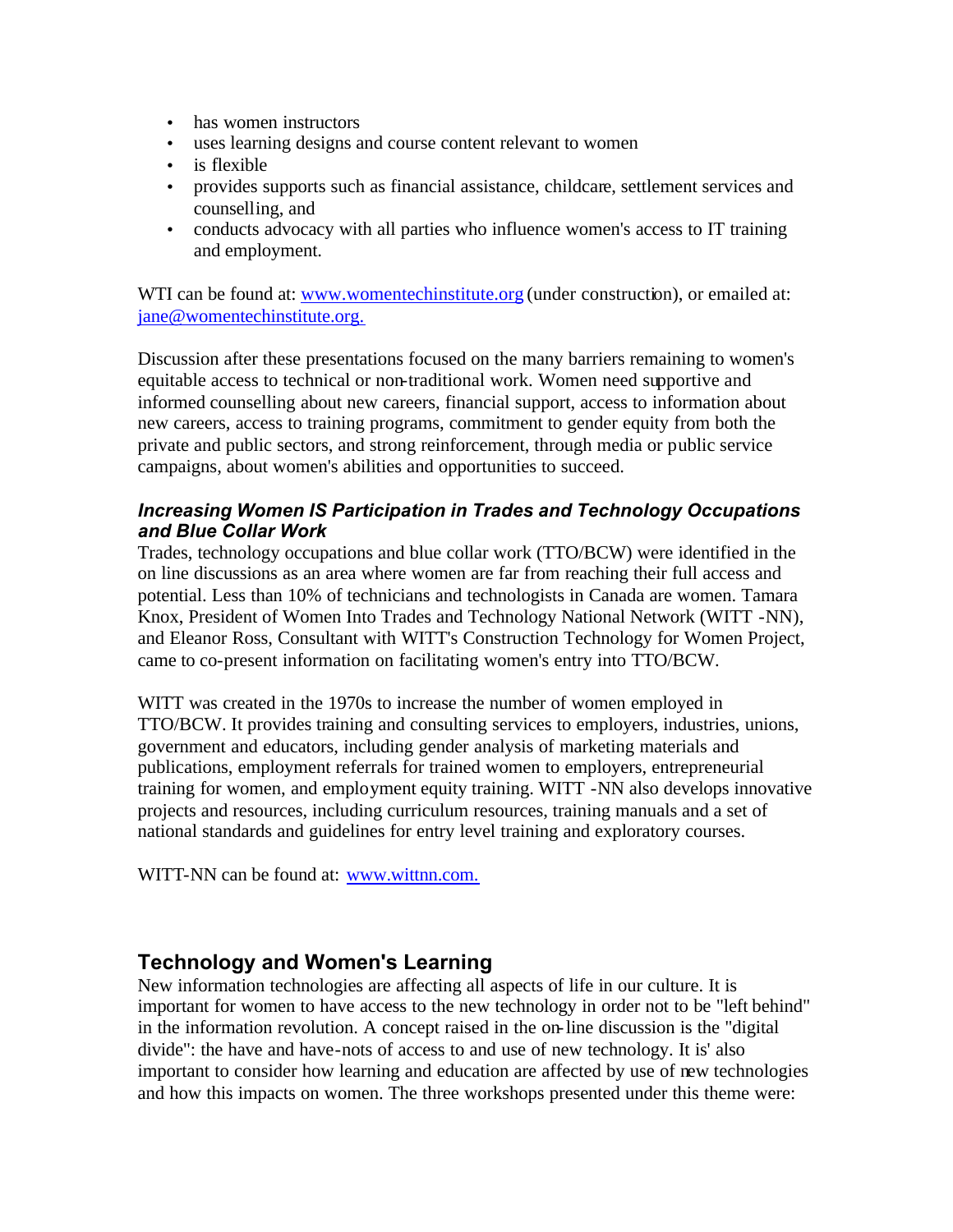- has women instructors
- uses learning designs and course content relevant to women
- is flexible
- provides supports such as financial assistance, childcare, settlement services and counselling, and
- conducts advocacy with all parties who influence women's access to IT training and employment.

WTI can be found at: www.womentechinstitute.org (under construction), or emailed at: jane@womentechinstitute.org.

Discussion after these presentations focused on the many barriers remaining to women's equitable access to technical or non-traditional work. Women need supportive and informed counselling about new careers, financial support, access to information about new careers, access to training programs, commitment to gender equity from both the private and public sectors, and strong reinforcement, through media or public service campaigns, about women's abilities and opportunities to succeed.

### *Increasing Women IS Participation in Trades and Technology Occupations and Blue Collar Work*

Trades, technology occupations and blue collar work (TTO/BCW) were identified in the on line discussions as an area where women are far from reaching their full access and potential. Less than 10% of technicians and technologists in Canada are women. Tamara Knox, President of Women Into Trades and Technology National Network (WITT -NN), and Eleanor Ross, Consultant with WITT's Construction Technology for Women Project, came to co-present information on facilitating women's entry into TTO/BCW.

WITT was created in the 1970s to increase the number of women employed in TTO/BCW. It provides training and consulting services to employers, industries, unions, government and educators, including gender analysis of marketing materials and publications, employment referrals for trained women to employers, entrepreneurial training for women, and employment equity training. WITT -NN also develops innovative projects and resources, including curriculum resources, training manuals and a set of national standards and guidelines for entry level training and exploratory courses.

WITT-NN can be found at: www.wittnn.com.

# **Technology and Women's Learning**

New information technologies are affecting all aspects of life in our culture. It is important for women to have access to the new technology in order not to be "left behind" in the information revolution. A concept raised in the on-line discussion is the "digital divide": the have and have-nots of access to and use of new technology. It is' also important to consider how learning and education are affected by use of new technologies and how this impacts on women. The three workshops presented under this theme were: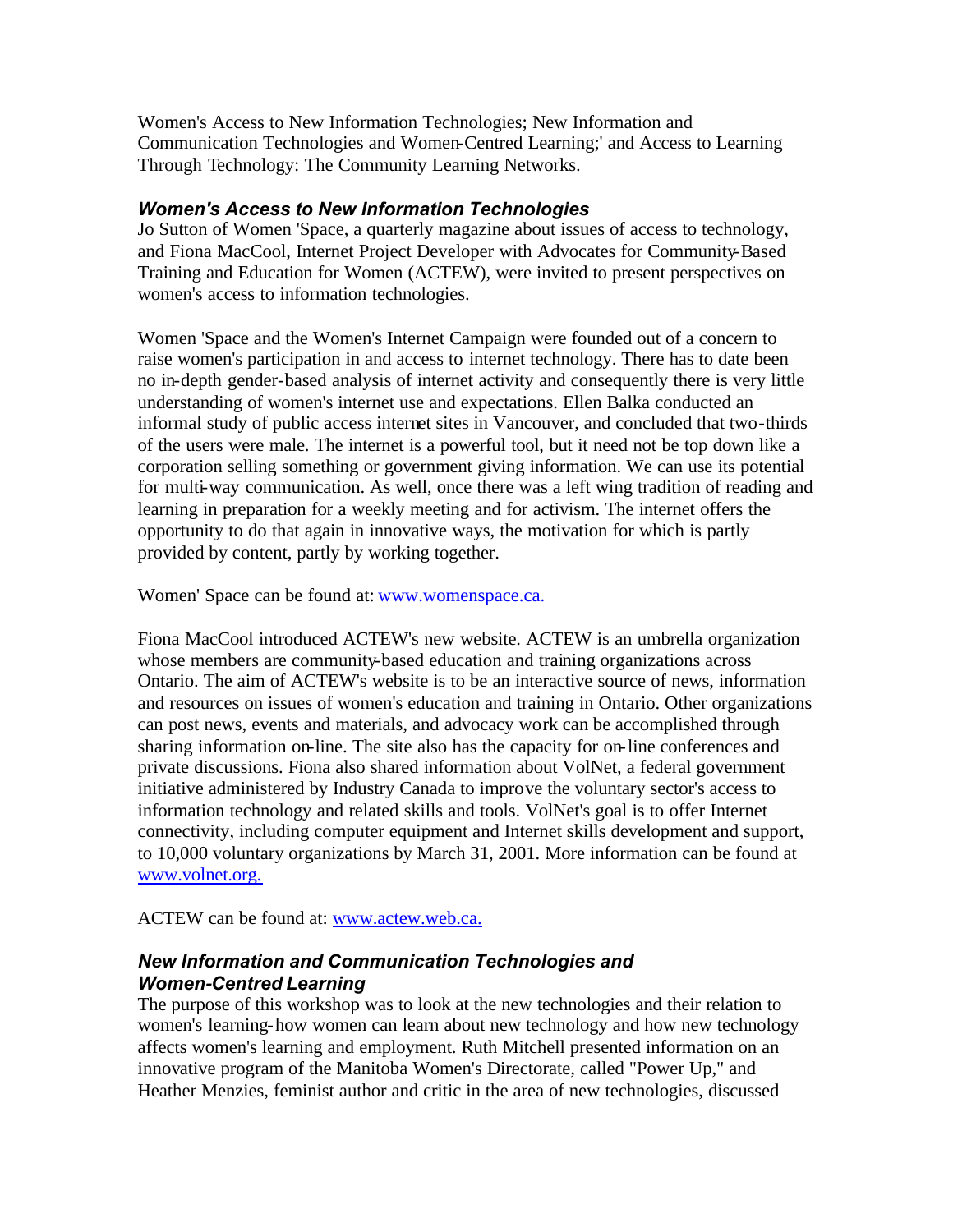Women's Access to New Information Technologies; New Information and Communication Technologies and Women-Centred Learning;' and Access to Learning Through Technology: The Community Learning Networks.

#### *Women's Access to New Information Technologies*

Jo Sutton of Women 'Space, a quarterly magazine about issues of access to technology, and Fiona MacCool, Internet Project Developer with Advocates for Community-Based Training and Education for Women (ACTEW), were invited to present perspectives on women's access to information technologies.

Women 'Space and the Women's Internet Campaign were founded out of a concern to raise women's participation in and access to internet technology. There has to date been no in-depth gender-based analysis of internet activity and consequently there is very little understanding of women's internet use and expectations. Ellen Balka conducted an informal study of public access internet sites in Vancouver, and concluded that two-thirds of the users were male. The internet is a powerful tool, but it need not be top down like a corporation selling something or government giving information. We can use its potential for multi-way communication. As well, once there was a left wing tradition of reading and learning in preparation for a weekly meeting and for activism. The internet offers the opportunity to do that again in innovative ways, the motivation for which is partly provided by content, partly by working together.

Women' Space can be found at: www.womenspace.ca.

Fiona MacCool introduced ACTEW's new website. ACTEW is an umbrella organization whose members are community-based education and training organizations across Ontario. The aim of ACTEW's website is to be an interactive source of news, information and resources on issues of women's education and training in Ontario. Other organizations can post news, events and materials, and advocacy work can be accomplished through sharing information on-line. The site also has the capacity for on-line conferences and private discussions. Fiona also shared information about VolNet, a federal government initiative administered by Industry Canada to improve the voluntary sector's access to information technology and related skills and tools. VolNet's goal is to offer Internet connectivity, including computer equipment and Internet skills development and support, to 10,000 voluntary organizations by March 31, 2001. More information can be found at www.volnet.org.

ACTEW can be found at: www.actew.web.ca.

## *New Information and Communication Technologies and Women-Centred Learning*

The purpose of this workshop was to look at the new technologies and their relation to women's learning-how women can learn about new technology and how new technology affects women's learning and employment. Ruth Mitchell presented information on an innovative program of the Manitoba Women's Directorate, called "Power Up," and Heather Menzies, feminist author and critic in the area of new technologies, discussed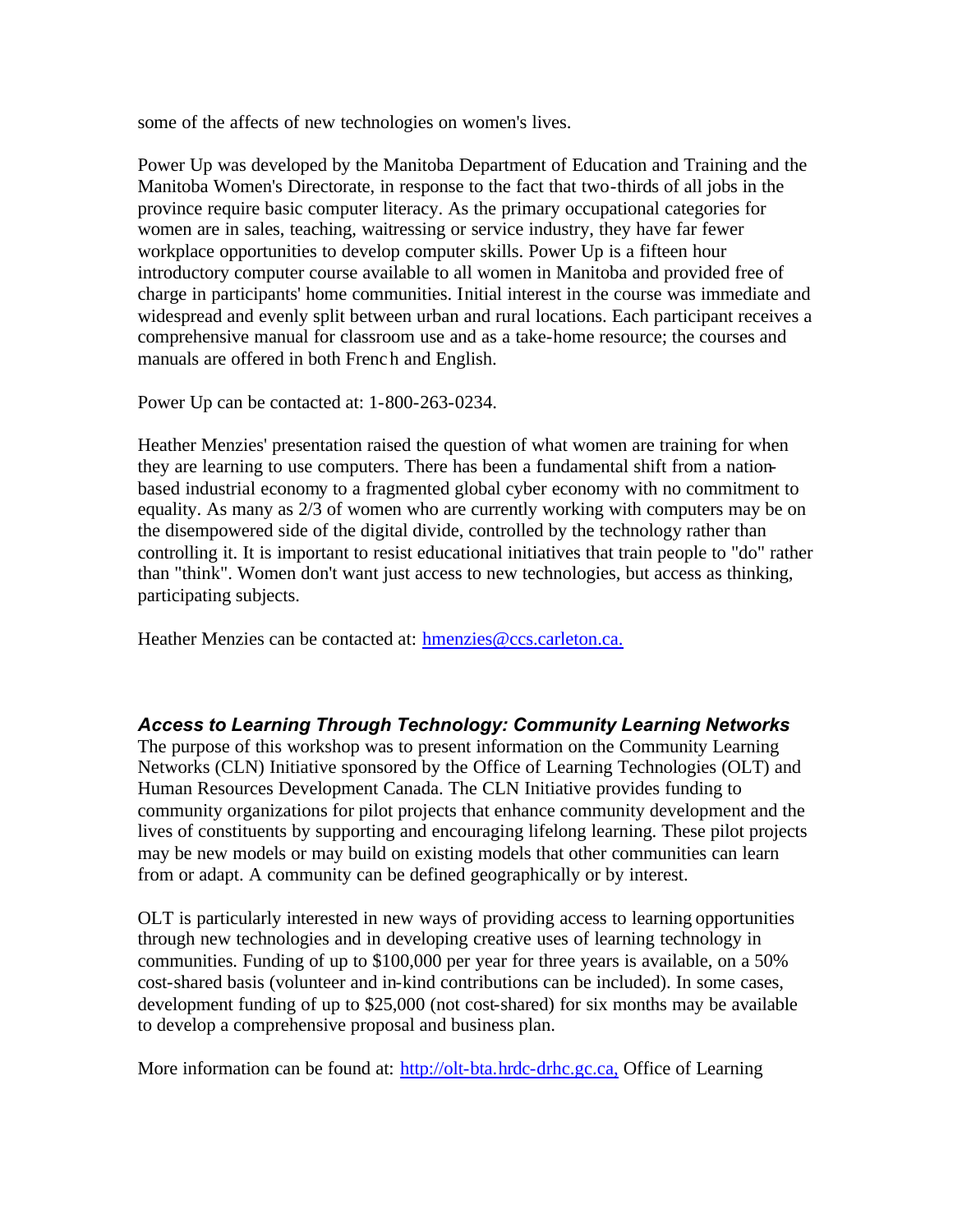some of the affects of new technologies on women's lives.

Power Up was developed by the Manitoba Department of Education and Training and the Manitoba Women's Directorate, in response to the fact that two-thirds of all jobs in the province require basic computer literacy. As the primary occupational categories for women are in sales, teaching, waitressing or service industry, they have far fewer workplace opportunities to develop computer skills. Power Up is a fifteen hour introductory computer course available to all women in Manitoba and provided free of charge in participants' home communities. Initial interest in the course was immediate and widespread and evenly split between urban and rural locations. Each participant receives a comprehensive manual for classroom use and as a take-home resource; the courses and manuals are offered in both French and English.

Power Up can be contacted at: 1-800-263-0234.

Heather Menzies' presentation raised the question of what women are training for when they are learning to use computers. There has been a fundamental shift from a nationbased industrial economy to a fragmented global cyber economy with no commitment to equality. As many as 2/3 of women who are currently working with computers may be on the disempowered side of the digital divide, controlled by the technology rather than controlling it. It is important to resist educational initiatives that train people to "do" rather than "think". Women don't want just access to new technologies, but access as thinking, participating subjects.

Heather Menzies can be contacted at: hmenzies@ccs.carleton.ca.

# *Access to Learning Through Technology: Community Learning Networks*

The purpose of this workshop was to present information on the Community Learning Networks (CLN) Initiative sponsored by the Office of Learning Technologies (OLT) and Human Resources Development Canada. The CLN Initiative provides funding to community organizations for pilot projects that enhance community development and the lives of constituents by supporting and encouraging lifelong learning. These pilot projects may be new models or may build on existing models that other communities can learn from or adapt. A community can be defined geographically or by interest.

OLT is particularly interested in new ways of providing access to learning opportunities through new technologies and in developing creative uses of learning technology in communities. Funding of up to \$100,000 per year for three years is available, on a 50% cost-shared basis (volunteer and in-kind contributions can be included). In some cases, development funding of up to \$25,000 (not cost-shared) for six months may be available to develop a comprehensive proposal and business plan.

More information can be found at: http://olt-bta.hrdc-drhc.gc.ca, Office of Learning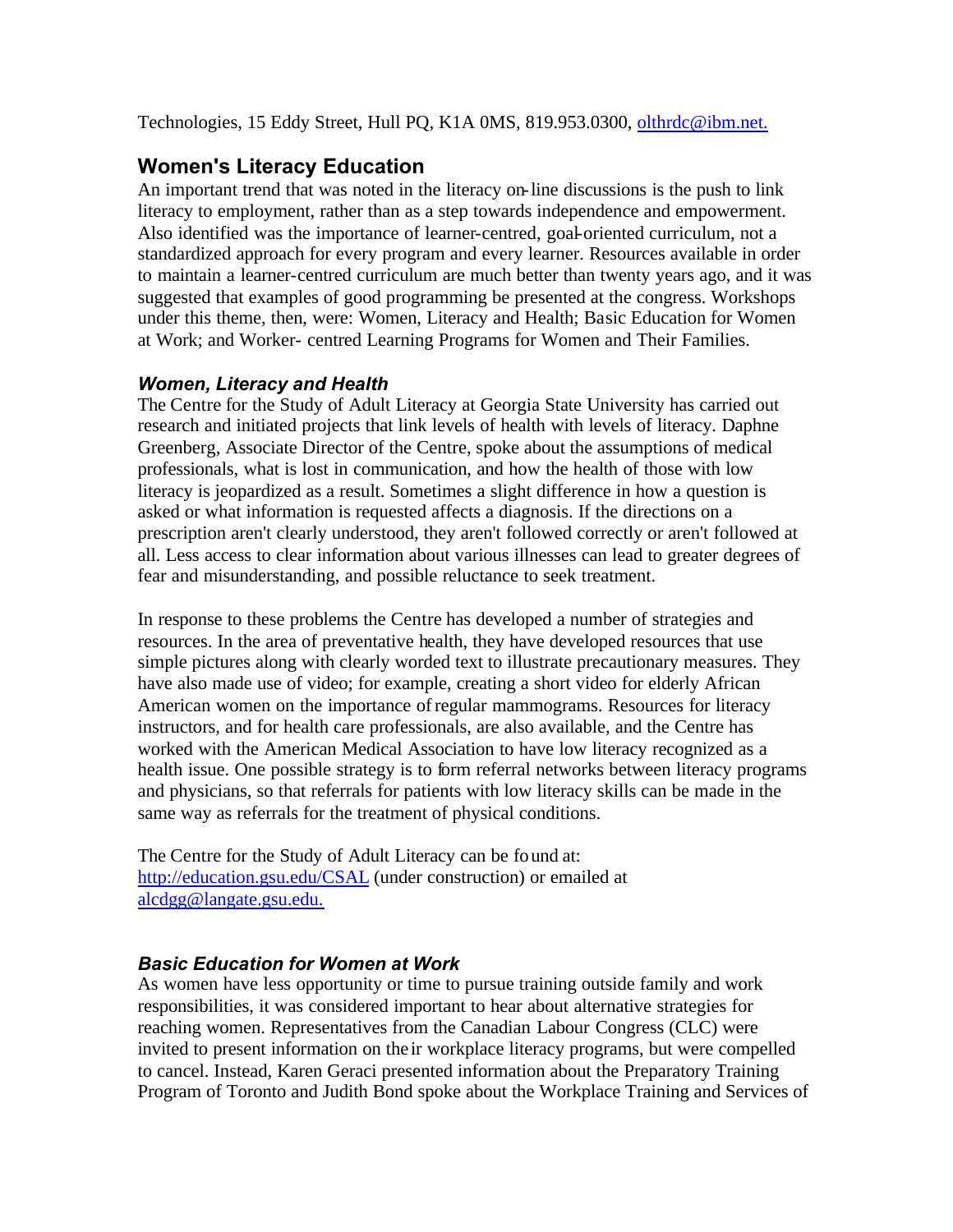<span id="page-18-0"></span>Technologies, 15 Eddy Street, Hull PQ, K1A 0MS, 819.953.0300, olthrdc@ibm.net.

# **Women's Literacy Education**

An important trend that was noted in the literacy on-line discussions is the push to link literacy to employment, rather than as a step towards independence and empowerment. Also identified was the importance of learner-centred, goal-oriented curriculum, not a standardized approach for every program and every learner. Resources available in order to maintain a learner-centred curriculum are much better than twenty years ago, and it was suggested that examples of good programming be presented at the congress. Workshops under this theme, then, were: Women, Literacy and Health; Basic Education for Women at Work; and Worker- centred Learning Programs for Women and Their Families.

### *Women, Literacy and Health*

The Centre for the Study of Adult Literacy at Georgia State University has carried out research and initiated projects that link levels of health with levels of literacy. Daphne Greenberg, Associate Director of the Centre, spoke about the assumptions of medical professionals, what is lost in communication, and how the health of those with low literacy is jeopardized as a result. Sometimes a slight difference in how a question is asked or what information is requested affects a diagnosis. If the directions on a prescription aren't clearly understood, they aren't followed correctly or aren't followed at all. Less access to clear information about various illnesses can lead to greater degrees of fear and misunderstanding, and possible reluctance to seek treatment.

In response to these problems the Centre has developed a number of strategies and resources. In the area of preventative health, they have developed resources that use simple pictures along with clearly worded text to illustrate precautionary measures. They have also made use of video; for example, creating a short video for elderly African American women on the importance of regular mammograms. Resources for literacy instructors, and for health care professionals, are also available, and the Centre has worked with the American Medical Association to have low literacy recognized as a health issue. One possible strategy is to form referral networks between literacy programs and physicians, so that referrals for patients with low literacy skills can be made in the same way as referrals for the treatment of physical conditions.

The Centre for the Study of Adult Literacy can be found at: http://education.gsu.edu/CSAL (under construction) or emailed at alcdgg@langate.gsu.edu.

### *Basic Education for Women at Work*

As women have less opportunity or time to pursue training outside family and work responsibilities, it was considered important to hear about alternative strategies for reaching women. Representatives from the Canadian Labour Congress (CLC) were invited to present information on the ir workplace literacy programs, but were compelled to cancel. Instead, Karen Geraci presented information about the Preparatory Training Program of Toronto and Judith Bond spoke about the Workplace Training and Services of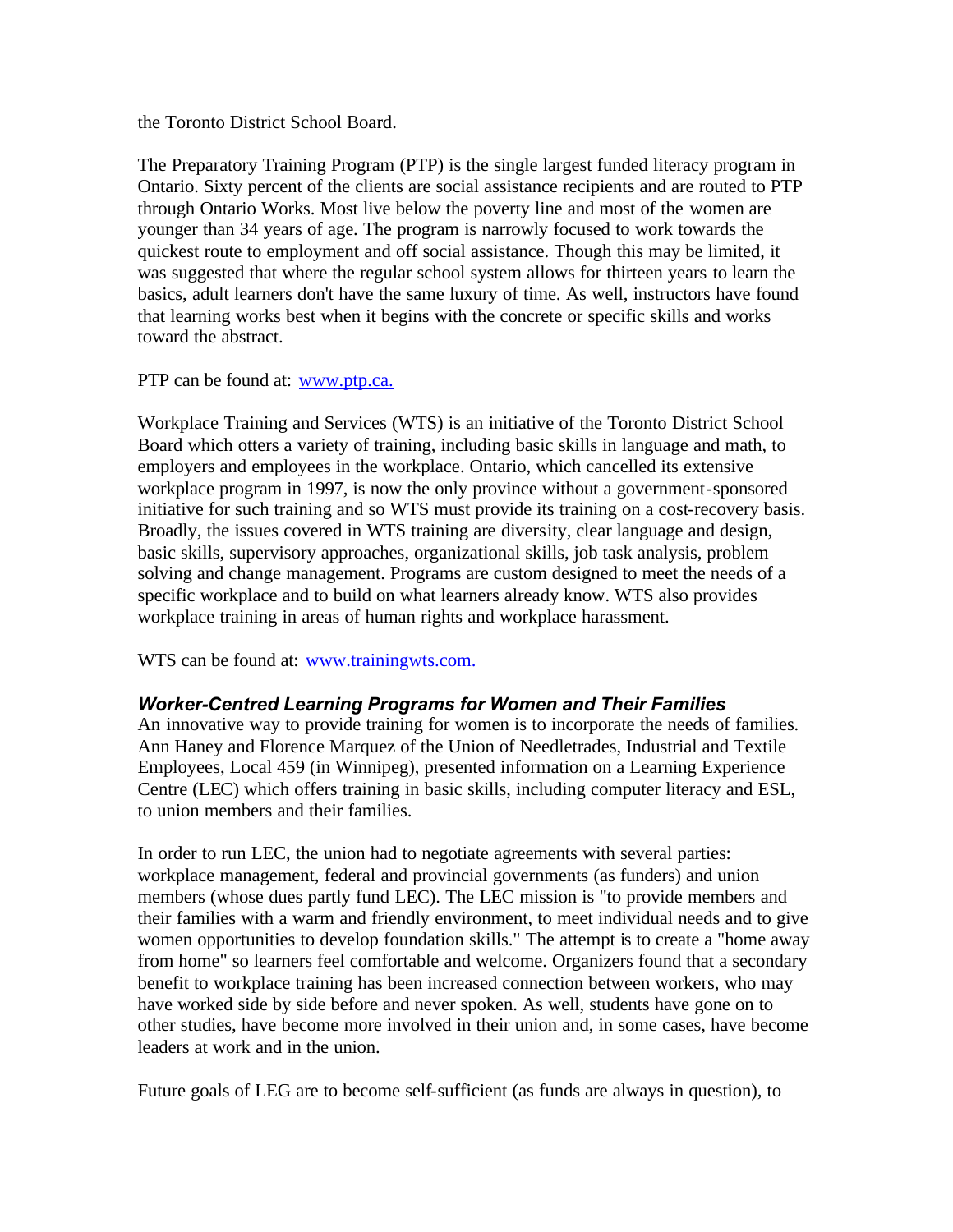the Toronto District School Board.

The Preparatory Training Program (PTP) is the single largest funded literacy program in Ontario. Sixty percent of the clients are social assistance recipients and are routed to PTP through Ontario Works. Most live below the poverty line and most of the women are younger than 34 years of age. The program is narrowly focused to work towards the quickest route to employment and off social assistance. Though this may be limited, it was suggested that where the regular school system allows for thirteen years to learn the basics, adult learners don't have the same luxury of time. As well, instructors have found that learning works best when it begins with the concrete or specific skills and works toward the abstract.

PTP can be found at: www.ptp.ca.

Workplace Training and Services (WTS) is an initiative of the Toronto District School Board which otters a variety of training, including basic skills in language and math, to employers and employees in the workplace. Ontario, which cancelled its extensive workplace program in 1997, is now the only province without a government-sponsored initiative for such training and so WTS must provide its training on a cost-recovery basis. Broadly, the issues covered in WTS training are diversity, clear language and design, basic skills, supervisory approaches, organizational skills, job task analysis, problem solving and change management. Programs are custom designed to meet the needs of a specific workplace and to build on what learners already know. WTS also provides workplace training in areas of human rights and workplace harassment.

WTS can be found at: www.trainingwts.com.

### *Worker-Centred Learning Programs for Women and Their Families*

An innovative way to provide training for women is to incorporate the needs of families. Ann Haney and Florence Marquez of the Union of Needletrades, Industrial and Textile Employees, Local 459 (in Winnipeg), presented information on a Learning Experience Centre (LEC) which offers training in basic skills, including computer literacy and ESL, to union members and their families.

In order to run LEC, the union had to negotiate agreements with several parties: workplace management, federal and provincial governments (as funders) and union members (whose dues partly fund LEC). The LEC mission is "to provide members and their families with a warm and friendly environment, to meet individual needs and to give women opportunities to develop foundation skills." The attempt is to create a "home away from home" so learners feel comfortable and welcome. Organizers found that a secondary benefit to workplace training has been increased connection between workers, who may have worked side by side before and never spoken. As well, students have gone on to other studies, have become more involved in their union and, in some cases, have become leaders at work and in the union.

Future goals of LEG are to become self-sufficient (as funds are always in question), to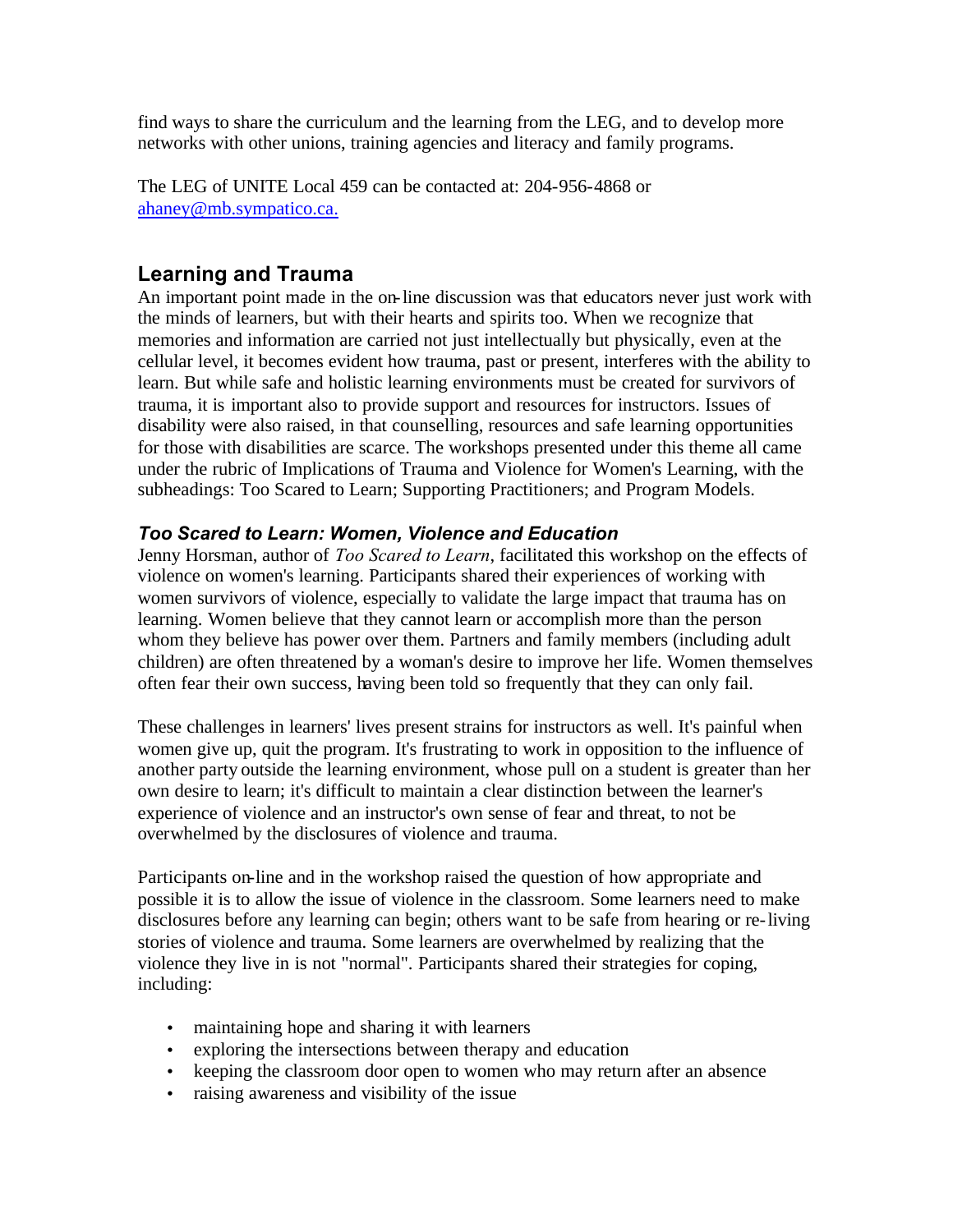<span id="page-20-0"></span>find ways to share the curriculum and the learning from the LEG, and to develop more networks with other unions, training agencies and literacy and family programs.

The LEG of UNITE Local 459 can be contacted at: 204-956-4868 or ahaney@mb.sympatico.ca.

# **Learning and Trauma**

An important point made in the on-line discussion was that educators never just work with the minds of learners, but with their hearts and spirits too. When we recognize that memories and information are carried not just intellectually but physically, even at the cellular level, it becomes evident how trauma, past or present, interferes with the ability to learn. But while safe and holistic learning environments must be created for survivors of trauma, it is important also to provide support and resources for instructors. Issues of disability were also raised, in that counselling, resources and safe learning opportunities for those with disabilities are scarce. The workshops presented under this theme all came under the rubric of Implications of Trauma and Violence for Women's Learning, with the subheadings: Too Scared to Learn; Supporting Practitioners; and Program Models.

## *Too Scared to Learn: Women, Violence and Education*

Jenny Horsman, author of *Too Scared to Learn*, facilitated this workshop on the effects of violence on women's learning. Participants shared their experiences of working with women survivors of violence, especially to validate the large impact that trauma has on learning. Women believe that they cannot learn or accomplish more than the person whom they believe has power over them. Partners and family members (including adult children) are often threatened by a woman's desire to improve her life. Women themselves often fear their own success, having been told so frequently that they can only fail.

These challenges in learners' lives present strains for instructors as well. It's painful when women give up, quit the program. It's frustrating to work in opposition to the influence of another party outside the learning environment, whose pull on a student is greater than her own desire to learn; it's difficult to maintain a clear distinction between the learner's experience of violence and an instructor's own sense of fear and threat, to not be overwhelmed by the disclosures of violence and trauma.

Participants on-line and in the workshop raised the question of how appropriate and possible it is to allow the issue of violence in the classroom. Some learners need to make disclosures before any learning can begin; others want to be safe from hearing or re-living stories of violence and trauma. Some learners are overwhelmed by realizing that the violence they live in is not "normal". Participants shared their strategies for coping, including:

- maintaining hope and sharing it with learners
- exploring the intersections between therapy and education
- keeping the classroom door open to women who may return after an absence
- raising awareness and visibility of the issue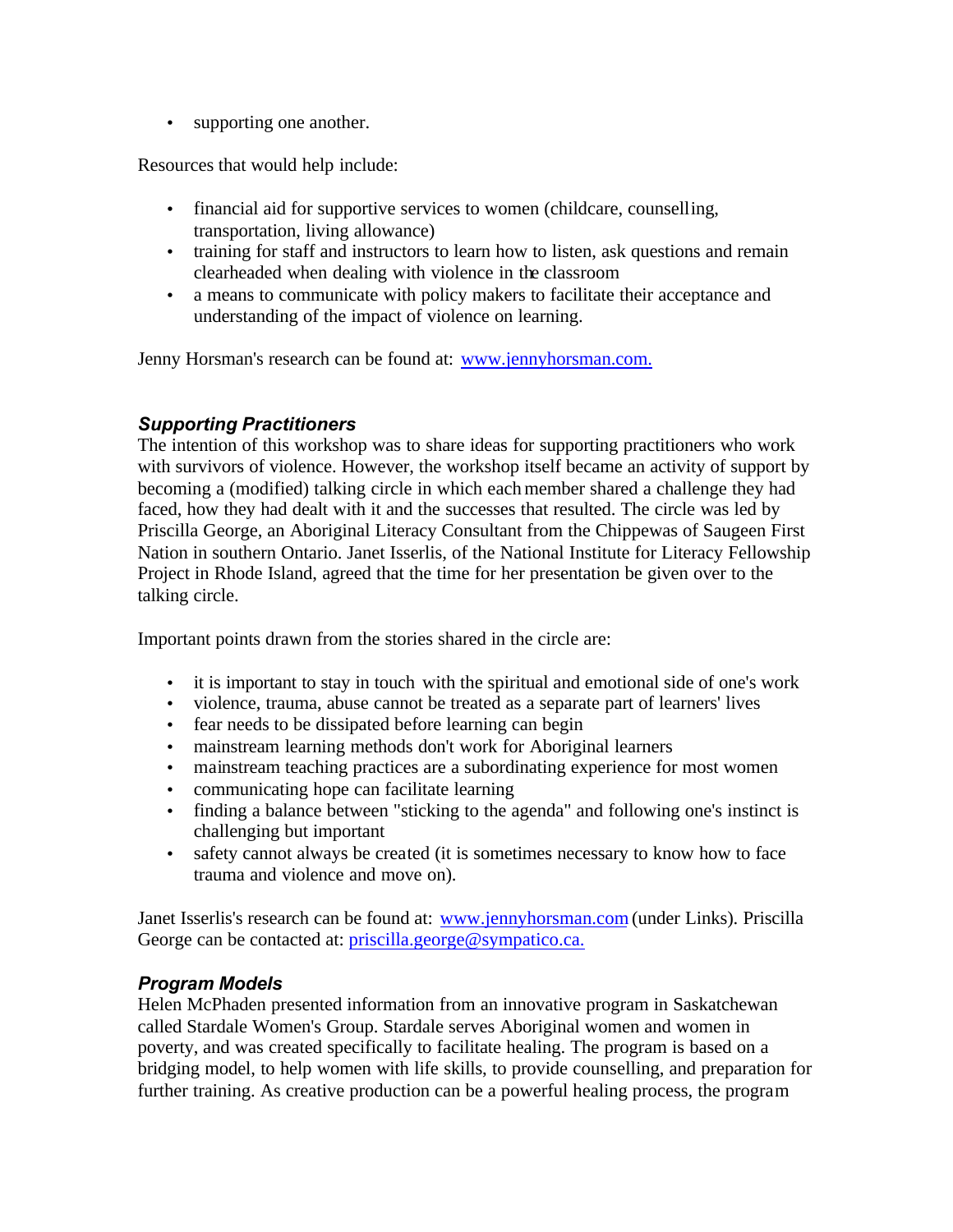• supporting one another.

Resources that would help include:

- financial aid for supportive services to women (childcare, counselling, transportation, living allowance)
- training for staff and instructors to learn how to listen, ask questions and remain clearheaded when dealing with violence in the classroom
- a means to communicate with policy makers to facilitate their acceptance and understanding of the impact of violence on learning.

Jenny Horsman's research can be found at: www.jennyhorsman.com.

## *Supporting Practitioners*

The intention of this workshop was to share ideas for supporting practitioners who work with survivors of violence. However, the workshop itself became an activity of support by becoming a (modified) talking circle in which each member shared a challenge they had faced, how they had dealt with it and the successes that resulted. The circle was led by Priscilla George, an Aboriginal Literacy Consultant from the Chippewas of Saugeen First Nation in southern Ontario. Janet Isserlis, of the National Institute for Literacy Fellowship Project in Rhode Island, agreed that the time for her presentation be given over to the talking circle.

Important points drawn from the stories shared in the circle are:

- it is important to stay in touch with the spiritual and emotional side of one's work
- violence, trauma, abuse cannot be treated as a separate part of learners' lives
- fear needs to be dissipated before learning can begin
- mainstream learning methods don't work for Aboriginal learners
- mainstream teaching practices are a subordinating experience for most women
- communicating hope can facilitate learning
- finding a balance between "sticking to the agenda" and following one's instinct is challenging but important
- safety cannot always be created (it is sometimes necessary to know how to face trauma and violence and move on).

Janet Isserlis's research can be found at: www.jennyhorsman.com (under Links). Priscilla George can be contacted at: priscilla.george@sympatico.ca.

### *Program Models*

Helen McPhaden presented information from an innovative program in Saskatchewan called Stardale Women's Group. Stardale serves Aboriginal women and women in poverty, and was created specifically to facilitate healing. The program is based on a bridging model, to help women with life skills, to provide counselling, and preparation for further training. As creative production can be a powerful healing process, the program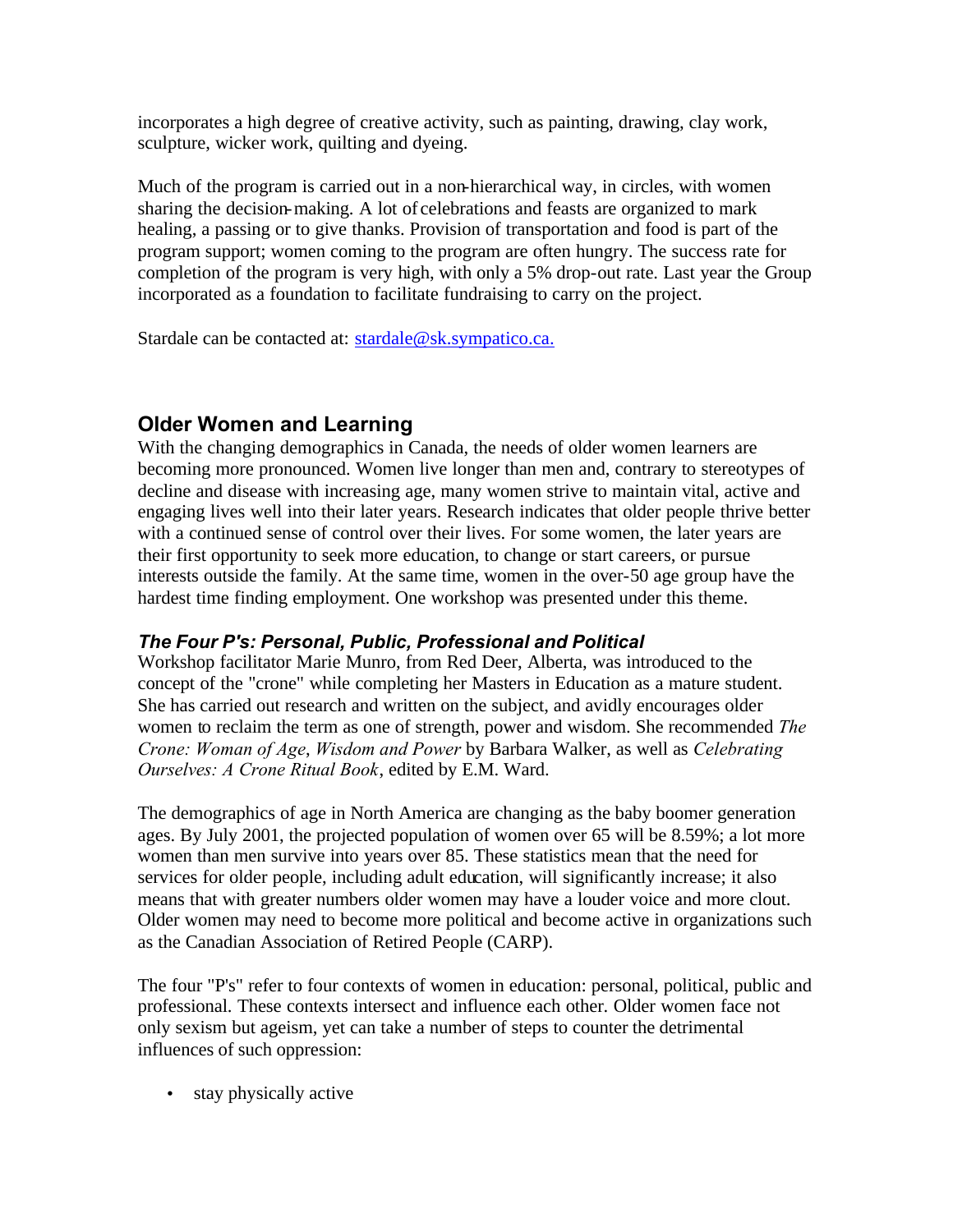<span id="page-22-0"></span>incorporates a high degree of creative activity, such as painting, drawing, clay work, sculpture, wicker work, quilting and dyeing.

Much of the program is carried out in a non-hierarchical way, in circles, with women sharing the decision-making. A lot of celebrations and feasts are organized to mark healing, a passing or to give thanks. Provision of transportation and food is part of the program support; women coming to the program are often hungry. The success rate for completion of the program is very high, with only a 5% drop-out rate. Last year the Group incorporated as a foundation to facilitate fundraising to carry on the project.

Stardale can be contacted at: stardale@sk.sympatico.ca.

# **Older Women and Learning**

With the changing demographics in Canada, the needs of older women learners are becoming more pronounced. Women live longer than men and, contrary to stereotypes of decline and disease with increasing age, many women strive to maintain vital, active and engaging lives well into their later years. Research indicates that older people thrive better with a continued sense of control over their lives. For some women, the later years are their first opportunity to seek more education, to change or start careers, or pursue interests outside the family. At the same time, women in the over-50 age group have the hardest time finding employment. One workshop was presented under this theme.

### *The Four P's: Personal, Public, Professional and Political*

Workshop facilitator Marie Munro, from Red Deer, Alberta, was introduced to the concept of the "crone" while completing her Masters in Education as a mature student. She has carried out research and written on the subject, and avidly encourages older women to reclaim the term as one of strength, power and wisdom. She recommended *The Crone: Woman of Age*, *Wisdom and Power* by Barbara Walker, as well as *Celebrating Ourselves: A Crone Ritual Book*, edited by E.M. Ward.

The demographics of age in North America are changing as the baby boomer generation ages. By July 2001, the projected population of women over 65 will be 8.59%; a lot more women than men survive into years over 85. These statistics mean that the need for services for older people, including adult education, will significantly increase; it also means that with greater numbers older women may have a louder voice and more clout. Older women may need to become more political and become active in organizations such as the Canadian Association of Retired People (CARP).

The four "P's" refer to four contexts of women in education: personal, political, public and professional. These contexts intersect and influence each other. Older women face not only sexism but ageism, yet can take a number of steps to counter the detrimental influences of such oppression:

• stay physically active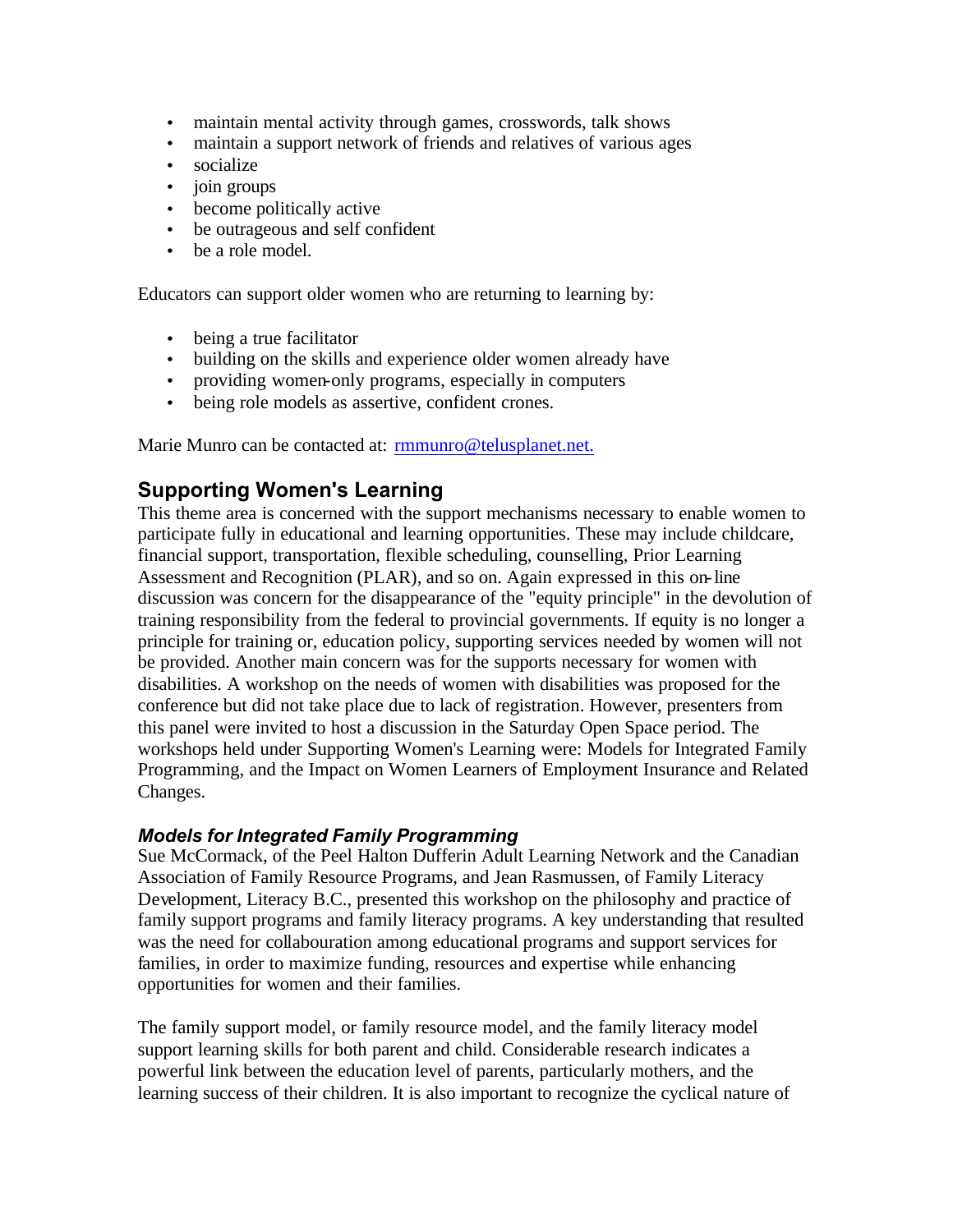- <span id="page-23-0"></span>• maintain mental activity through games, crosswords, talk shows
- maintain a support network of friends and relatives of various ages
- socialize
- join groups
- become politically active
- be outrageous and self confident
- be a role model.

Educators can support older women who are returning to learning by:

- being a true facilitator
- building on the skills and experience older women already have
- providing women-only programs, especially in computers
- being role models as assertive, confident crones.

Marie Munro can be contacted at: rmmunro@telusplanet.net.

# **Supporting Women's Learning**

This theme area is concerned with the support mechanisms necessary to enable women to participate fully in educational and learning opportunities. These may include childcare, financial support, transportation, flexible scheduling, counselling, Prior Learning Assessment and Recognition (PLAR), and so on. Again expressed in this on-line discussion was concern for the disappearance of the "equity principle" in the devolution of training responsibility from the federal to provincial governments. If equity is no longer a principle for training or, education policy, supporting services needed by women will not be provided. Another main concern was for the supports necessary for women with disabilities. A workshop on the needs of women with disabilities was proposed for the conference but did not take place due to lack of registration. However, presenters from this panel were invited to host a discussion in the Saturday Open Space period. The workshops held under Supporting Women's Learning were: Models for Integrated Family Programming, and the Impact on Women Learners of Employment Insurance and Related Changes.

#### *Models for Integrated Family Programming*

Sue McCormack, of the Peel Halton Dufferin Adult Learning Network and the Canadian Association of Family Resource Programs, and Jean Rasmussen, of Family Literacy Development, Literacy B.C., presented this workshop on the philosophy and practice of family support programs and family literacy programs. A key understanding that resulted was the need for collabouration among educational programs and support services for families, in order to maximize funding, resources and expertise while enhancing opportunities for women and their families.

The family support model, or family resource model, and the family literacy model support learning skills for both parent and child. Considerable research indicates a powerful link between the education level of parents, particularly mothers, and the learning success of their children. It is also important to recognize the cyclical nature of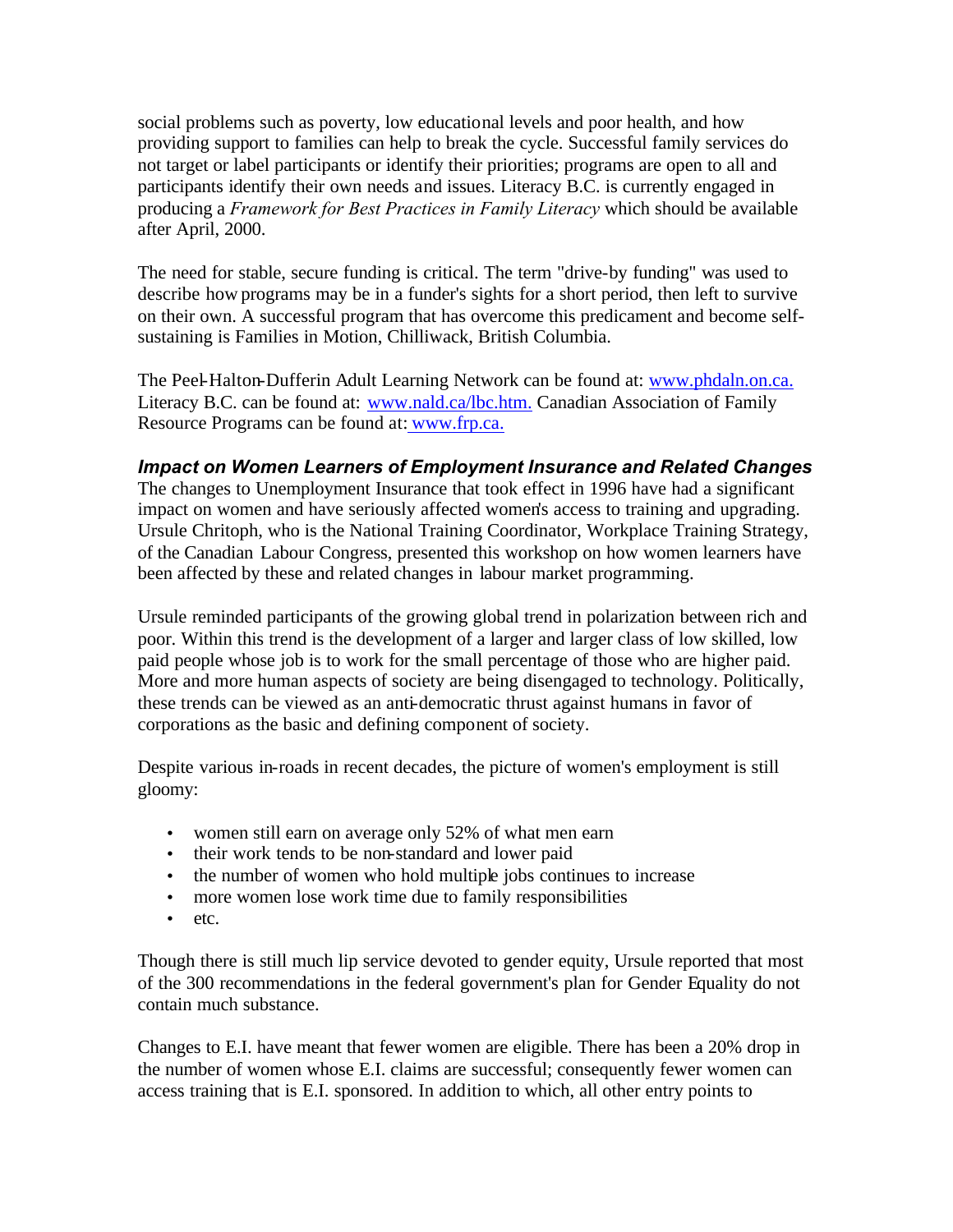social problems such as poverty, low educational levels and poor health, and how providing support to families can help to break the cycle. Successful family services do not target or label participants or identify their priorities; programs are open to all and participants identify their own needs and issues. Literacy B.C. is currently engaged in producing a *Framework for Best Practices in Family Literacy* which should be available after April, 2000.

The need for stable, secure funding is critical. The term "drive-by funding" was used to describe how programs may be in a funder's sights for a short period, then left to survive on their own. A successful program that has overcome this predicament and become selfsustaining is Families in Motion, Chilliwack, British Columbia.

The Peel-Halton-Dufferin Adult Learning Network can be found at: www.phdaln.on.ca. Literacy B.C. can be found at: www.nald.ca/lbc.htm. Canadian Association of Family Resource Programs can be found at: www.frp.ca.

### *Impact on Women Learners of Employment Insurance and Related Changes*

The changes to Unemployment Insurance that took effect in 1996 have had a significant impact on women and have seriously affected women's access to training and upgrading. Ursule Chritoph, who is the National Training Coordinator, Workplace Training Strategy, of the Canadian Labour Congress, presented this workshop on how women learners have been affected by these and related changes in labour market programming.

Ursule reminded participants of the growing global trend in polarization between rich and poor. Within this trend is the development of a larger and larger class of low skilled, low paid people whose job is to work for the small percentage of those who are higher paid. More and more human aspects of society are being disengaged to technology. Politically, these trends can be viewed as an anti-democratic thrust against humans in favor of corporations as the basic and defining component of society.

Despite various in-roads in recent decades, the picture of women's employment is still gloomy:

- women still earn on average only 52% of what men earn
- their work tends to be non-standard and lower paid
- the number of women who hold multiple jobs continues to increase
- more women lose work time due to family responsibilities
- etc.

Though there is still much lip service devoted to gender equity, Ursule reported that most of the 300 recommendations in the federal government's plan for Gender Equality do not contain much substance.

Changes to E.I. have meant that fewer women are eligible. There has been a 20% drop in the number of women whose E.I. claims are successful; consequently fewer women can access training that is E.I. sponsored. In addition to which, all other entry points to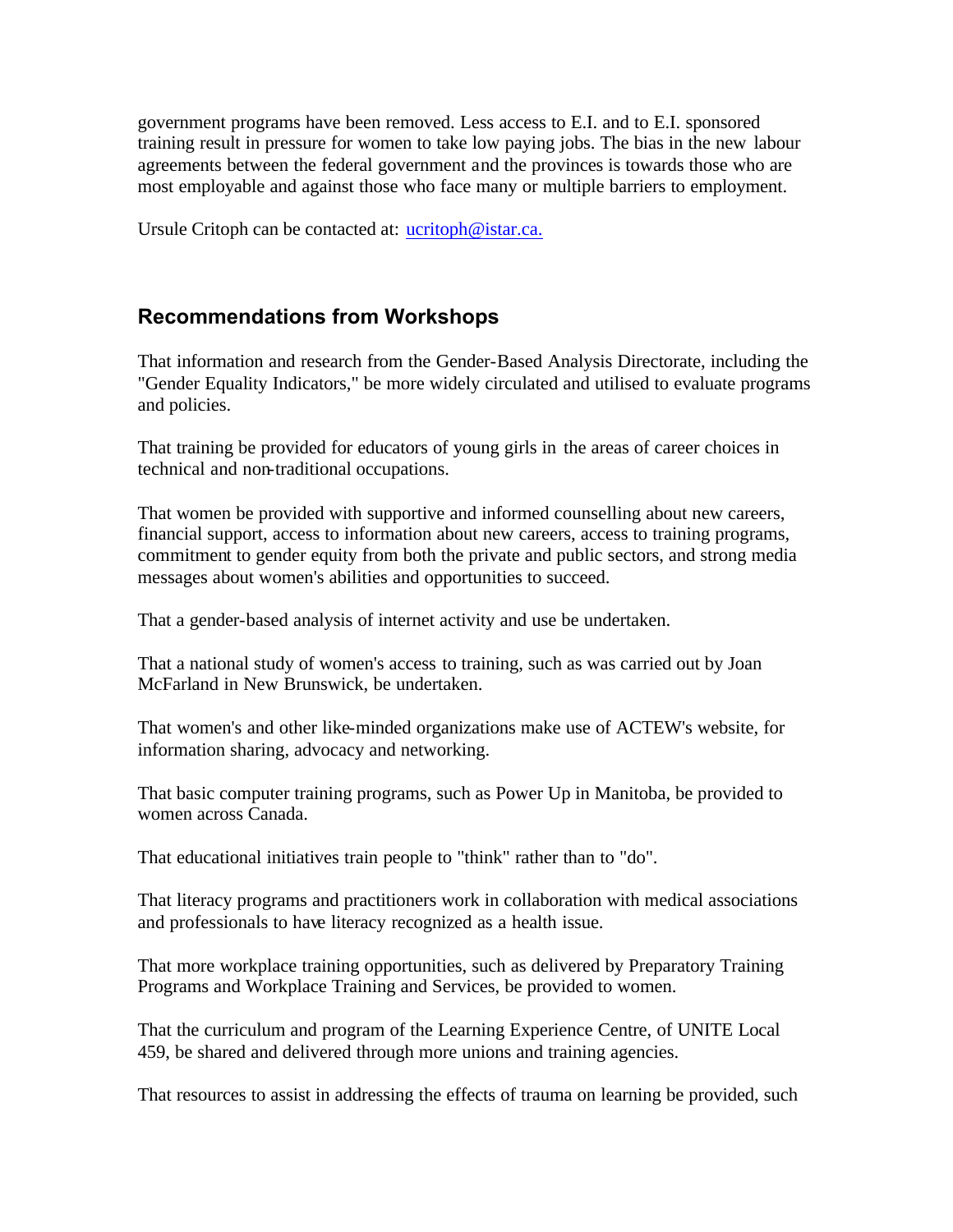<span id="page-25-0"></span>government programs have been removed. Less access to E.I. and to E.I. sponsored training result in pressure for women to take low paying jobs. The bias in the new labour agreements between the federal government and the provinces is towards those who are most employable and against those who face many or multiple barriers to employment.

Ursule Critoph can be contacted at: ucritoph@istar.ca.

# **Recommendations from Workshops**

That information and research from the Gender-Based Analysis Directorate, including the "Gender Equality Indicators," be more widely circulated and utilised to evaluate programs and policies.

That training be provided for educators of young girls in the areas of career choices in technical and non-traditional occupations.

That women be provided with supportive and informed counselling about new careers, financial support, access to information about new careers, access to training programs, commitment to gender equity from both the private and public sectors, and strong media messages about women's abilities and opportunities to succeed.

That a gender-based analysis of internet activity and use be undertaken.

That a national study of women's access to training, such as was carried out by Joan McFarland in New Brunswick, be undertaken.

That women's and other like-minded organizations make use of ACTEW's website, for information sharing, advocacy and networking.

That basic computer training programs, such as Power Up in Manitoba, be provided to women across Canada.

That educational initiatives train people to "think" rather than to "do".

That literacy programs and practitioners work in collaboration with medical associations and professionals to have literacy recognized as a health issue.

That more workplace training opportunities, such as delivered by Preparatory Training Programs and Workplace Training and Services, be provided to women.

That the curriculum and program of the Learning Experience Centre, of UNITE Local 459, be shared and delivered through more unions and training agencies.

That resources to assist in addressing the effects of trauma on learning be provided, such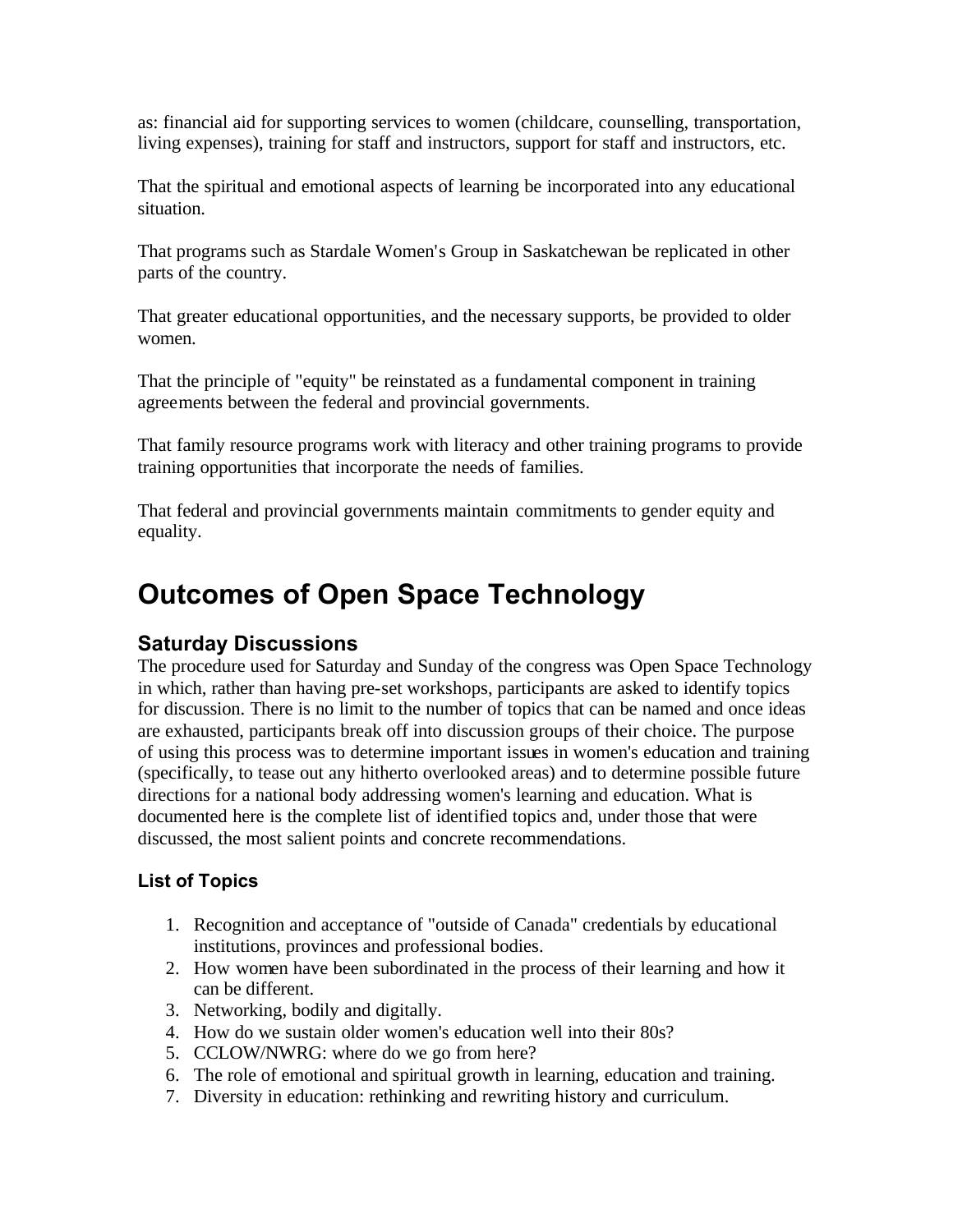<span id="page-26-0"></span>as: financial aid for supporting services to women (childcare, counselling, transportation, living expenses), training for staff and instructors, support for staff and instructors, etc.

That the spiritual and emotional aspects of learning be incorporated into any educational situation.

That programs such as Stardale Women's Group in Saskatchewan be replicated in other parts of the country.

That greater educational opportunities, and the necessary supports, be provided to older women.

That the principle of "equity" be reinstated as a fundamental component in training agreements between the federal and provincial governments.

That family resource programs work with literacy and other training programs to provide training opportunities that incorporate the needs of families.

That federal and provincial governments maintain commitments to gender equity and equality.

# **Outcomes of Open Space Technology**

# **Saturday Discussions**

The procedure used for Saturday and Sunday of the congress was Open Space Technology in which, rather than having pre-set workshops, participants are asked to identify topics for discussion. There is no limit to the number of topics that can be named and once ideas are exhausted, participants break off into discussion groups of their choice. The purpose of using this process was to determine important issues in women's education and training (specifically, to tease out any hitherto overlooked areas) and to determine possible future directions for a national body addressing women's learning and education. What is documented here is the complete list of identified topics and, under those that were discussed, the most salient points and concrete recommendations.

# **List of Topics**

- 1. Recognition and acceptance of "outside of Canada" credentials by educational institutions, provinces and professional bodies.
- 2. How women have been subordinated in the process of their learning and how it can be different.
- 3. Networking, bodily and digitally.
- 4. How do we sustain older women's education well into their 80s?
- 5. CCLOW/NWRG: where do we go from here?
- 6. The role of emotional and spiritual growth in learning, education and training.
- 7. Diversity in education: rethinking and rewriting history and curriculum.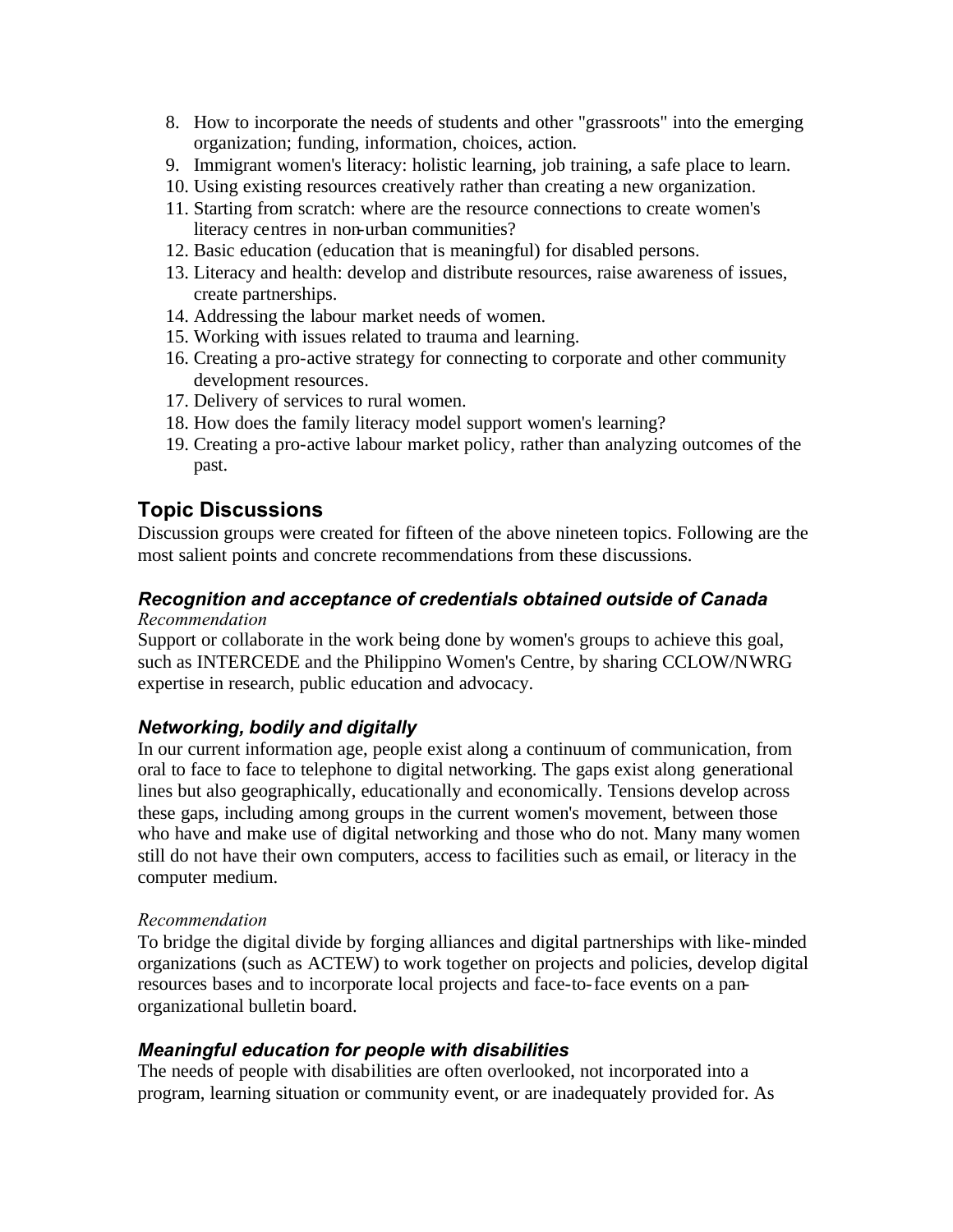- <span id="page-27-0"></span>8. How to incorporate the needs of students and other "grassroots" into the emerging organization; funding, information, choices, action.
- 9. Immigrant women's literacy: holistic learning, job training, a safe place to learn.
- 10. Using existing resources creatively rather than creating a new organization.
- 11. Starting from scratch: where are the resource connections to create women's literacy centres in non-urban communities?
- 12. Basic education (education that is meaningful) for disabled persons.
- 13. Literacy and health: develop and distribute resources, raise awareness of issues, create partnerships.
- 14. Addressing the labour market needs of women.
- 15. Working with issues related to trauma and learning.
- 16. Creating a pro-active strategy for connecting to corporate and other community development resources.
- 17. Delivery of services to rural women.
- 18. How does the family literacy model support women's learning?
- 19. Creating a pro-active labour market policy, rather than analyzing outcomes of the past.

## **Topic Discussions**

Discussion groups were created for fifteen of the above nineteen topics. Following are the most salient points and concrete recommendations from these discussions.

#### *Recognition and acceptance of credentials obtained outside of Canada Recommendation*

Support or collaborate in the work being done by women's groups to achieve this goal, such as INTERCEDE and the Philippino Women's Centre, by sharing CCLOW/NWRG expertise in research, public education and advocacy.

### *Networking, bodily and digitally*

In our current information age, people exist along a continuum of communication, from oral to face to face to telephone to digital networking. The gaps exist along generational lines but also geographically, educationally and economically. Tensions develop across these gaps, including among groups in the current women's movement, between those who have and make use of digital networking and those who do not. Many many women still do not have their own computers, access to facilities such as email, or literacy in the computer medium.

#### *Recommendation*

To bridge the digital divide by forging alliances and digital partnerships with like-minded organizations (such as ACTEW) to work together on projects and policies, develop digital resources bases and to incorporate local projects and face-to-face events on a panorganizational bulletin board.

#### *Meaningful education for people with disabilities*

The needs of people with disabilities are often overlooked, not incorporated into a program, learning situation or community event, or are inadequately provided for. As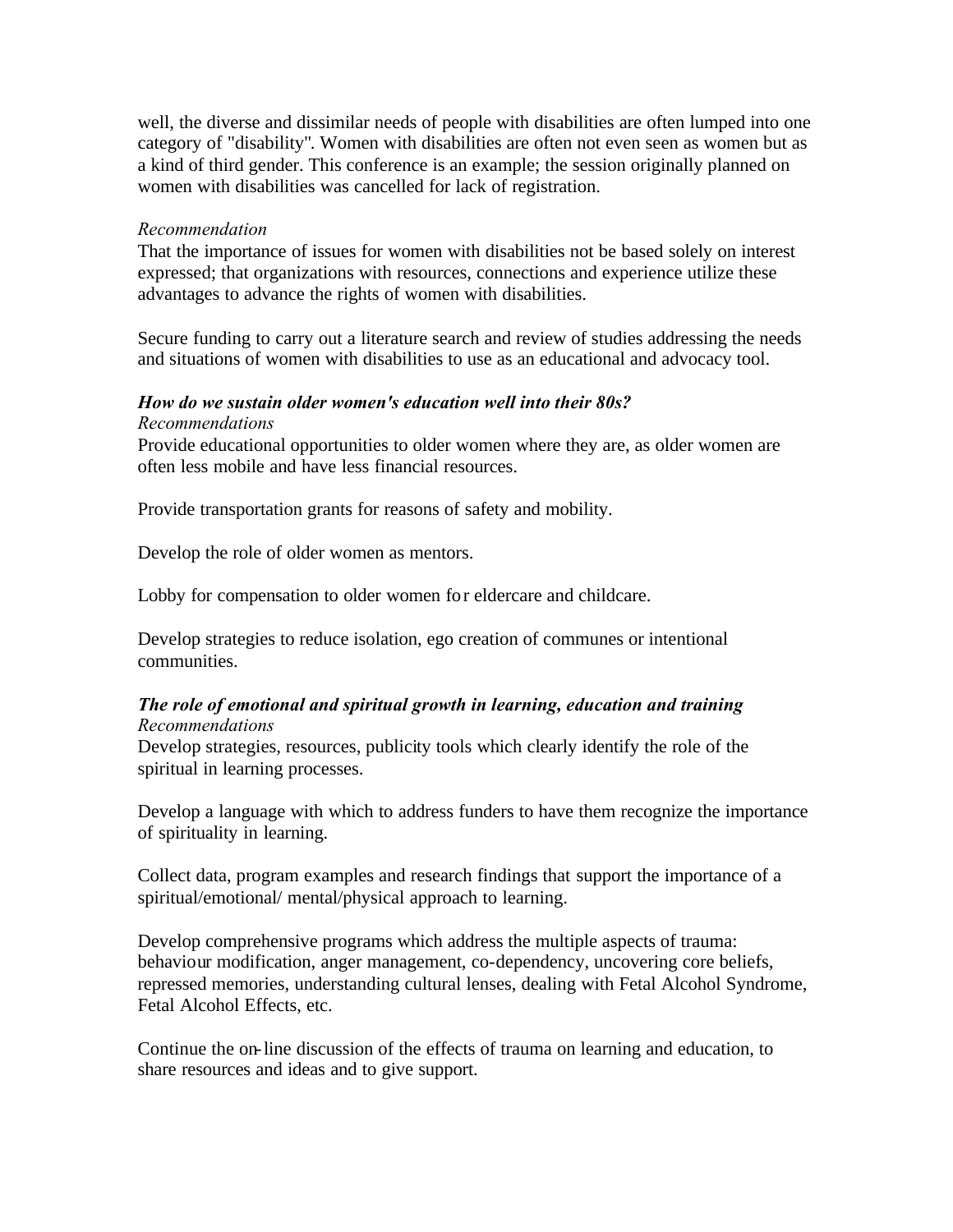well, the diverse and dissimilar needs of people with disabilities are often lumped into one category of "disability". Women with disabilities are often not even seen as women but as a kind of third gender. This conference is an example; the session originally planned on women with disabilities was cancelled for lack of registration.

#### *Recommendation*

That the importance of issues for women with disabilities not be based solely on interest expressed; that organizations with resources, connections and experience utilize these advantages to advance the rights of women with disabilities.

Secure funding to carry out a literature search and review of studies addressing the needs and situations of women with disabilities to use as an educational and advocacy tool.

# *How do we sustain older women's education well into their 80s?*

#### *Recommendations*

Provide educational opportunities to older women where they are, as older women are often less mobile and have less financial resources.

Provide transportation grants for reasons of safety and mobility.

Develop the role of older women as mentors.

Lobby for compensation to older women for eldercare and childcare.

Develop strategies to reduce isolation, ego creation of communes or intentional communities.

#### *The role of emotional and spiritual growth in learning, education and training Recommendations*

Develop strategies, resources, publicity tools which clearly identify the role of the spiritual in learning processes.

Develop a language with which to address funders to have them recognize the importance of spirituality in learning.

Collect data, program examples and research findings that support the importance of a spiritual/emotional/ mental/physical approach to learning.

Develop comprehensive programs which address the multiple aspects of trauma: behaviour modification, anger management, co-dependency, uncovering core beliefs, repressed memories, understanding cultural lenses, dealing with Fetal Alcohol Syndrome, Fetal Alcohol Effects, etc.

Continue the on-line discussion of the effects of trauma on learning and education, to share resources and ideas and to give support.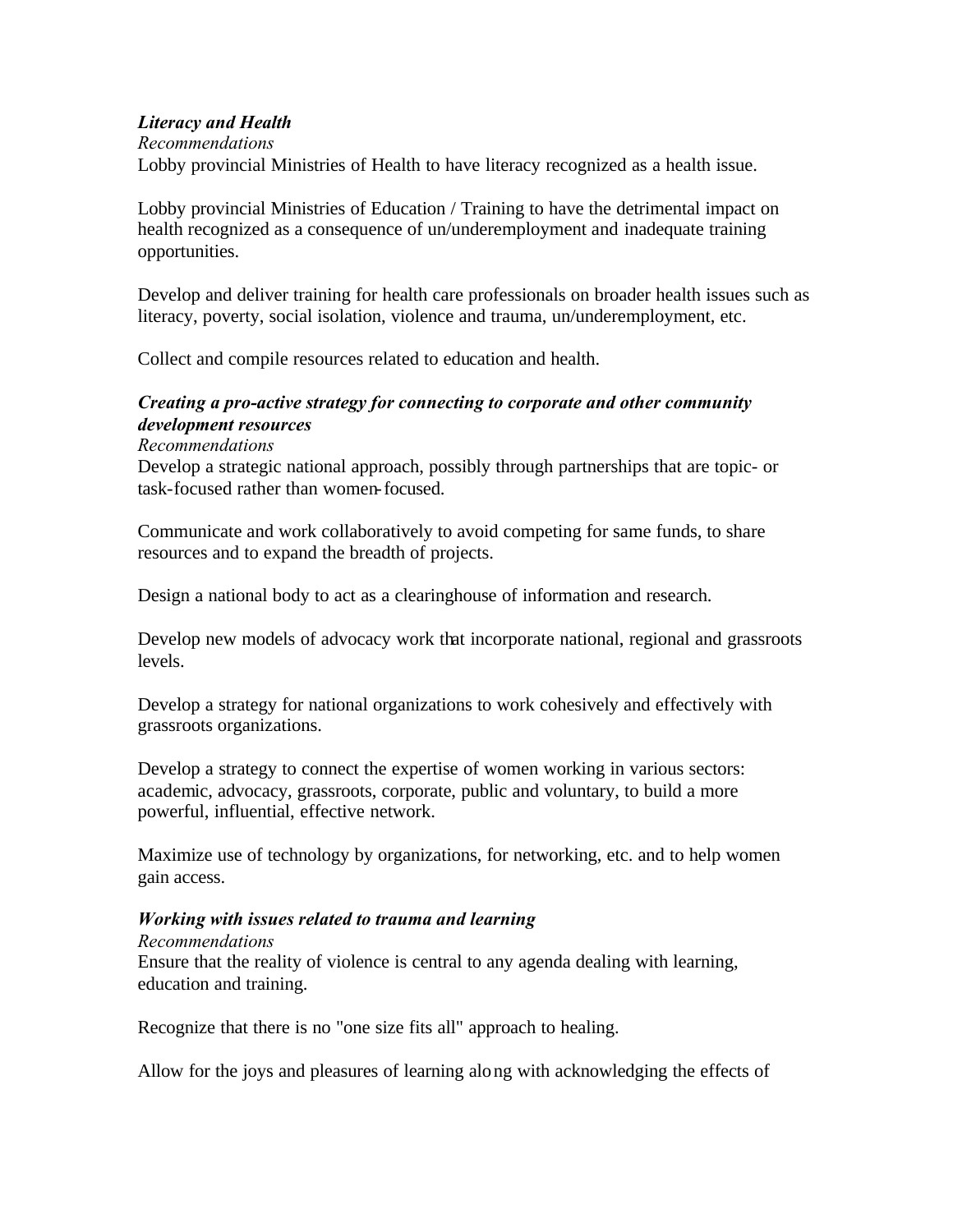#### *Literacy and Health*

#### *Recommendations*

Lobby provincial Ministries of Health to have literacy recognized as a health issue.

Lobby provincial Ministries of Education / Training to have the detrimental impact on health recognized as a consequence of un/underemployment and inadequate training opportunities.

Develop and deliver training for health care professionals on broader health issues such as literacy, poverty, social isolation, violence and trauma, un/underemployment, etc.

Collect and compile resources related to education and health.

### *Creating a pro-active strategy for connecting to corporate and other community development resources*

#### *Recommendations*

Develop a strategic national approach, possibly through partnerships that are topic- or task-focused rather than women-focused.

Communicate and work collaboratively to avoid competing for same funds, to share resources and to expand the breadth of projects.

Design a national body to act as a clearinghouse of information and research.

Develop new models of advocacy work that incorporate national, regional and grassroots levels.

Develop a strategy for national organizations to work cohesively and effectively with grassroots organizations.

Develop a strategy to connect the expertise of women working in various sectors: academic, advocacy, grassroots, corporate, public and voluntary, to build a more powerful, influential, effective network.

Maximize use of technology by organizations, for networking, etc. and to help women gain access.

### *Working with issues related to trauma and learning*

*Recommendations* 

Ensure that the reality of violence is central to any agenda dealing with learning, education and training.

Recognize that there is no "one size fits all" approach to healing.

Allow for the joys and pleasures of learning along with acknowledging the effects of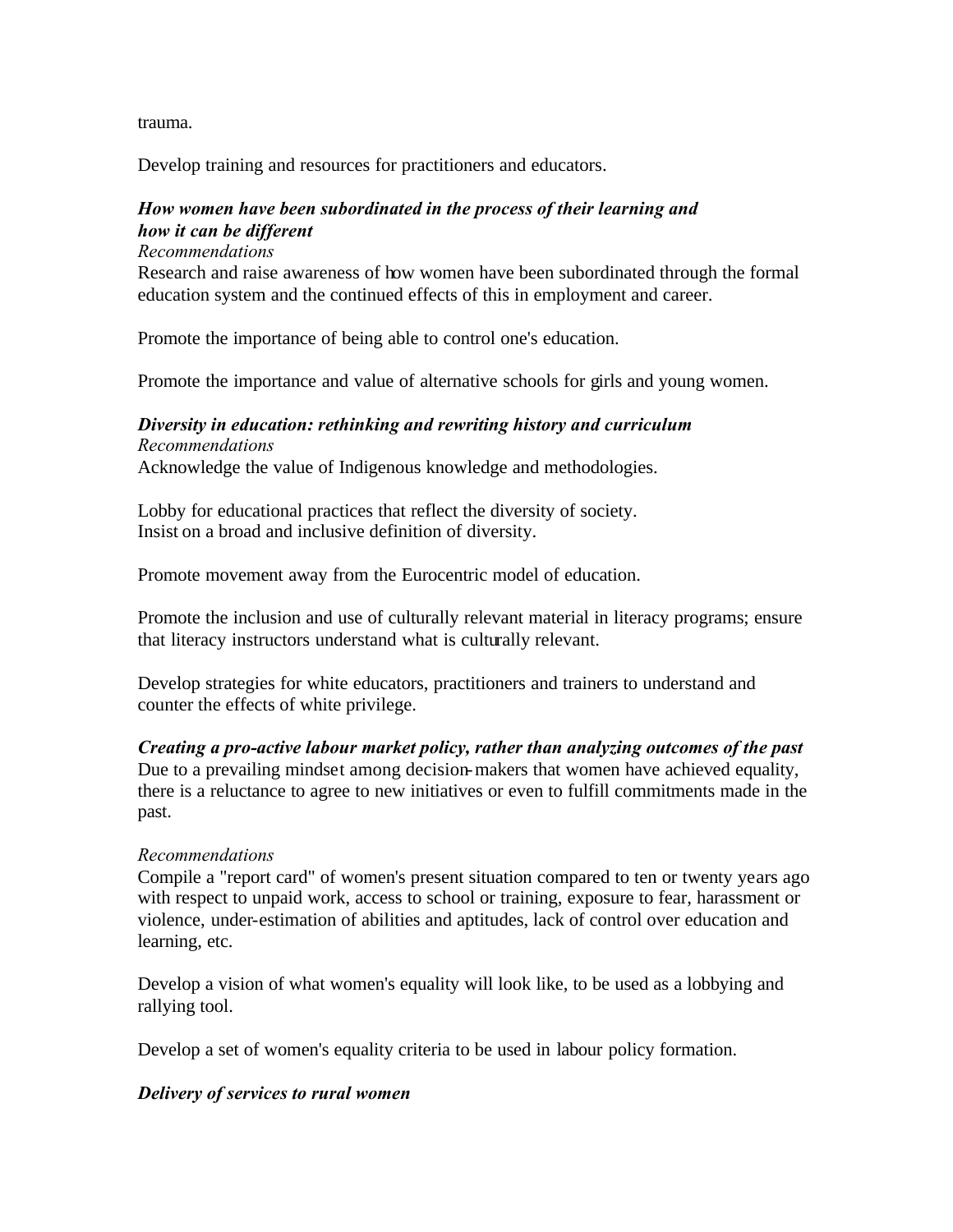trauma.

Develop training and resources for practitioners and educators.

### *How women have been subordinated in the process of their learning and how it can be different*

*Recommendations* 

Research and raise awareness of how women have been subordinated through the formal education system and the continued effects of this in employment and career.

Promote the importance of being able to control one's education.

Promote the importance and value of alternative schools for girls and young women.

# *Diversity in education: rethinking and rewriting history and curriculum*

*Recommendations* 

Acknowledge the value of Indigenous knowledge and methodologies.

Lobby for educational practices that reflect the diversity of society. Insist on a broad and inclusive definition of diversity.

Promote movement away from the Eurocentric model of education.

Promote the inclusion and use of culturally relevant material in literacy programs; ensure that literacy instructors understand what is culturally relevant.

Develop strategies for white educators, practitioners and trainers to understand and counter the effects of white privilege.

*Creating a pro-active labour market policy, rather than analyzing outcomes of the past* Due to a prevailing mindset among decision-makers that women have achieved equality, there is a reluctance to agree to new initiatives or even to fulfill commitments made in the past.

#### *Recommendations*

Compile a "report card" of women's present situation compared to ten or twenty years ago with respect to unpaid work, access to school or training, exposure to fear, harassment or violence, under-estimation of abilities and aptitudes, lack of control over education and learning, etc.

Develop a vision of what women's equality will look like, to be used as a lobbying and rallying tool.

Develop a set of women's equality criteria to be used in labour policy formation.

#### *Delivery of services to rural women*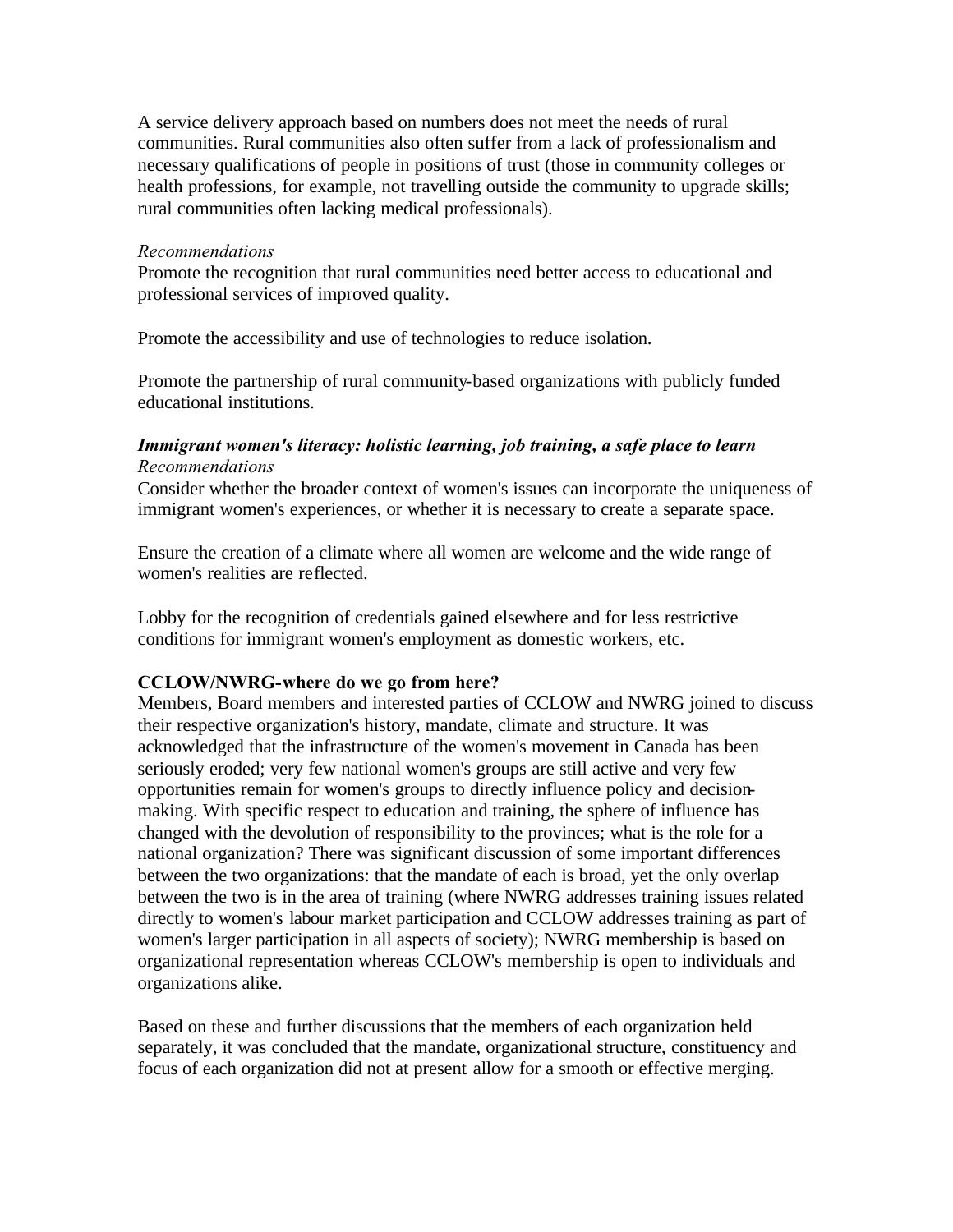A service delivery approach based on numbers does not meet the needs of rural communities. Rural communities also often suffer from a lack of professionalism and necessary qualifications of people in positions of trust (those in community colleges or health professions, for example, not travelling outside the community to upgrade skills; rural communities often lacking medical professionals).

#### *Recommendations*

Promote the recognition that rural communities need better access to educational and professional services of improved quality.

Promote the accessibility and use of technologies to reduce isolation.

Promote the partnership of rural community-based organizations with publicly funded educational institutions.

#### *Immigrant women's literacy: holistic learning, job training, a safe place to learn Recommendations*

Consider whether the broader context of women's issues can incorporate the uniqueness of immigrant women's experiences, or whether it is necessary to create a separate space.

Ensure the creation of a climate where all women are welcome and the wide range of women's realities are reflected.

Lobby for the recognition of credentials gained elsewhere and for less restrictive conditions for immigrant women's employment as domestic workers, etc.

#### **CCLOW/NWRG-where do we go from here?**

Members, Board members and interested parties of CCLOW and NWRG joined to discuss their respective organization's history, mandate, climate and structure. It was acknowledged that the infrastructure of the women's movement in Canada has been seriously eroded; very few national women's groups are still active and very few opportunities remain for women's groups to directly influence policy and decisionmaking. With specific respect to education and training, the sphere of influence has changed with the devolution of responsibility to the provinces; what is the role for a national organization? There was significant discussion of some important differences between the two organizations: that the mandate of each is broad, yet the only overlap between the two is in the area of training (where NWRG addresses training issues related directly to women's labour market participation and CCLOW addresses training as part of women's larger participation in all aspects of society); NWRG membership is based on organizational representation whereas CCLOW's membership is open to individuals and organizations alike.

Based on these and further discussions that the members of each organization held separately, it was concluded that the mandate, organizational structure, constituency and focus of each organization did not at present allow for a smooth or effective merging.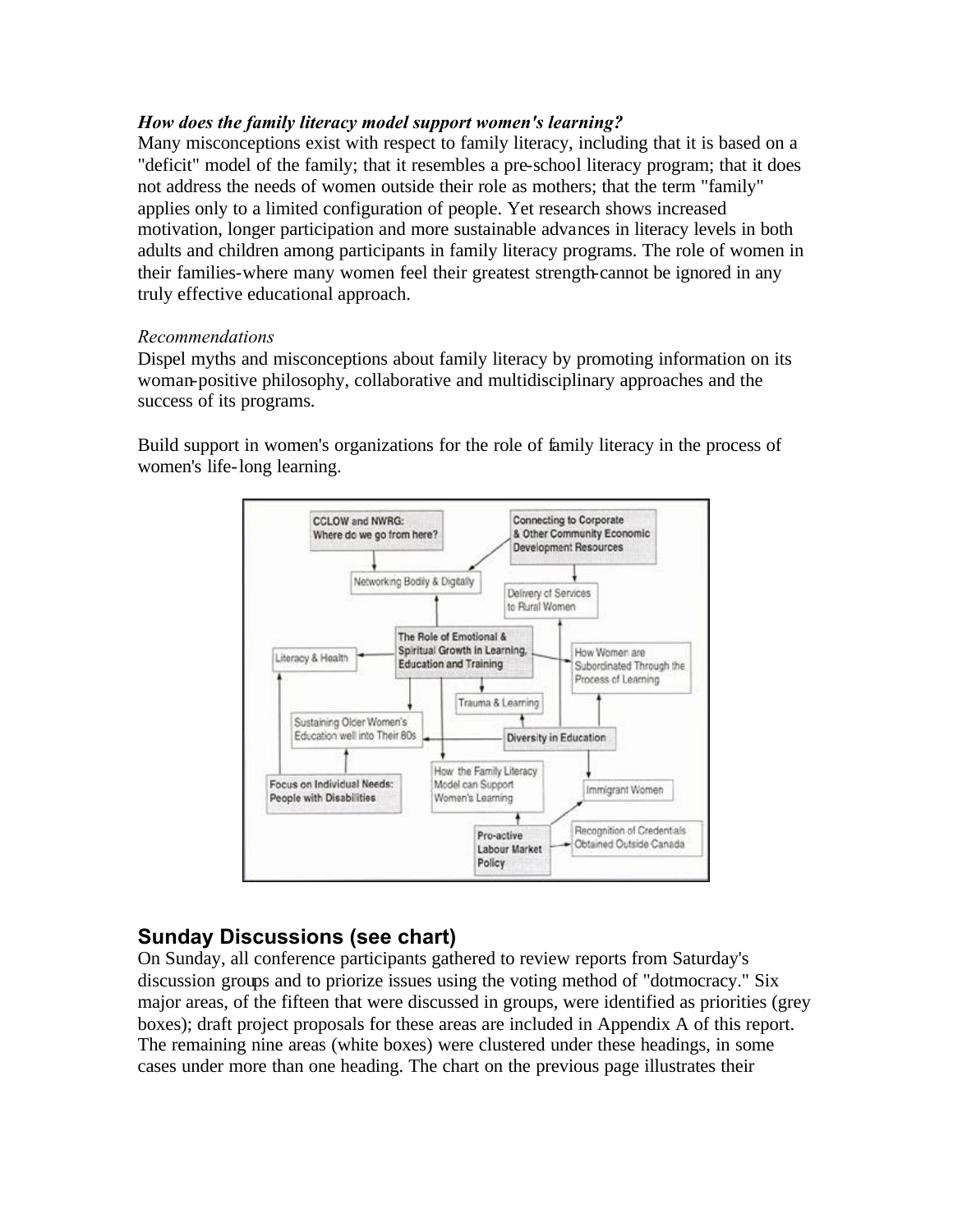#### <span id="page-32-0"></span>*How does the family literacy model support women's learning?*

Many misconceptions exist with respect to family literacy, including that it is based on a "deficit" model of the family; that it resembles a pre-school literacy program; that it does not address the needs of women outside their role as mothers; that the term "family" applies only to a limited configuration of people. Yet research shows increased motivation, longer participation and more sustainable advances in literacy levels in both adults and children among participants in family literacy programs. The role of women in their families-where many women feel their greatest strength-cannot be ignored in any truly effective educational approach.

#### *Recommendations*

Dispel myths and misconceptions about family literacy by promoting information on its woman-positive philosophy, collaborative and multidisciplinary approaches and the success of its programs.

Build support in women's organizations for the role of family literacy in the process of women's life-long learning.



# **Sunday Discussions (see chart)**

On Sunday, all conference participants gathered to review reports from Saturday's discussion groups and to priorize issues using the voting method of "dotmocracy." Six major areas, of the fifteen that were discussed in groups, were identified as priorities (grey boxes); draft project proposals for these areas are included in Appendix A of this report. The remaining nine areas (white boxes) were clustered under these headings, in some cases under more than one heading. The chart on the previous page illustrates their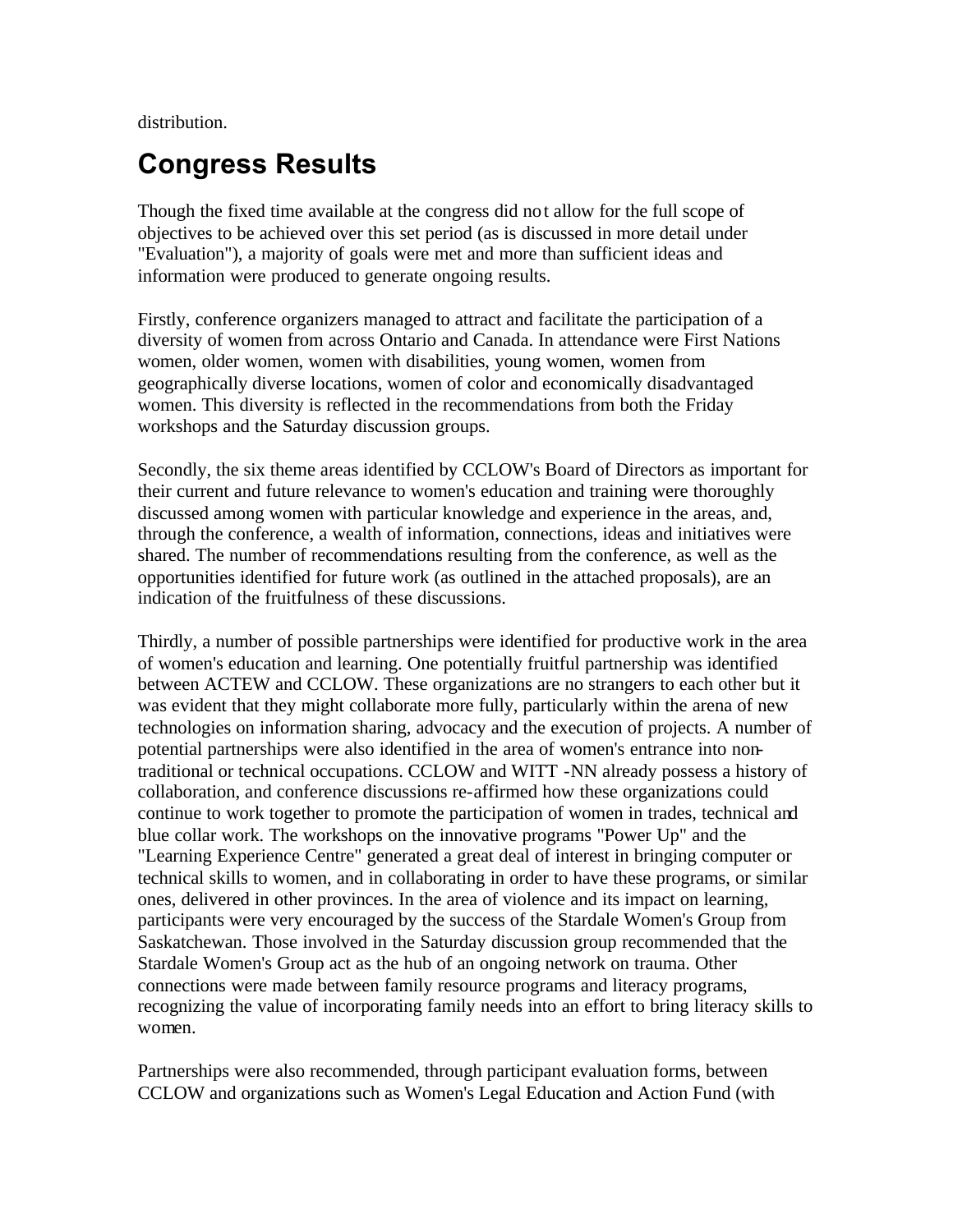<span id="page-33-0"></span>distribution.

# **Congress Results**

Though the fixed time available at the congress did not allow for the full scope of objectives to be achieved over this set period (as is discussed in more detail under "Evaluation"), a majority of goals were met and more than sufficient ideas and information were produced to generate ongoing results.

Firstly, conference organizers managed to attract and facilitate the participation of a diversity of women from across Ontario and Canada. In attendance were First Nations women, older women, women with disabilities, young women, women from geographically diverse locations, women of color and economically disadvantaged women. This diversity is reflected in the recommendations from both the Friday workshops and the Saturday discussion groups.

Secondly, the six theme areas identified by CCLOW's Board of Directors as important for their current and future relevance to women's education and training were thoroughly discussed among women with particular knowledge and experience in the areas, and, through the conference, a wealth of information, connections, ideas and initiatives were shared. The number of recommendations resulting from the conference, as well as the opportunities identified for future work (as outlined in the attached proposals), are an indication of the fruitfulness of these discussions.

Thirdly, a number of possible partnerships were identified for productive work in the area of women's education and learning. One potentially fruitful partnership was identified between ACTEW and CCLOW. These organizations are no strangers to each other but it was evident that they might collaborate more fully, particularly within the arena of new technologies on information sharing, advocacy and the execution of projects. A number of potential partnerships were also identified in the area of women's entrance into nontraditional or technical occupations. CCLOW and WITT -NN already possess a history of collaboration, and conference discussions re-affirmed how these organizations could continue to work together to promote the participation of women in trades, technical and blue collar work. The workshops on the innovative programs "Power Up" and the "Learning Experience Centre" generated a great deal of interest in bringing computer or technical skills to women, and in collaborating in order to have these programs, or similar ones, delivered in other provinces. In the area of violence and its impact on learning, participants were very encouraged by the success of the Stardale Women's Group from Saskatchewan. Those involved in the Saturday discussion group recommended that the Stardale Women's Group act as the hub of an ongoing network on trauma. Other connections were made between family resource programs and literacy programs, recognizing the value of incorporating family needs into an effort to bring literacy skills to women.

Partnerships were also recommended, through participant evaluation forms, between CCLOW and organizations such as Women's Legal Education and Action Fund (with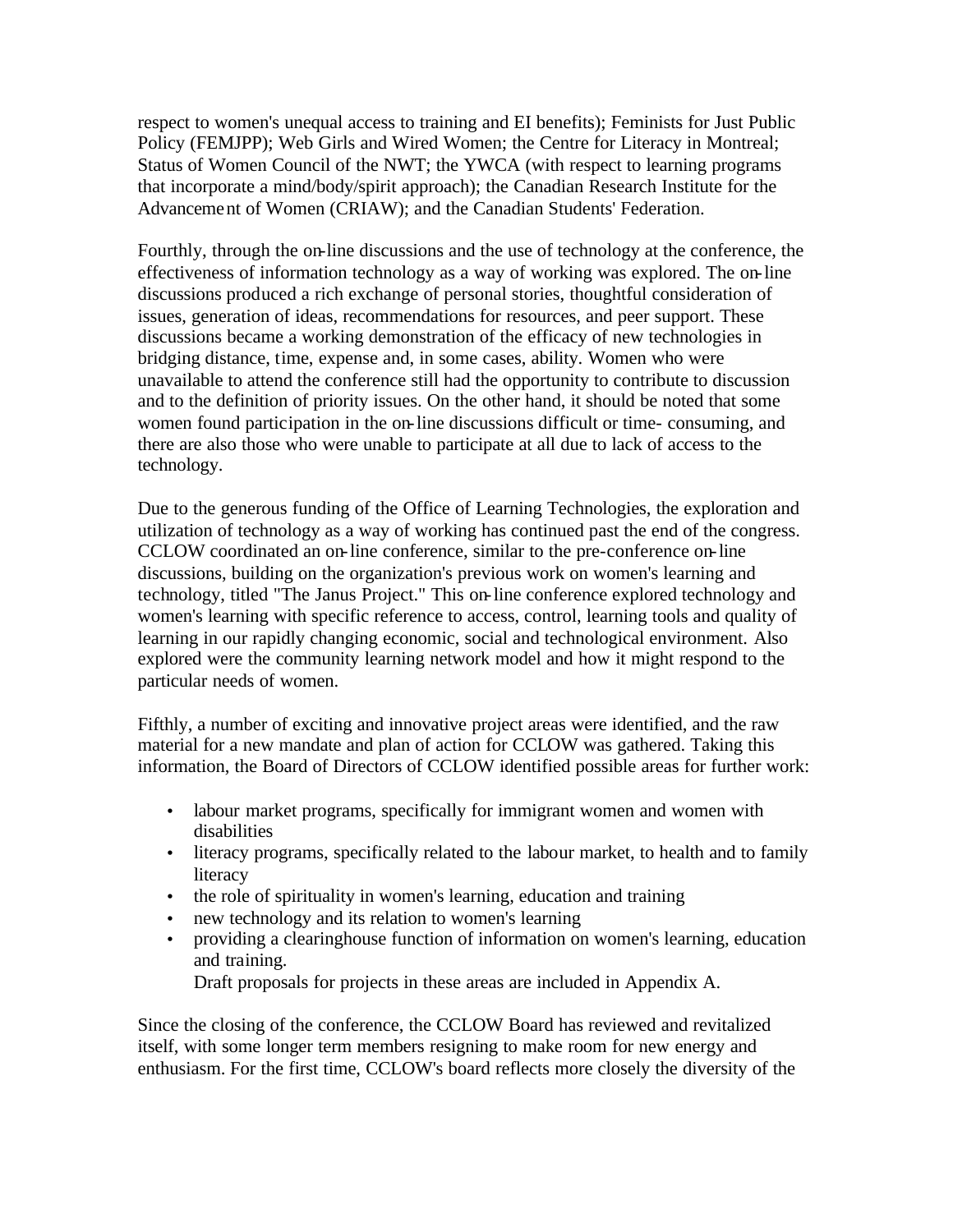respect to women's unequal access to training and EI benefits); Feminists for Just Public Policy (FEMJPP); Web Girls and Wired Women; the Centre for Literacy in Montreal; Status of Women Council of the NWT; the YWCA (with respect to learning programs that incorporate a mind/body/spirit approach); the Canadian Research Institute for the Advancement of Women (CRIAW); and the Canadian Students' Federation.

Fourthly, through the on-line discussions and the use of technology at the conference, the effectiveness of information technology as a way of working was explored. The on-line discussions produced a rich exchange of personal stories, thoughtful consideration of issues, generation of ideas, recommendations for resources, and peer support. These discussions became a working demonstration of the efficacy of new technologies in bridging distance, time, expense and, in some cases, ability. Women who were unavailable to attend the conference still had the opportunity to contribute to discussion and to the definition of priority issues. On the other hand, it should be noted that some women found participation in the on-line discussions difficult or time- consuming, and there are also those who were unable to participate at all due to lack of access to the technology.

Due to the generous funding of the Office of Learning Technologies, the exploration and utilization of technology as a way of working has continued past the end of the congress. CCLOW coordinated an on-line conference, similar to the pre-conference on-line discussions, building on the organization's previous work on women's learning and technology, titled "The Janus Project." This on-line conference explored technology and women's learning with specific reference to access, control, learning tools and quality of learning in our rapidly changing economic, social and technological environment. Also explored were the community learning network model and how it might respond to the particular needs of women.

Fifthly, a number of exciting and innovative project areas were identified, and the raw material for a new mandate and plan of action for CCLOW was gathered. Taking this information, the Board of Directors of CCLOW identified possible areas for further work:

- labour market programs, specifically for immigrant women and women with disabilities
- literacy programs, specifically related to the labour market, to health and to family literacy
- the role of spirituality in women's learning, education and training
- new technology and its relation to women's learning
- providing a clearinghouse function of information on women's learning, education and training.

Draft proposals for projects in these areas are included in Appendix A.

Since the closing of the conference, the CCLOW Board has reviewed and revitalized itself, with some longer term members resigning to make room for new energy and enthusiasm. For the first time, CCLOW's board reflects more closely the diversity of the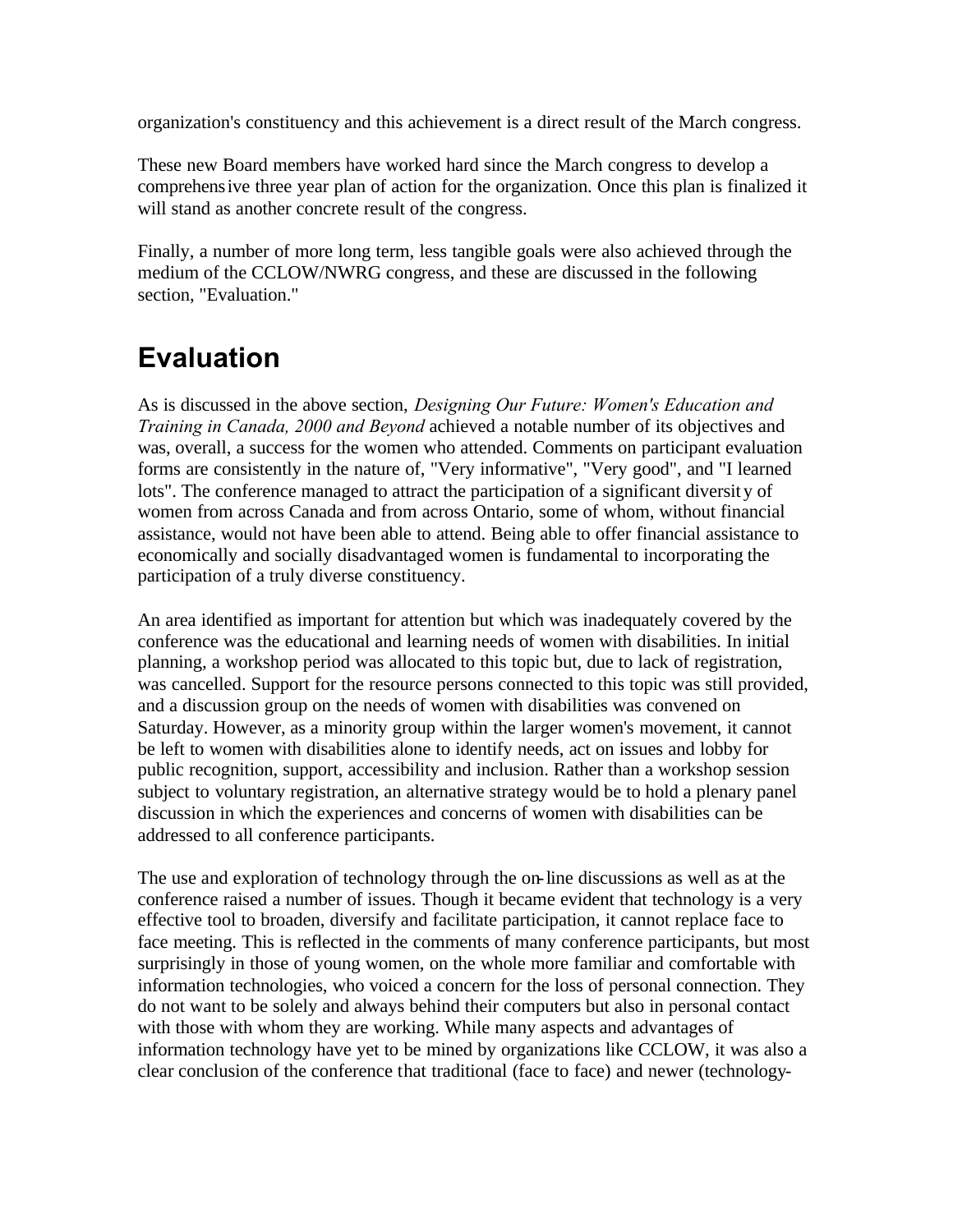<span id="page-35-0"></span>organization's constituency and this achievement is a direct result of the March congress.

These new Board members have worked hard since the March congress to develop a comprehensive three year plan of action for the organization. Once this plan is finalized it will stand as another concrete result of the congress.

Finally, a number of more long term, less tangible goals were also achieved through the medium of the CCLOW/NWRG congress, and these are discussed in the following section, "Evaluation."

# **Evaluation**

As is discussed in the above section, *Designing Our Future: Women's Education and Training in Canada, 2000 and Beyond* achieved a notable number of its objectives and was, overall, a success for the women who attended. Comments on participant evaluation forms are consistently in the nature of, "Very informative", "Very good", and "I learned lots". The conference managed to attract the participation of a significant diversity of women from across Canada and from across Ontario, some of whom, without financial assistance, would not have been able to attend. Being able to offer financial assistance to economically and socially disadvantaged women is fundamental to incorporating the participation of a truly diverse constituency.

An area identified as important for attention but which was inadequately covered by the conference was the educational and learning needs of women with disabilities. In initial planning, a workshop period was allocated to this topic but, due to lack of registration, was cancelled. Support for the resource persons connected to this topic was still provided, and a discussion group on the needs of women with disabilities was convened on Saturday. However, as a minority group within the larger women's movement, it cannot be left to women with disabilities alone to identify needs, act on issues and lobby for public recognition, support, accessibility and inclusion. Rather than a workshop session subject to voluntary registration, an alternative strategy would be to hold a plenary panel discussion in which the experiences and concerns of women with disabilities can be addressed to all conference participants.

The use and exploration of technology through the on-line discussions as well as at the conference raised a number of issues. Though it became evident that technology is a very effective tool to broaden, diversify and facilitate participation, it cannot replace face to face meeting. This is reflected in the comments of many conference participants, but most surprisingly in those of young women, on the whole more familiar and comfortable with information technologies, who voiced a concern for the loss of personal connection. They do not want to be solely and always behind their computers but also in personal contact with those with whom they are working. While many aspects and advantages of information technology have yet to be mined by organizations like CCLOW, it was also a clear conclusion of the conference that traditional (face to face) and newer (technology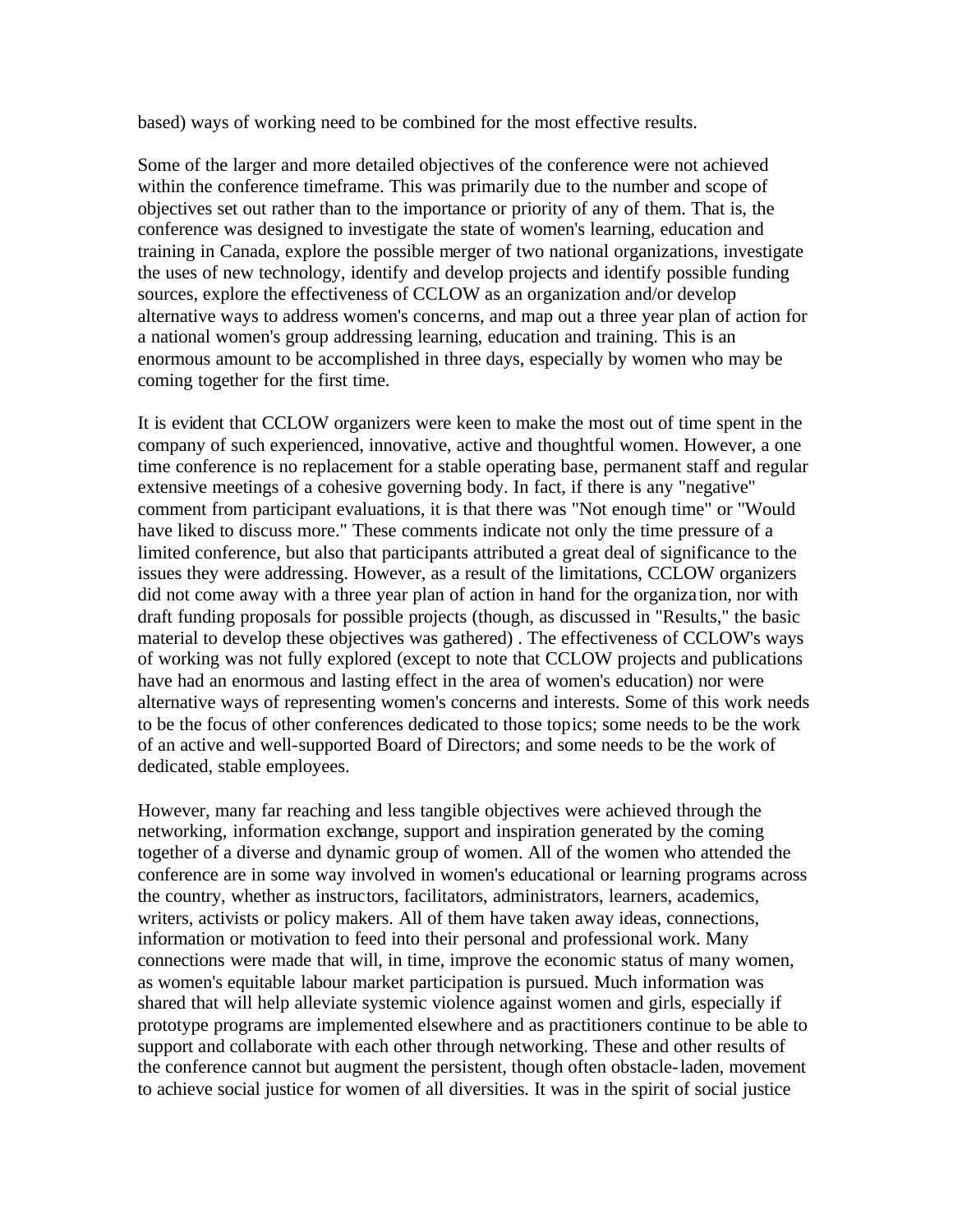based) ways of working need to be combined for the most effective results.

Some of the larger and more detailed objectives of the conference were not achieved within the conference timeframe. This was primarily due to the number and scope of objectives set out rather than to the importance or priority of any of them. That is, the conference was designed to investigate the state of women's learning, education and training in Canada, explore the possible merger of two national organizations, investigate the uses of new technology, identify and develop projects and identify possible funding sources, explore the effectiveness of CCLOW as an organization and/or develop alternative ways to address women's concerns, and map out a three year plan of action for a national women's group addressing learning, education and training. This is an enormous amount to be accomplished in three days, especially by women who may be coming together for the first time.

It is evident that CCLOW organizers were keen to make the most out of time spent in the company of such experienced, innovative, active and thoughtful women. However, a one time conference is no replacement for a stable operating base, permanent staff and regular extensive meetings of a cohesive governing body. In fact, if there is any "negative" comment from participant evaluations, it is that there was "Not enough time" or "Would have liked to discuss more." These comments indicate not only the time pressure of a limited conference, but also that participants attributed a great deal of significance to the issues they were addressing. However, as a result of the limitations, CCLOW organizers did not come away with a three year plan of action in hand for the organiza tion, nor with draft funding proposals for possible projects (though, as discussed in "Results," the basic material to develop these objectives was gathered) . The effectiveness of CCLOW's ways of working was not fully explored (except to note that CCLOW projects and publications have had an enormous and lasting effect in the area of women's education) nor were alternative ways of representing women's concerns and interests. Some of this work needs to be the focus of other conferences dedicated to those topics; some needs to be the work of an active and well-supported Board of Directors; and some needs to be the work of dedicated, stable employees.

However, many far reaching and less tangible objectives were achieved through the networking, information exchange, support and inspiration generated by the coming together of a diverse and dynamic group of women. All of the women who attended the conference are in some way involved in women's educational or learning programs across the country, whether as instructors, facilitators, administrators, learners, academics, writers, activists or policy makers. All of them have taken away ideas, connections, information or motivation to feed into their personal and professional work. Many connections were made that will, in time, improve the economic status of many women, as women's equitable labour market participation is pursued. Much information was shared that will help alleviate systemic violence against women and girls, especially if prototype programs are implemented elsewhere and as practitioners continue to be able to support and collaborate with each other through networking. These and other results of the conference cannot but augment the persistent, though often obstacle-laden, movement to achieve social justice for women of all diversities. It was in the spirit of social justice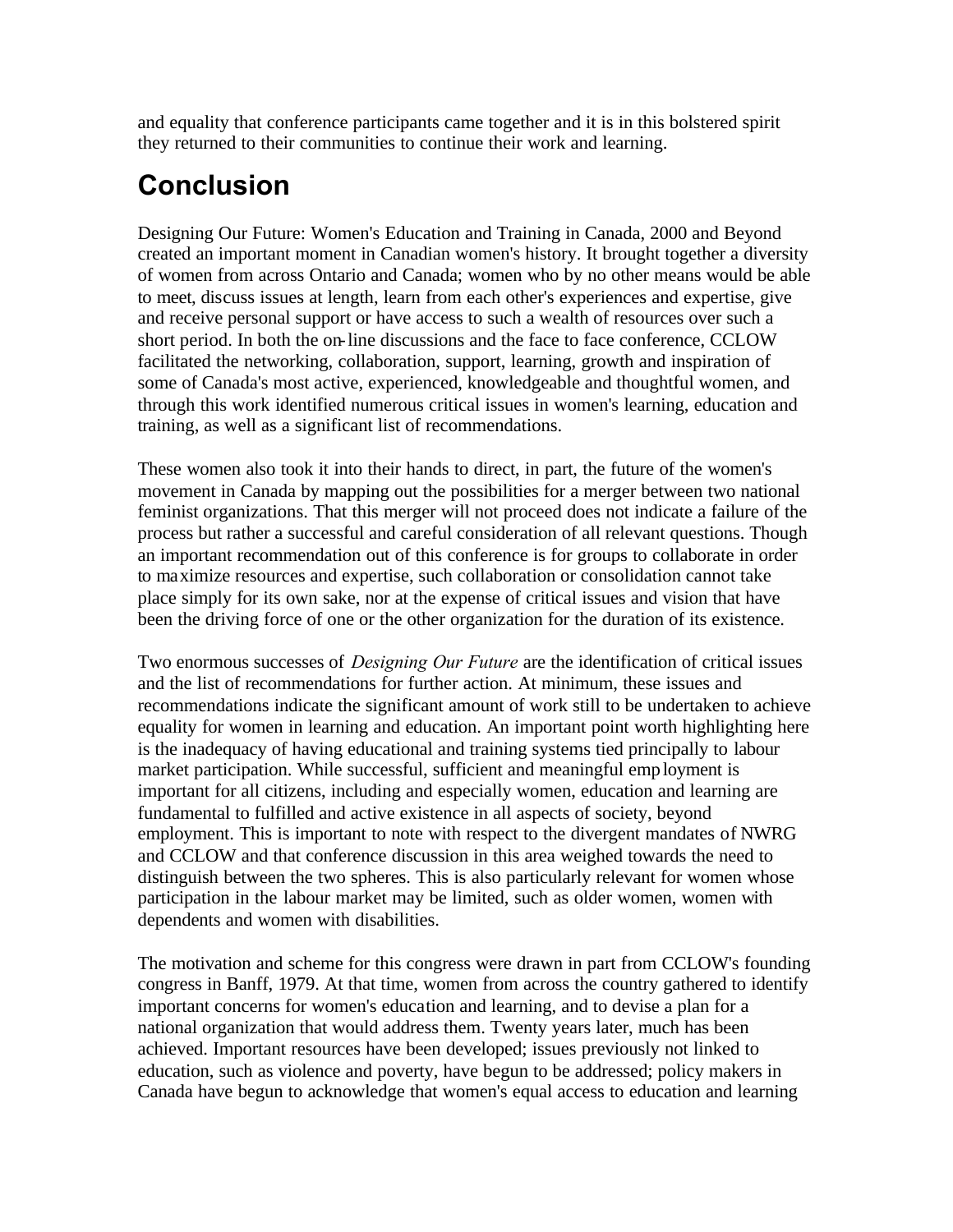<span id="page-37-0"></span>and equality that conference participants came together and it is in this bolstered spirit they returned to their communities to continue their work and learning.

# **Conclusion**

Designing Our Future: Women's Education and Training in Canada, 2000 and Beyond created an important moment in Canadian women's history. It brought together a diversity of women from across Ontario and Canada; women who by no other means would be able to meet, discuss issues at length, learn from each other's experiences and expertise, give and receive personal support or have access to such a wealth of resources over such a short period. In both the on-line discussions and the face to face conference, CCLOW facilitated the networking, collaboration, support, learning, growth and inspiration of some of Canada's most active, experienced, knowledgeable and thoughtful women, and through this work identified numerous critical issues in women's learning, education and training, as well as a significant list of recommendations.

These women also took it into their hands to direct, in part, the future of the women's movement in Canada by mapping out the possibilities for a merger between two national feminist organizations. That this merger will not proceed does not indicate a failure of the process but rather a successful and careful consideration of all relevant questions. Though an important recommendation out of this conference is for groups to collaborate in order to maximize resources and expertise, such collaboration or consolidation cannot take place simply for its own sake, nor at the expense of critical issues and vision that have been the driving force of one or the other organization for the duration of its existence.

Two enormous successes of *Designing Our Future* are the identification of critical issues and the list of recommendations for further action. At minimum, these issues and recommendations indicate the significant amount of work still to be undertaken to achieve equality for women in learning and education. An important point worth highlighting here is the inadequacy of having educational and training systems tied principally to labour market participation. While successful, sufficient and meaningful employment is important for all citizens, including and especially women, education and learning are fundamental to fulfilled and active existence in all aspects of society, beyond employment. This is important to note with respect to the divergent mandates of NWRG and CCLOW and that conference discussion in this area weighed towards the need to distinguish between the two spheres. This is also particularly relevant for women whose participation in the labour market may be limited, such as older women, women with dependents and women with disabilities.

The motivation and scheme for this congress were drawn in part from CCLOW's founding congress in Banff, 1979. At that time, women from across the country gathered to identify important concerns for women's education and learning, and to devise a plan for a national organization that would address them. Twenty years later, much has been achieved. Important resources have been developed; issues previously not linked to education, such as violence and poverty, have begun to be addressed; policy makers in Canada have begun to acknowledge that women's equal access to education and learning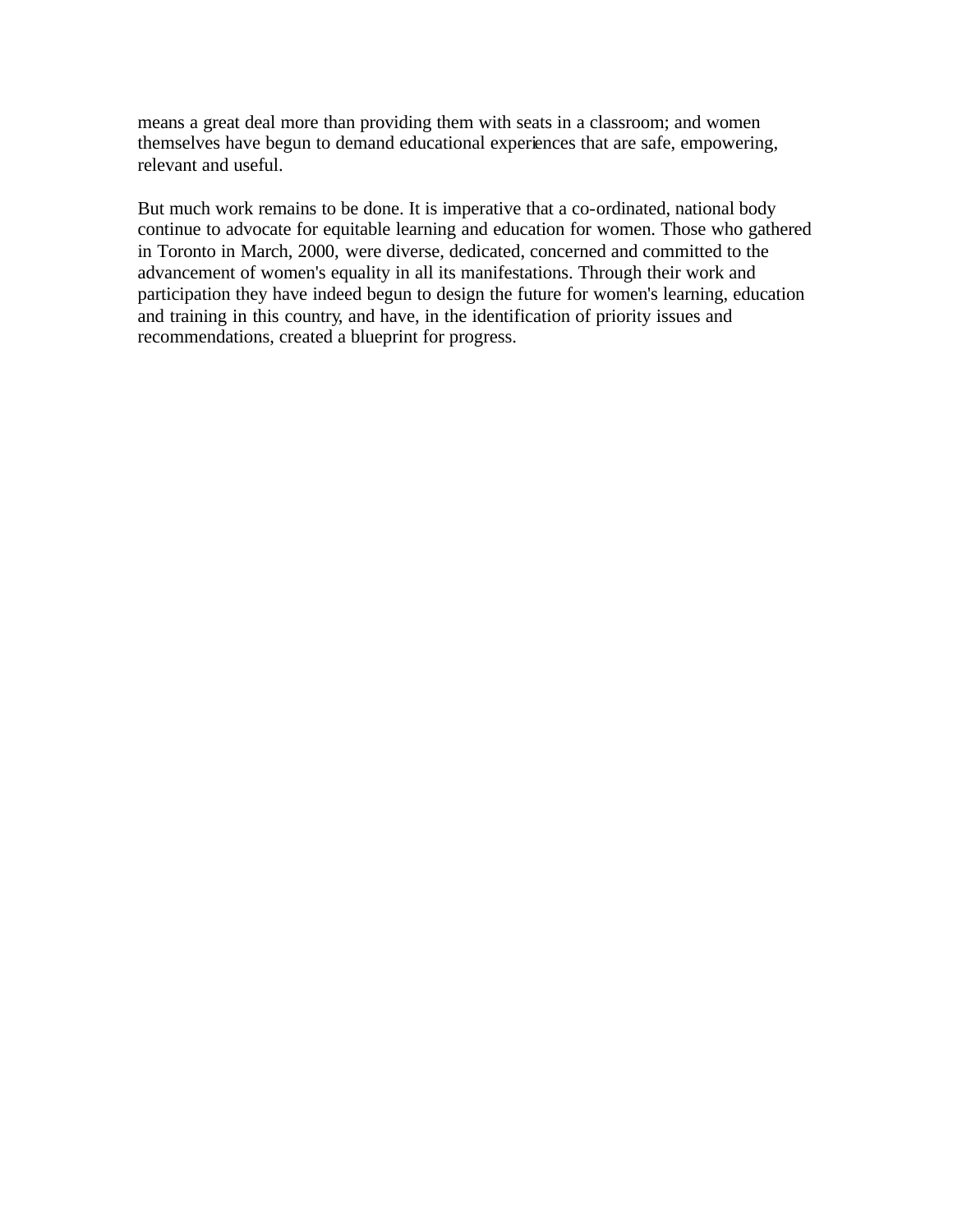means a great deal more than providing them with seats in a classroom; and women themselves have begun to demand educational experiences that are safe, empowering, relevant and useful.

But much work remains to be done. It is imperative that a co-ordinated, national body continue to advocate for equitable learning and education for women. Those who gathered in Toronto in March, 2000, were diverse, dedicated, concerned and committed to the advancement of women's equality in all its manifestations. Through their work and participation they have indeed begun to design the future for women's learning, education and training in this country, and have, in the identification of priority issues and recommendations, created a blueprint for progress.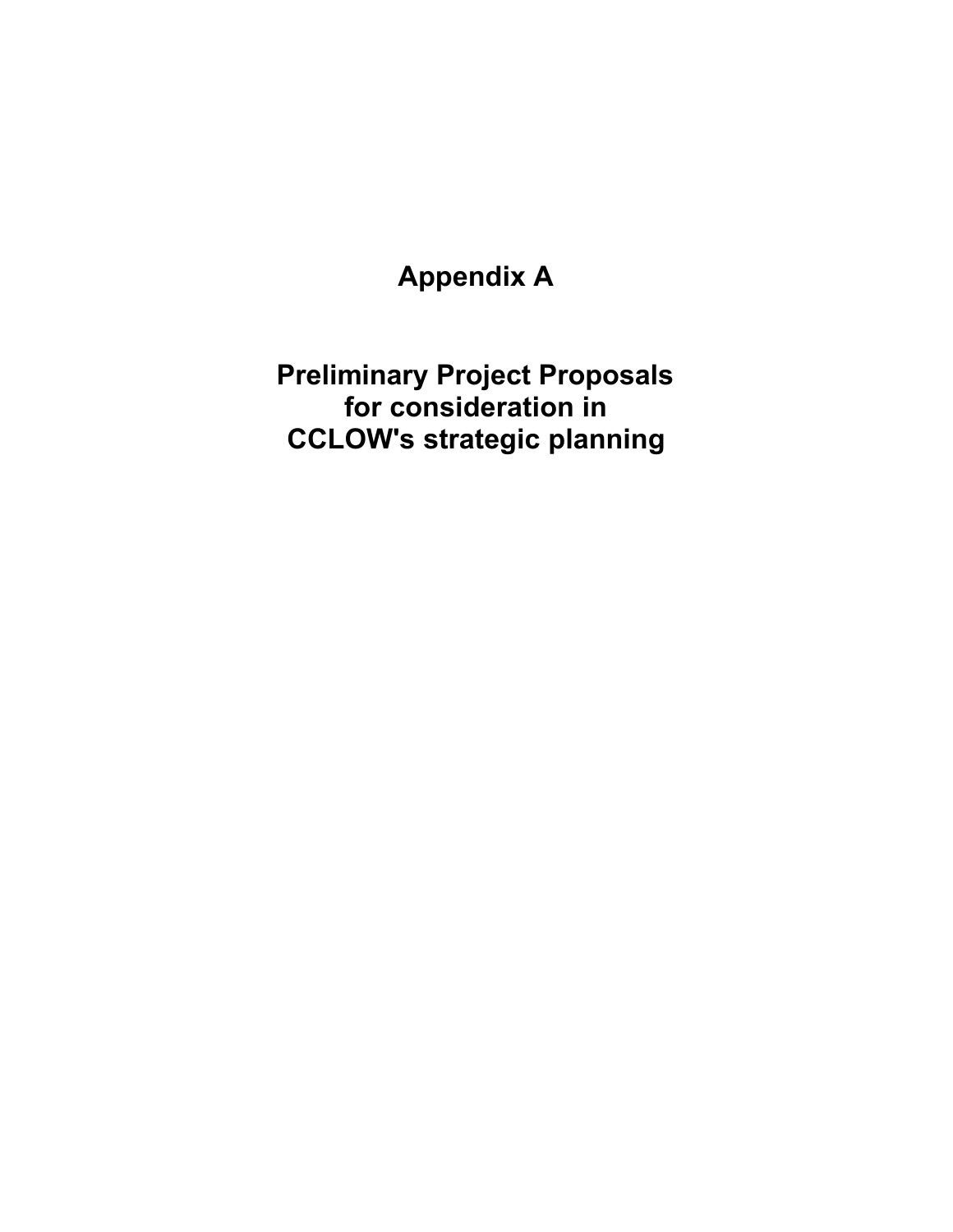**Appendix A** 

<span id="page-39-0"></span>**Preliminary Project Proposals for consideration in CCLOW's strategic planning**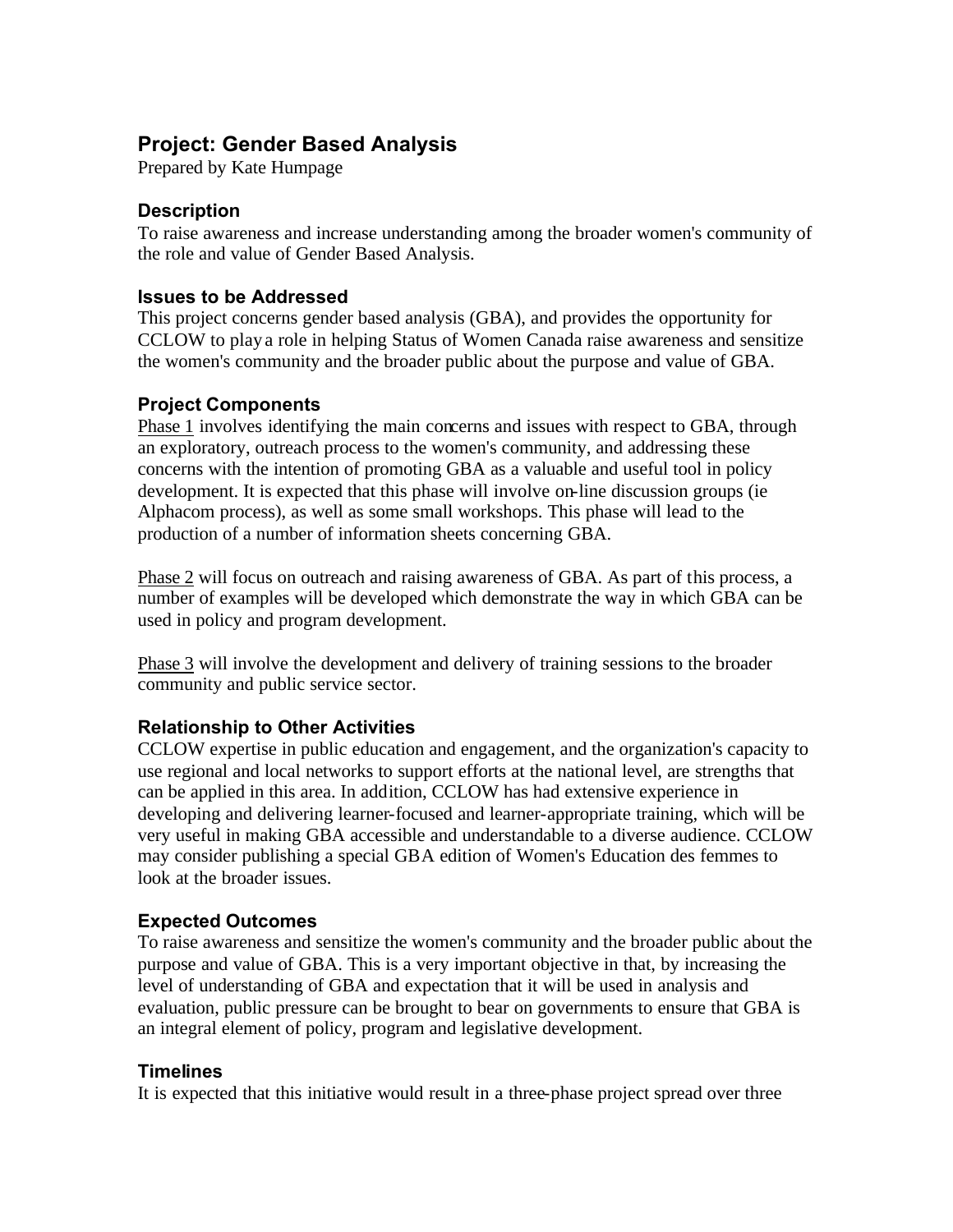# <span id="page-40-0"></span>**Project: Gender Based Analysis**

Prepared by Kate Humpage

### **Description**

To raise awareness and increase understanding among the broader women's community of the role and value of Gender Based Analysis.

### **Issues to be Addressed**

This project concerns gender based analysis (GBA), and provides the opportunity for CCLOW to play a role in helping Status of Women Canada raise awareness and sensitize the women's community and the broader public about the purpose and value of GBA.

# **Project Components**

Phase 1 involves identifying the main concerns and issues with respect to GBA, through an exploratory, outreach process to the women's community, and addressing these concerns with the intention of promoting GBA as a valuable and useful tool in policy development. It is expected that this phase will involve on-line discussion groups (ie Alphacom process), as well as some small workshops. This phase will lead to the production of a number of information sheets concerning GBA.

Phase 2 will focus on outreach and raising awareness of GBA. As part of this process, a number of examples will be developed which demonstrate the way in which GBA can be used in policy and program development.

Phase 3 will involve the development and delivery of training sessions to the broader community and public service sector.

### **Relationship to Other Activities**

CCLOW expertise in public education and engagement, and the organization's capacity to use regional and local networks to support efforts at the national level, are strengths that can be applied in this area. In addition, CCLOW has had extensive experience in developing and delivering learner-focused and learner-appropriate training, which will be very useful in making GBA accessible and understandable to a diverse audience. CCLOW may consider publishing a special GBA edition of Women's Education des femmes to look at the broader issues.

### **Expected Outcomes**

To raise awareness and sensitize the women's community and the broader public about the purpose and value of GBA. This is a very important objective in that, by increasing the level of understanding of GBA and expectation that it will be used in analysis and evaluation, public pressure can be brought to bear on governments to ensure that GBA is an integral element of policy, program and legislative development.

### **Timelines**

It is expected that this initiative would result in a three-phase project spread over three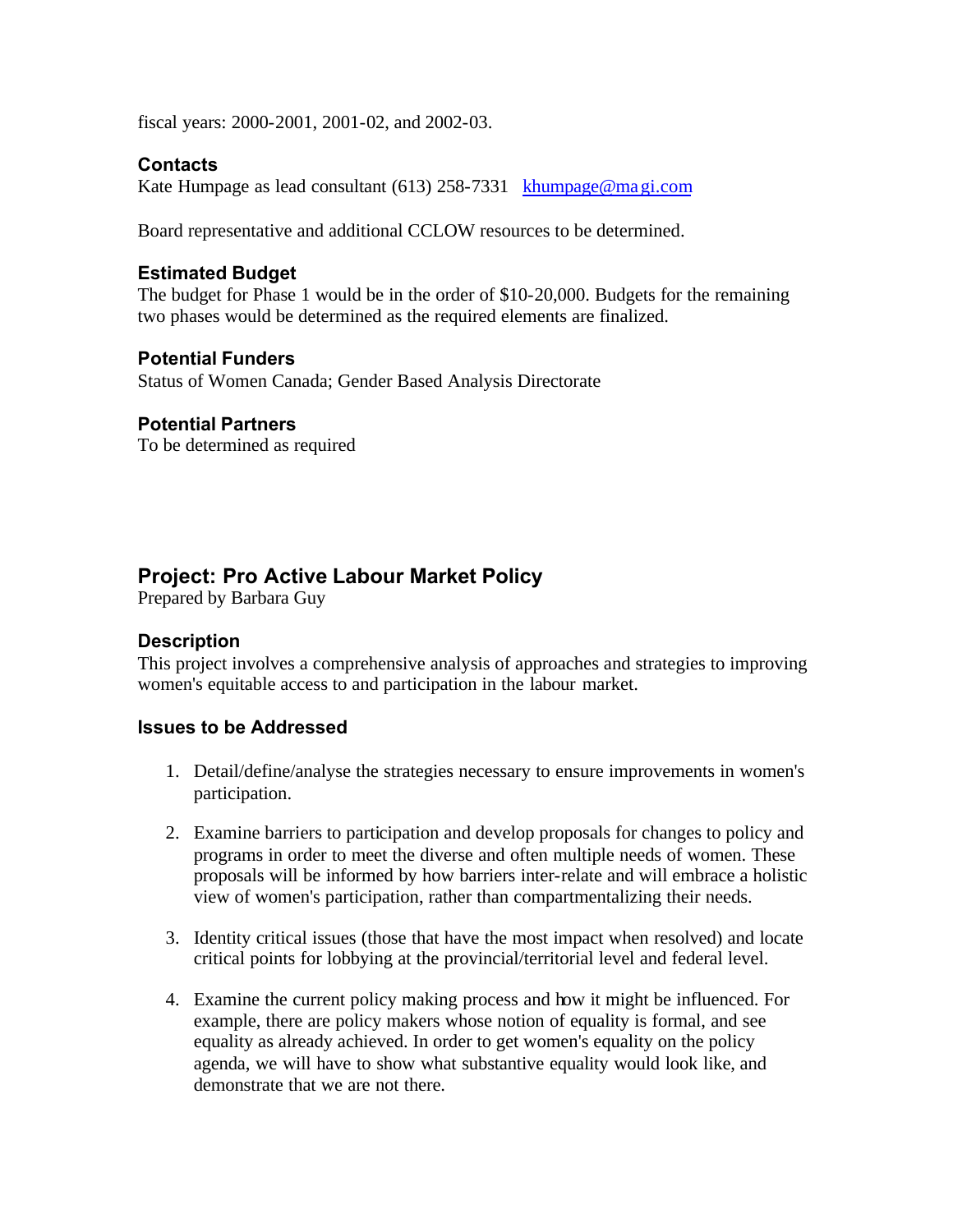<span id="page-41-0"></span>fiscal years: 2000-2001, 2001-02, and 2002-03.

### **Contacts**

Kate Humpage as lead consultant (613) 258-7331 khumpage@magi.com

Board representative and additional CCLOW resources to be determined.

#### **Estimated Budget**

The budget for Phase 1 would be in the order of \$10-20,000. Budgets for the remaining two phases would be determined as the required elements are finalized.

#### **Potential Funders**

Status of Women Canada; Gender Based Analysis Directorate

#### **Potential Partners**

To be determined as required

# **Project: Pro Active Labour Market Policy**

Prepared by Barbara Guy

#### **Description**

This project involves a comprehensive analysis of approaches and strategies to improving women's equitable access to and participation in the labour market.

#### **Issues to be Addressed**

- 1. Detail/define/analyse the strategies necessary to ensure improvements in women's participation.
- 2. Examine barriers to participation and develop proposals for changes to policy and programs in order to meet the diverse and often multiple needs of women. These proposals will be informed by how barriers inter-relate and will embrace a holistic view of women's participation, rather than compartmentalizing their needs.
- 3. Identity critical issues (those that have the most impact when resolved) and locate critical points for lobbying at the provincial/territorial level and federal level.
- 4. Examine the current policy making process and how it might be influenced. For example, there are policy makers whose notion of equality is formal, and see equality as already achieved. In order to get women's equality on the policy agenda, we will have to show what substantive equality would look like, and demonstrate that we are not there.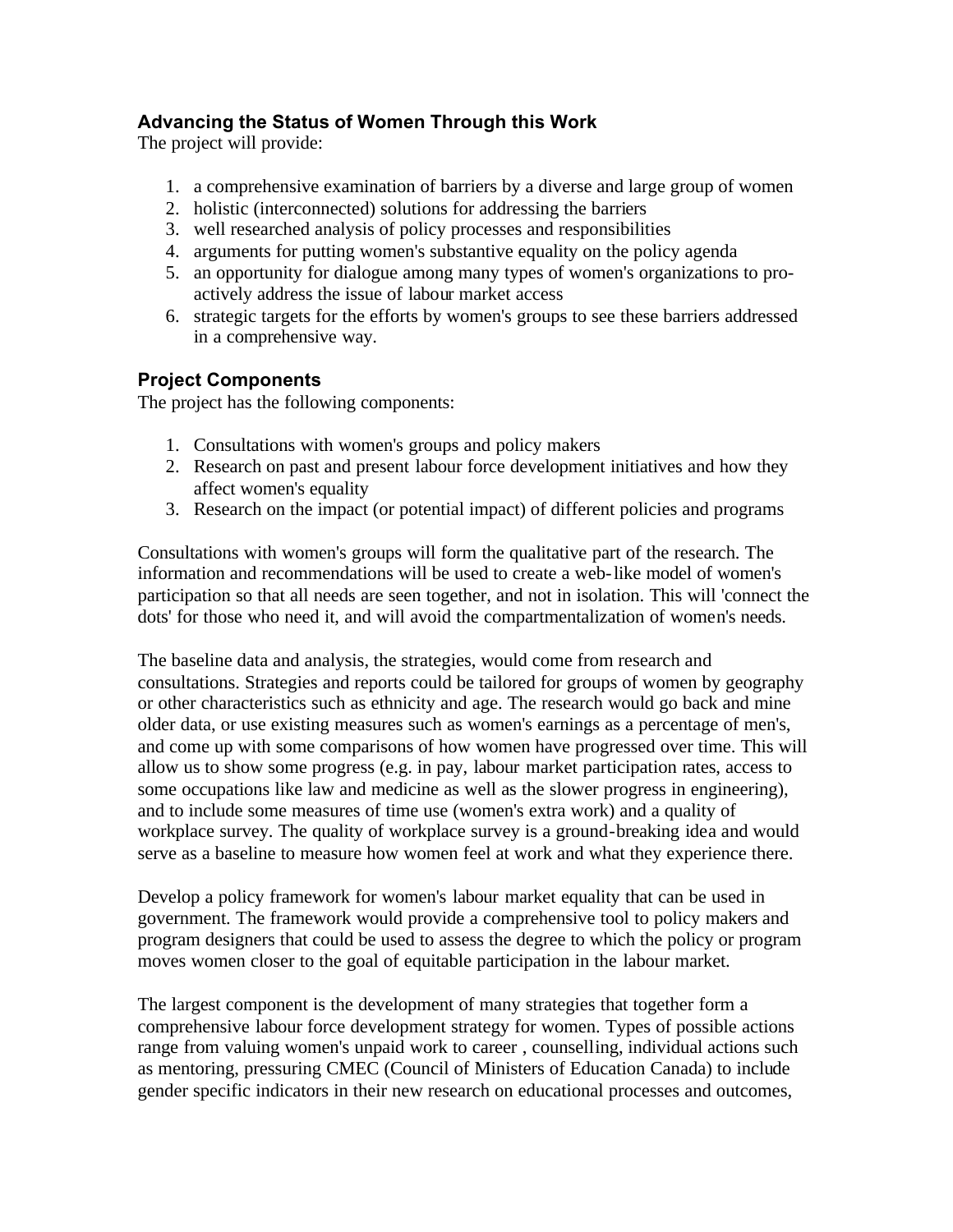# **Advancing the Status of Women Through this Work**

The project will provide:

- 1. a comprehensive examination of barriers by a diverse and large group of women
- 2. holistic (interconnected) solutions for addressing the barriers
- 3. well researched analysis of policy processes and responsibilities
- 4. arguments for putting women's substantive equality on the policy agenda
- 5. an opportunity for dialogue among many types of women's organizations to proactively address the issue of labour market access
- 6. strategic targets for the efforts by women's groups to see these barriers addressed in a comprehensive way.

# **Project Components**

The project has the following components:

- 1. Consultations with women's groups and policy makers
- 2. Research on past and present labour force development initiatives and how they affect women's equality
- 3. Research on the impact (or potential impact) of different policies and programs

Consultations with women's groups will form the qualitative part of the research. The information and recommendations will be used to create a web-like model of women's participation so that all needs are seen together, and not in isolation. This will 'connect the dots' for those who need it, and will avoid the compartmentalization of women's needs.

The baseline data and analysis, the strategies, would come from research and consultations. Strategies and reports could be tailored for groups of women by geography or other characteristics such as ethnicity and age. The research would go back and mine older data, or use existing measures such as women's earnings as a percentage of men's, and come up with some comparisons of how women have progressed over time. This will allow us to show some progress (e.g. in pay, labour market participation rates, access to some occupations like law and medicine as well as the slower progress in engineering), and to include some measures of time use (women's extra work) and a quality of workplace survey. The quality of workplace survey is a ground-breaking idea and would serve as a baseline to measure how women feel at work and what they experience there.

Develop a policy framework for women's labour market equality that can be used in government. The framework would provide a comprehensive tool to policy makers and program designers that could be used to assess the degree to which the policy or program moves women closer to the goal of equitable participation in the labour market.

The largest component is the development of many strategies that together form a comprehensive labour force development strategy for women. Types of possible actions range from valuing women's unpaid work to career , counselling, individual actions such as mentoring, pressuring CMEC (Council of Ministers of Education Canada) to include gender specific indicators in their new research on educational processes and outcomes,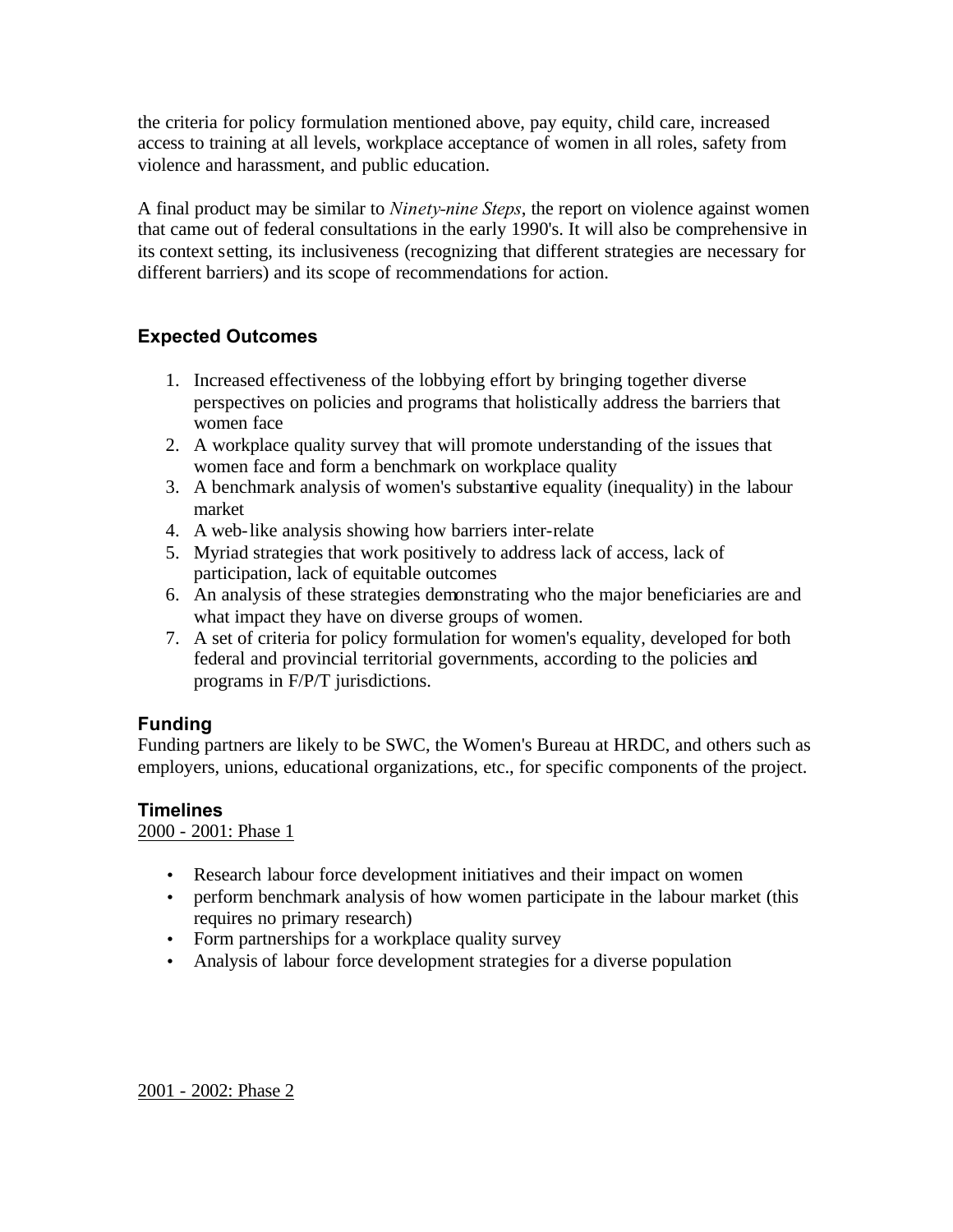the criteria for policy formulation mentioned above, pay equity, child care, increased access to training at all levels, workplace acceptance of women in all roles, safety from violence and harassment, and public education.

A final product may be similar to *Ninety-nine Steps*, the report on violence against women that came out of federal consultations in the early 1990's. It will also be comprehensive in its context setting, its inclusiveness (recognizing that different strategies are necessary for different barriers) and its scope of recommendations for action.

# **Expected Outcomes**

- 1. Increased effectiveness of the lobbying effort by bringing together diverse perspectives on policies and programs that holistically address the barriers that women face
- 2. A workplace quality survey that will promote understanding of the issues that women face and form a benchmark on workplace quality
- 3. A benchmark analysis of women's substantive equality (inequality) in the labour market
- 4. A web-like analysis showing how barriers inter-relate
- 5. Myriad strategies that work positively to address lack of access, lack of participation, lack of equitable outcomes
- 6. An analysis of these strategies demonstrating who the major beneficiaries are and what impact they have on diverse groups of women.
- 7. A set of criteria for policy formulation for women's equality, developed for both federal and provincial territorial governments, according to the policies and programs in F/P/T jurisdictions.

# **Funding**

Funding partners are likely to be SWC, the Women's Bureau at HRDC, and others such as employers, unions, educational organizations, etc., for specific components of the project.

# **Timelines**

2000 - 2001: Phase 1

- Research labour force development initiatives and their impact on women
- perform benchmark analysis of how women participate in the labour market (this requires no primary research)
- Form partnerships for a workplace quality survey
- Analysis of labour force development strategies for a diverse population

2001 - 2002: Phase 2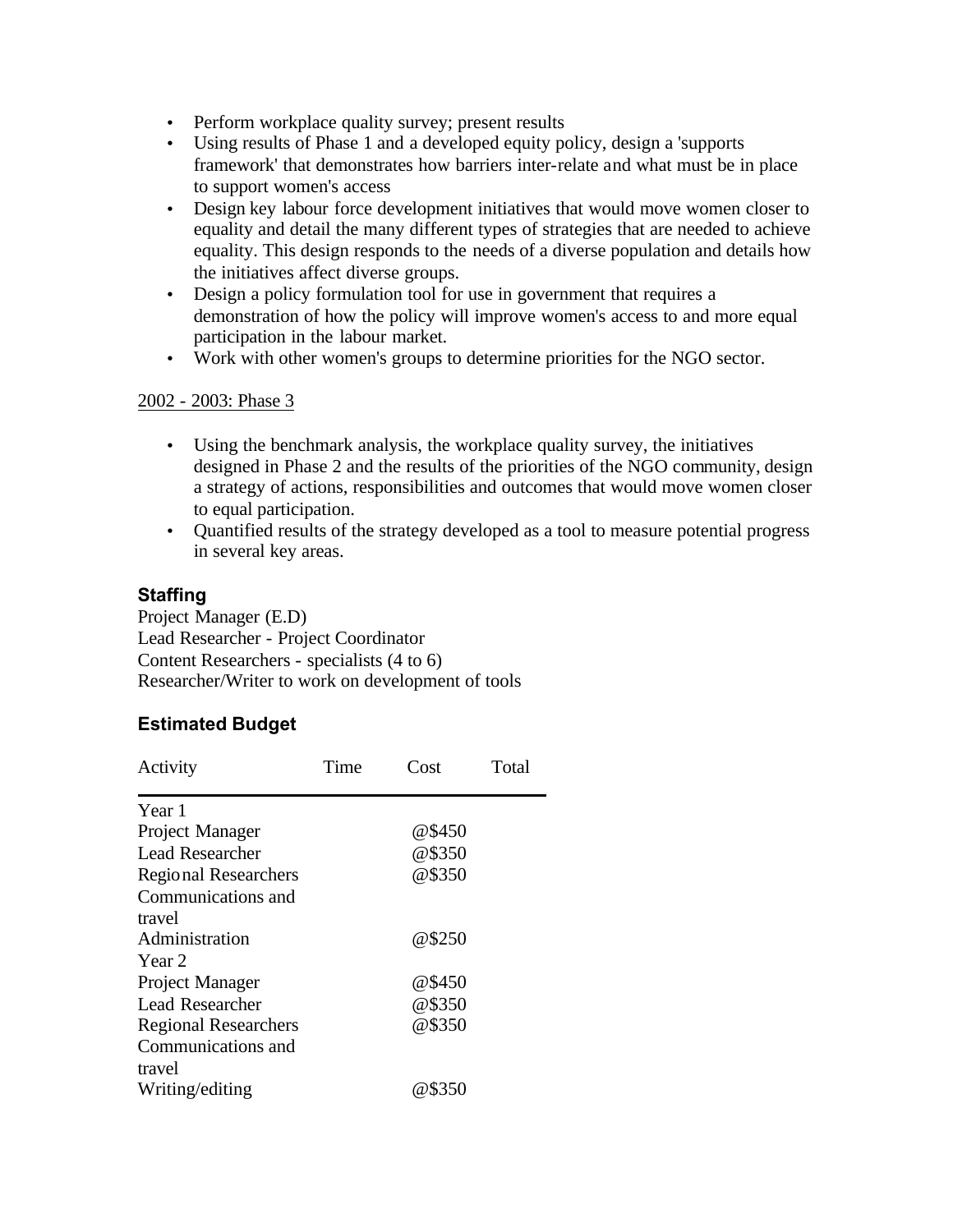- Perform workplace quality survey; present results
- Using results of Phase 1 and a developed equity policy, design a 'supports framework' that demonstrates how barriers inter-relate and what must be in place to support women's access
- Design key labour force development initiatives that would move women closer to equality and detail the many different types of strategies that are needed to achieve equality. This design responds to the needs of a diverse population and details how the initiatives affect diverse groups.
- Design a policy formulation tool for use in government that requires a demonstration of how the policy will improve women's access to and more equal participation in the labour market.
- Work with other women's groups to determine priorities for the NGO sector.

#### 2002 - 2003: Phase 3

- Using the benchmark analysis, the workplace quality survey, the initiatives designed in Phase 2 and the results of the priorities of the NGO community, design a strategy of actions, responsibilities and outcomes that would move women closer to equal participation.
- Quantified results of the strategy developed as a tool to measure potential progress in several key areas.

### **Staffing**

Project Manager (E.D) Lead Researcher - Project Coordinator Content Researchers - specialists (4 to 6) Researcher/Writer to work on development of tools

### **Estimated Budget**

| Activity                    | Time | Cost   | Total |
|-----------------------------|------|--------|-------|
| Year 1                      |      |        |       |
| Project Manager             |      | @\$450 |       |
| <b>Lead Researcher</b>      |      | @\$350 |       |
| Regional Researchers        |      | @\$350 |       |
| Communications and          |      |        |       |
| travel                      |      |        |       |
| Administration              |      | @\$250 |       |
| Year 2                      |      |        |       |
| Project Manager             |      | @\$450 |       |
| Lead Researcher             |      | @\$350 |       |
| <b>Regional Researchers</b> |      | @\$350 |       |
| Communications and          |      |        |       |
| travel                      |      |        |       |
| Writing/editing             |      | @\$350 |       |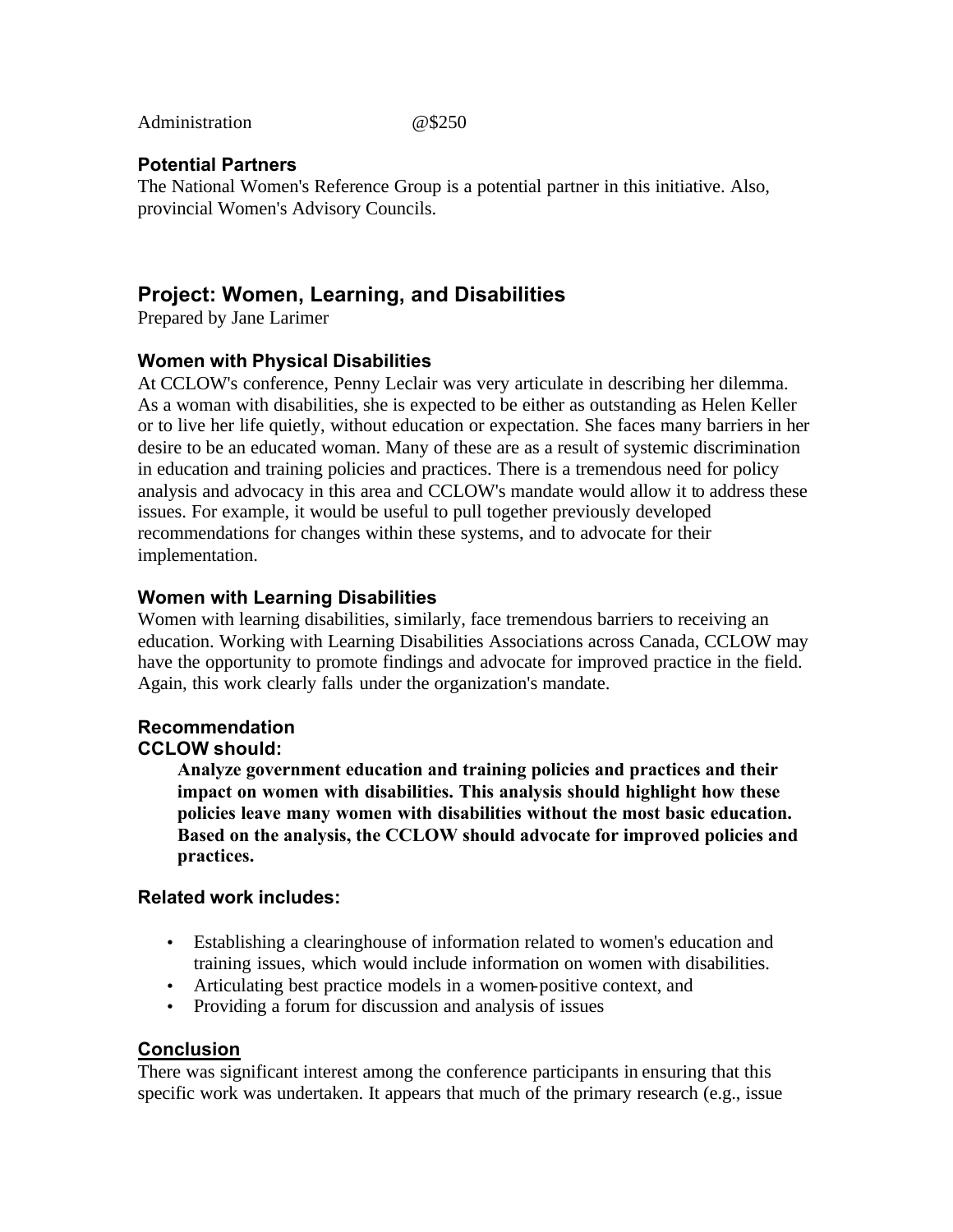<span id="page-45-0"></span>Administration @\$250

#### **Potential Partners**

The National Women's Reference Group is a potential partner in this initiative. Also, provincial Women's Advisory Councils.

# **Project: Women, Learning, and Disabilities**

Prepared by Jane Larimer

#### **Women with Physical Disabilities**

At CCLOW's conference, Penny Leclair was very articulate in describing her dilemma. As a woman with disabilities, she is expected to be either as outstanding as Helen Keller or to live her life quietly, without education or expectation. She faces many barriers in her desire to be an educated woman. Many of these are as a result of systemic discrimination in education and training policies and practices. There is a tremendous need for policy analysis and advocacy in this area and CCLOW's mandate would allow it to address these issues. For example, it would be useful to pull together previously developed recommendations for changes within these systems, and to advocate for their implementation.

#### **Women with Learning Disabilities**

Women with learning disabilities, similarly, face tremendous barriers to receiving an education. Working with Learning Disabilities Associations across Canada, CCLOW may have the opportunity to promote findings and advocate for improved practice in the field. Again, this work clearly falls under the organization's mandate.

# **Recommendation**

## **CCLOW should:**

**Analyze government education and training policies and practices and their impact on women with disabilities. This analysis should highlight how these policies leave many women with disabilities without the most basic education. Based on the analysis, the CCLOW should advocate for improved policies and practices.** 

#### **Related work includes:**

- Establishing a clearinghouse of information related to women's education and training issues, which would include information on women with disabilities.
- Articulating best practice models in a women-positive context, and
- Providing a forum for discussion and analysis of issues

### **Conclusion**

There was significant interest among the conference participants in ensuring that this specific work was undertaken. It appears that much of the primary research (e.g., issue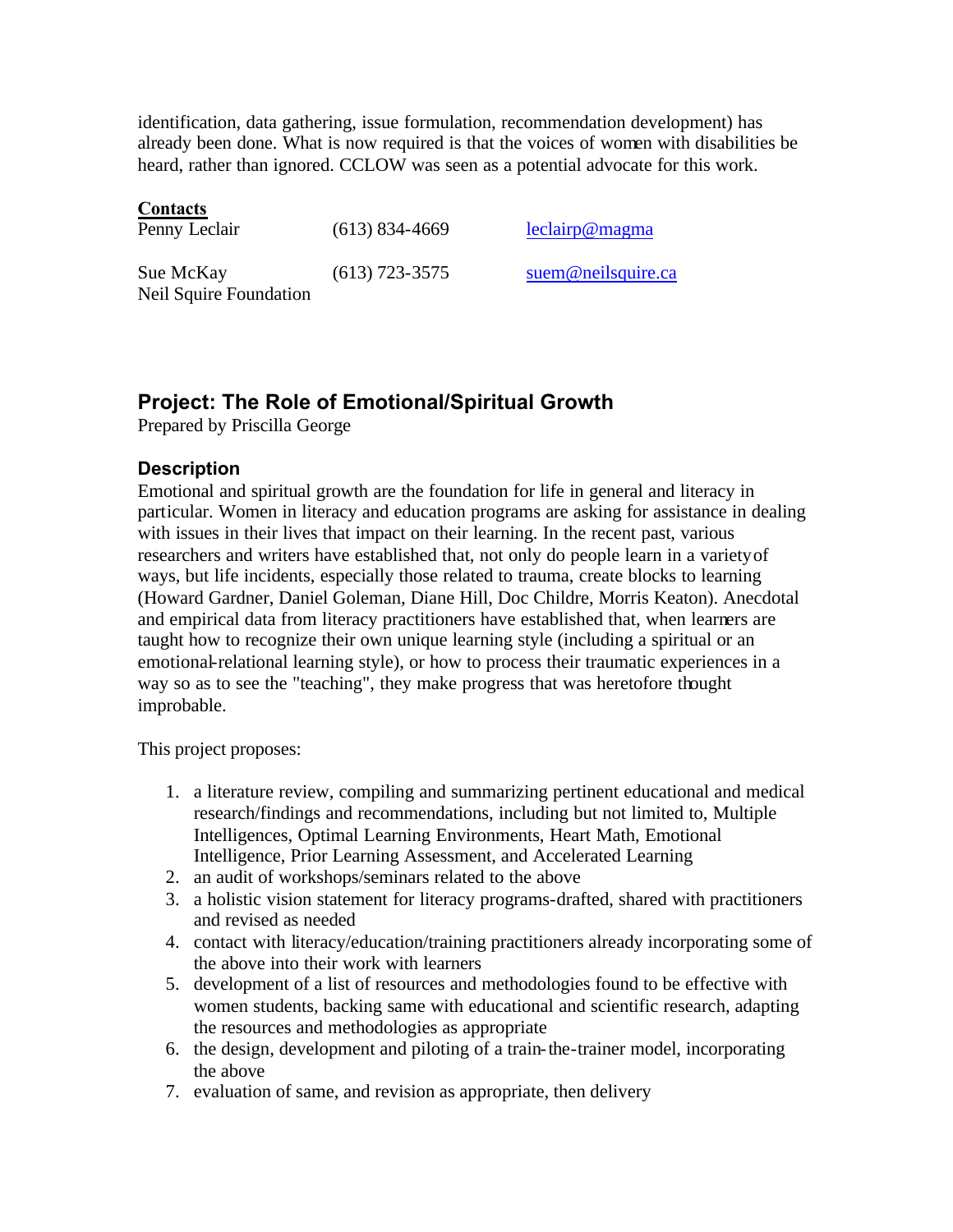<span id="page-46-0"></span>identification, data gathering, issue formulation, recommendation development) has already been done. What is now required is that the voices of women with disabilities be heard, rather than ignored. CCLOW was seen as a potential advocate for this work.

#### **Contacts**

| Penny Leclair                       | $(613)$ 834-4669 | leclairp@magma     |
|-------------------------------------|------------------|--------------------|
| Sue McKay<br>Neil Squire Foundation | $(613)$ 723-3575 | suem@neilsquire.ca |

# **Project: The Role of Emotional/Spiritual Growth**

Prepared by Priscilla George

### **Description**

Emotional and spiritual growth are the foundation for life in general and literacy in particular. Women in literacy and education programs are asking for assistance in dealing with issues in their lives that impact on their learning. In the recent past, various researchers and writers have established that, not only do people learn in a variety of ways, but life incidents, especially those related to trauma, create blocks to learning (Howard Gardner, Daniel Goleman, Diane Hill, Doc Childre, Morris Keaton). Anecdotal and empirical data from literacy practitioners have established that, when learners are taught how to recognize their own unique learning style (including a spiritual or an emotional-relational learning style), or how to process their traumatic experiences in a way so as to see the "teaching", they make progress that was heretofore thought improbable.

This project proposes:

- 1. a literature review, compiling and summarizing pertinent educational and medical research/findings and recommendations, including but not limited to, Multiple Intelligences, Optimal Learning Environments, Heart Math, Emotional Intelligence, Prior Learning Assessment, and Accelerated Learning
- 2. an audit of workshops/seminars related to the above
- 3. a holistic vision statement for literacy programs-drafted, shared with practitioners and revised as needed
- 4. contact with literacy/education/training practitioners already incorporating some of the above into their work with learners
- 5. development of a list of resources and methodologies found to be effective with women students, backing same with educational and scientific research, adapting the resources and methodologies as appropriate
- 6. the design, development and piloting of a train-the-trainer model, incorporating the above
- 7. evaluation of same, and revision as appropriate, then delivery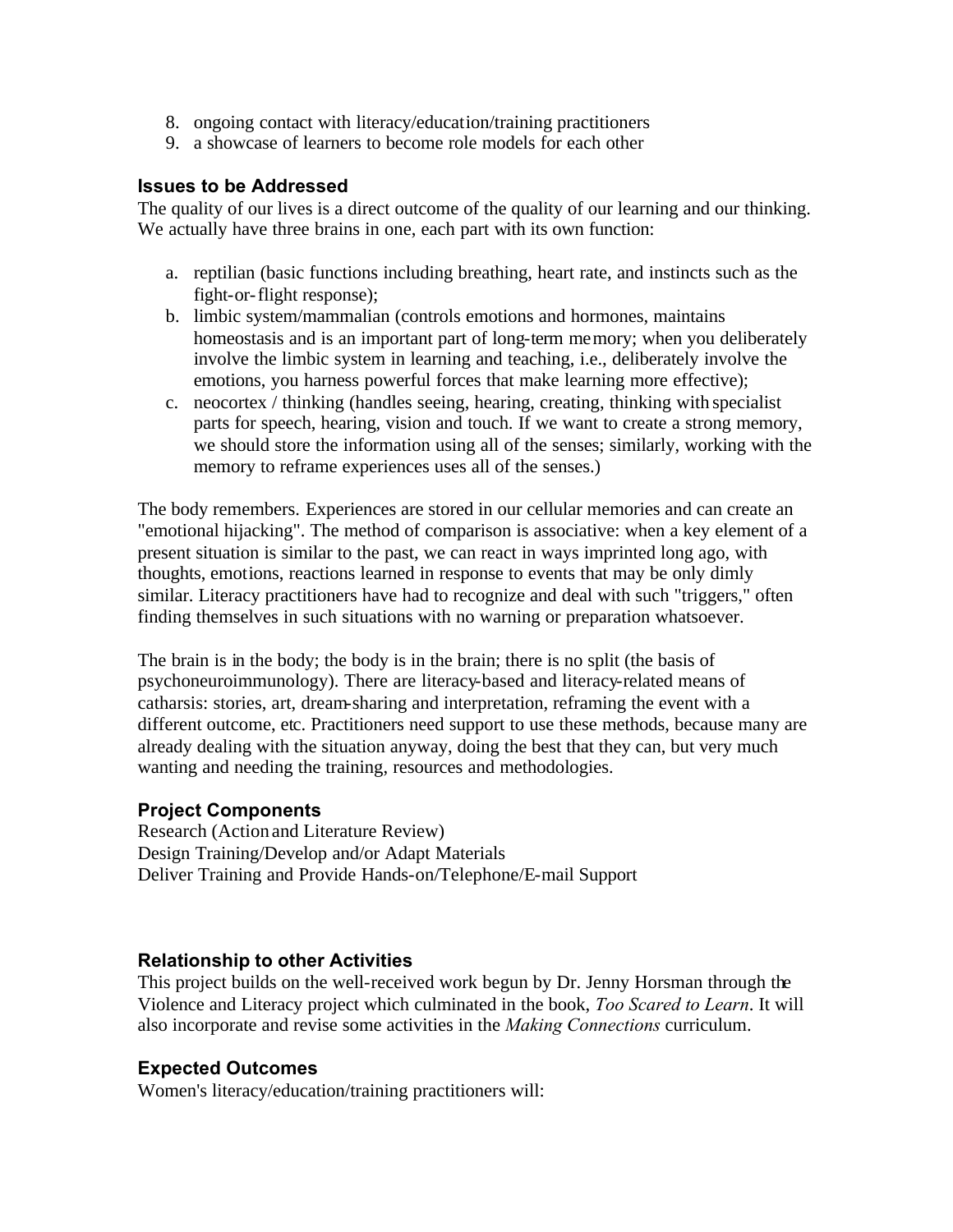- 8. ongoing contact with literacy/education/training practitioners
- 9. a showcase of learners to become role models for each other

#### **Issues to be Addressed**

The quality of our lives is a direct outcome of the quality of our learning and our thinking. We actually have three brains in one, each part with its own function:

- a. reptilian (basic functions including breathing, heart rate, and instincts such as the fight-or-flight response);
- b. limbic system/mammalian (controls emotions and hormones, maintains homeostasis and is an important part of long-term memory; when you deliberately involve the limbic system in learning and teaching, i.e., deliberately involve the emotions, you harness powerful forces that make learning more effective);
- c. neocortex / thinking (handles seeing, hearing, creating, thinking with specialist parts for speech, hearing, vision and touch. If we want to create a strong memory, we should store the information using all of the senses; similarly, working with the memory to reframe experiences uses all of the senses.)

The body remembers. Experiences are stored in our cellular memories and can create an "emotional hijacking". The method of comparison is associative: when a key element of a present situation is similar to the past, we can react in ways imprinted long ago, with thoughts, emotions, reactions learned in response to events that may be only dimly similar. Literacy practitioners have had to recognize and deal with such "triggers," often finding themselves in such situations with no warning or preparation whatsoever.

The brain is in the body; the body is in the brain; there is no split (the basis of psychoneuroimmunology). There are literacy-based and literacy-related means of catharsis: stories, art, dream-sharing and interpretation, reframing the event with a different outcome, etc. Practitioners need support to use these methods, because many are already dealing with the situation anyway, doing the best that they can, but very much wanting and needing the training, resources and methodologies.

### **Project Components**

Research (Action and Literature Review) Design Training/Develop and/or Adapt Materials Deliver Training and Provide Hands-on/Telephone/E-mail Support

### **Relationship to other Activities**

This project builds on the well-received work begun by Dr. Jenny Horsman through the Violence and Literacy project which culminated in the book, *Too Scared to Learn*. It will also incorporate and revise some activities in the *Making Connections* curriculum.

### **Expected Outcomes**

Women's literacy/education/training practitioners will: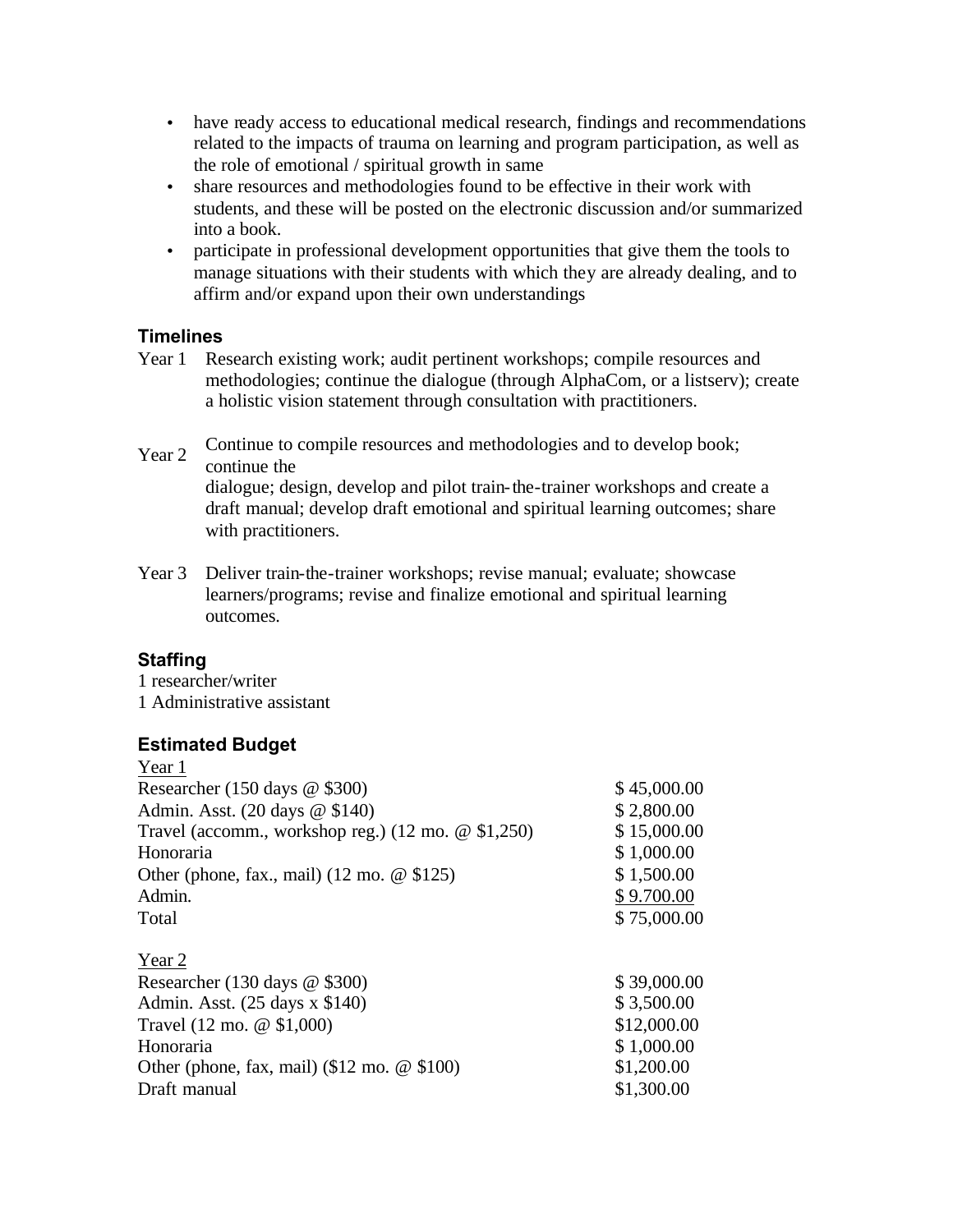- have ready access to educational medical research, findings and recommendations related to the impacts of trauma on learning and program participation, as well as the role of emotional / spiritual growth in same
- share resources and methodologies found to be effective in their work with students, and these will be posted on the electronic discussion and/or summarized into a book.
- participate in professional development opportunities that give them the tools to manage situations with their students with which they are already dealing, and to affirm and/or expand upon their own understandings

### **Timelines**

- Year 1 Research existing work; audit pertinent workshops; compile resources and methodologies; continue the dialogue (through AlphaCom, or a listserv); create a holistic vision statement through consultation with practitioners.
- Year 2 Continue to compile resources and methodologies and to develop book; continue the dialogue; design, develop and pilot train-the-trainer workshops and create a draft manual; develop draft emotional and spiritual learning outcomes; share with practitioners.
- Year 3 Deliver train-the-trainer workshops; revise manual; evaluate; showcase learners/programs; revise and finalize emotional and spiritual learning outcomes.

# **Staffing**

1 researcher/writer 1 Administrative assistant

#### **Estimated Budget**   $V_{\alpha\alpha r}$  1

| I CALI                                                        |             |
|---------------------------------------------------------------|-------------|
| Researcher (150 days $@$ \$300)                               | \$45,000.00 |
| Admin. Asst. (20 days @ \$140)                                | \$2,800.00  |
| Travel (accomm., workshop reg.) $(12 \text{ mo. } @$ \$1,250) | \$15,000.00 |
| Honoraria                                                     | \$1,000.00  |
| Other (phone, fax., mail) $(12 \text{ mo.} \& 125)$           | \$1,500.00  |
| Admin.                                                        | \$9.700.00  |
| Total                                                         | \$75,000.00 |
| Year 2                                                        |             |
| Researcher (130 days $@$ \$300)                               | \$39,000.00 |
| Admin. Asst. $(25 \text{ days } x \text{ $140})$              | \$3,500.00  |
| Travel $(12 \text{ mo. } @$ \$1,000)                          | \$12,000.00 |
| Honoraria                                                     | \$1,000.00  |
| Other (phone, fax, mail) $(\$12 \text{ mo.} \ @ \$100)$       | \$1,200.00  |
| Draft manual                                                  | \$1,300.00  |
|                                                               |             |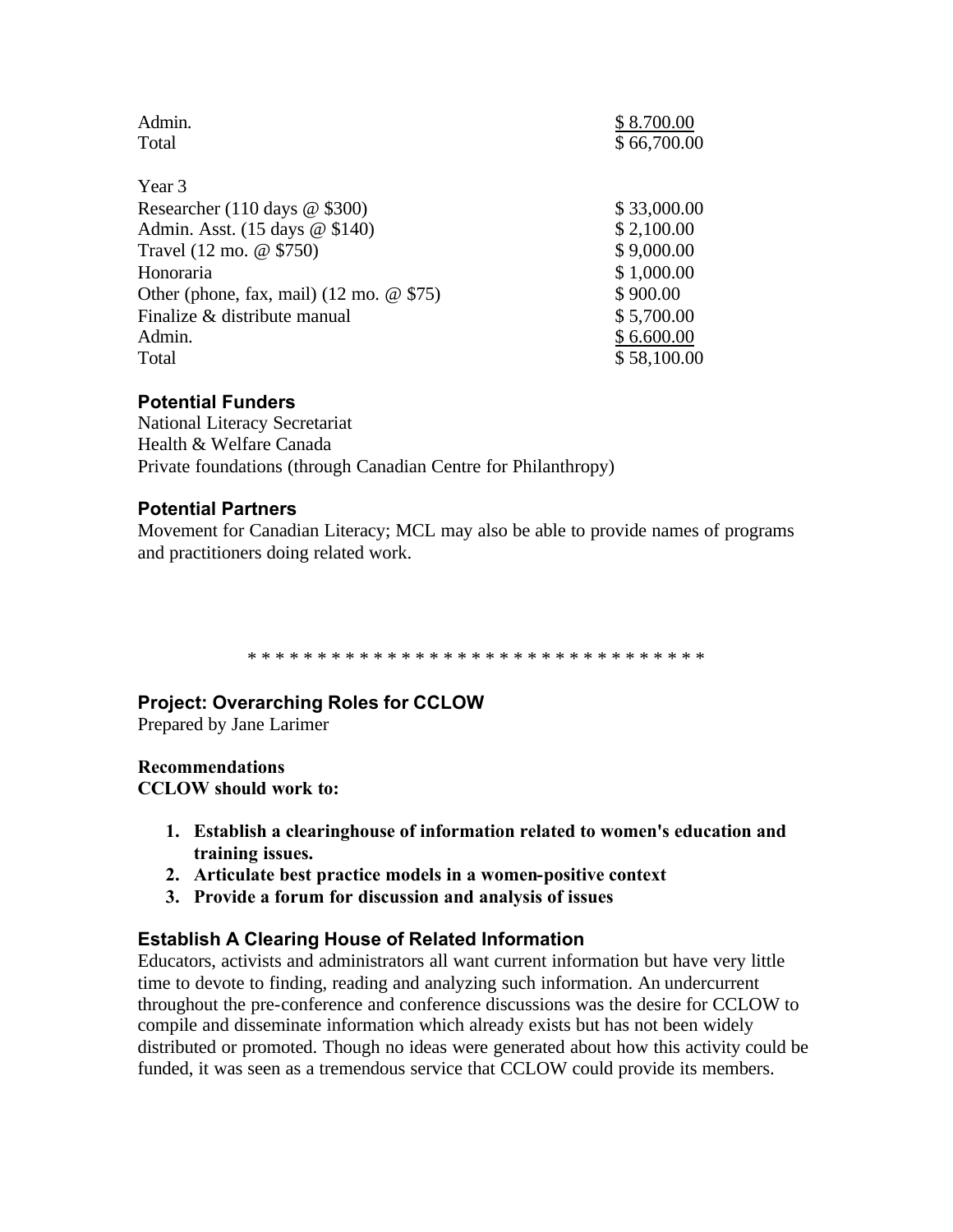<span id="page-49-0"></span>

| Admin.<br>Total                                    | \$8.700.00<br>\$66,700.00 |
|----------------------------------------------------|---------------------------|
| Year 3                                             |                           |
| Researcher (110 days $\omega$ \$300)               | \$33,000.00               |
| Admin. Asst. (15 days @ \$140)                     | \$2,100.00                |
| Travel (12 mo. @ \$750)                            | \$9,000.00                |
| Honoraria                                          | \$1,000.00                |
| Other (phone, fax, mail) $(12 \text{ mo.} \& 575)$ | \$900.00                  |
| Finalize & distribute manual                       | \$5,700.00                |
| Admin.                                             | \$6.600.00                |
| Total                                              | \$58,100.00               |

### **Potential Funders**

National Literacy Secretariat Health & Welfare Canada Private foundations (through Canadian Centre for Philanthropy)

#### **Potential Partners**

Movement for Canadian Literacy; MCL may also be able to provide names of programs and practitioners doing related work.

\* \* \* \* \* \* \* \* \* \* \* \* \* \* \* \* \* \* \* \* \* \* \* \* \* \* \* \* \* \* \* \* \*

#### **Project: Overarching Roles for CCLOW**

Prepared by Jane Larimer

### **Recommendations**

**CCLOW should work to:** 

- **1. Establish a clearinghouse of information related to women's education and training issues.**
- **2. Articulate best practice models in a women-positive context**
- **3. Provide a forum for discussion and analysis of issues**

#### **Establish A Clearing House of Related Information**

Educators, activists and administrators all want current information but have very little time to devote to finding, reading and analyzing such information. An undercurrent throughout the pre-conference and conference discussions was the desire for CCLOW to compile and disseminate information which already exists but has not been widely distributed or promoted. Though no ideas were generated about how this activity could be funded, it was seen as a tremendous service that CCLOW could provide its members.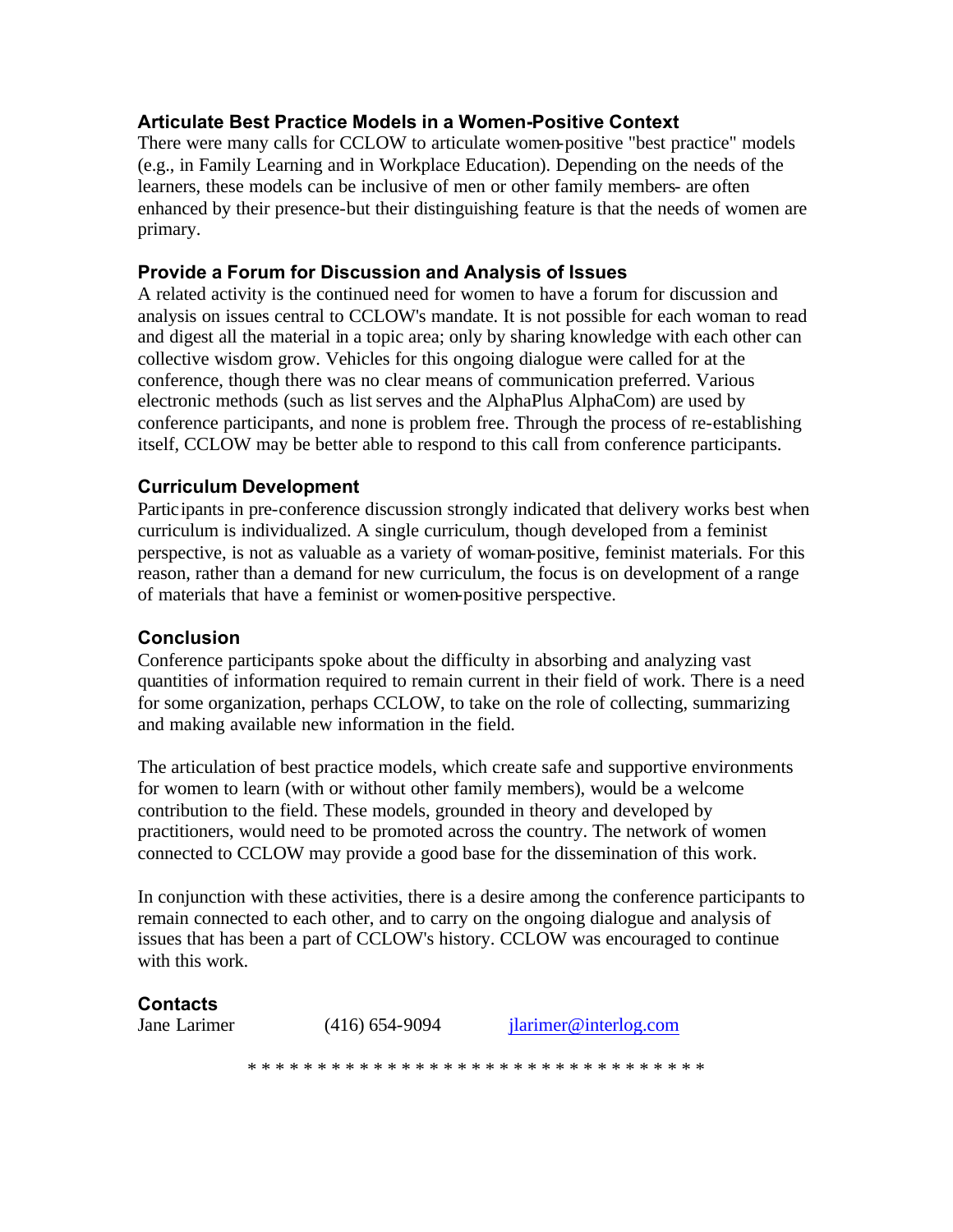### **Articulate Best Practice Models in a Women-Positive Context**

There were many calls for CCLOW to articulate women-positive "best practice" models (e.g., in Family Learning and in Workplace Education). Depending on the needs of the learners, these models can be inclusive of men or other family members- are often enhanced by their presence-but their distinguishing feature is that the needs of women are primary.

### **Provide a Forum for Discussion and Analysis of Issues**

A related activity is the continued need for women to have a forum for discussion and analysis on issues central to CCLOW's mandate. It is not possible for each woman to read and digest all the material in a topic area; only by sharing knowledge with each other can collective wisdom grow. Vehicles for this ongoing dialogue were called for at the conference, though there was no clear means of communication preferred. Various electronic methods (such as list serves and the AlphaPlus AlphaCom) are used by conference participants, and none is problem free. Through the process of re-establishing itself, CCLOW may be better able to respond to this call from conference participants.

## **Curriculum Development**

Participants in pre-conference discussion strongly indicated that delivery works best when curriculum is individualized. A single curriculum, though developed from a feminist perspective, is not as valuable as a variety of woman-positive, feminist materials. For this reason, rather than a demand for new curriculum, the focus is on development of a range of materials that have a feminist or women-positive perspective.

### **Conclusion**

Conference participants spoke about the difficulty in absorbing and analyzing vast quantities of information required to remain current in their field of work. There is a need for some organization, perhaps CCLOW, to take on the role of collecting, summarizing and making available new information in the field.

The articulation of best practice models, which create safe and supportive environments for women to learn (with or without other family members), would be a welcome contribution to the field. These models, grounded in theory and developed by practitioners, would need to be promoted across the country. The network of women connected to CCLOW may provide a good base for the dissemination of this work.

In conjunction with these activities, there is a desire among the conference participants to remain connected to each other, and to carry on the ongoing dialogue and analysis of issues that has been a part of CCLOW's history. CCLOW was encouraged to continue with this work.

### **Contacts**

Jane Larimer (416) 654-9094 jlarimer@interlog.com \* \* \* \* \* \* \* \* \* \* \* \* \* \* \* \* \* \* \* \* \* \* \* \* \* \* \* \* \* \* \* \* \*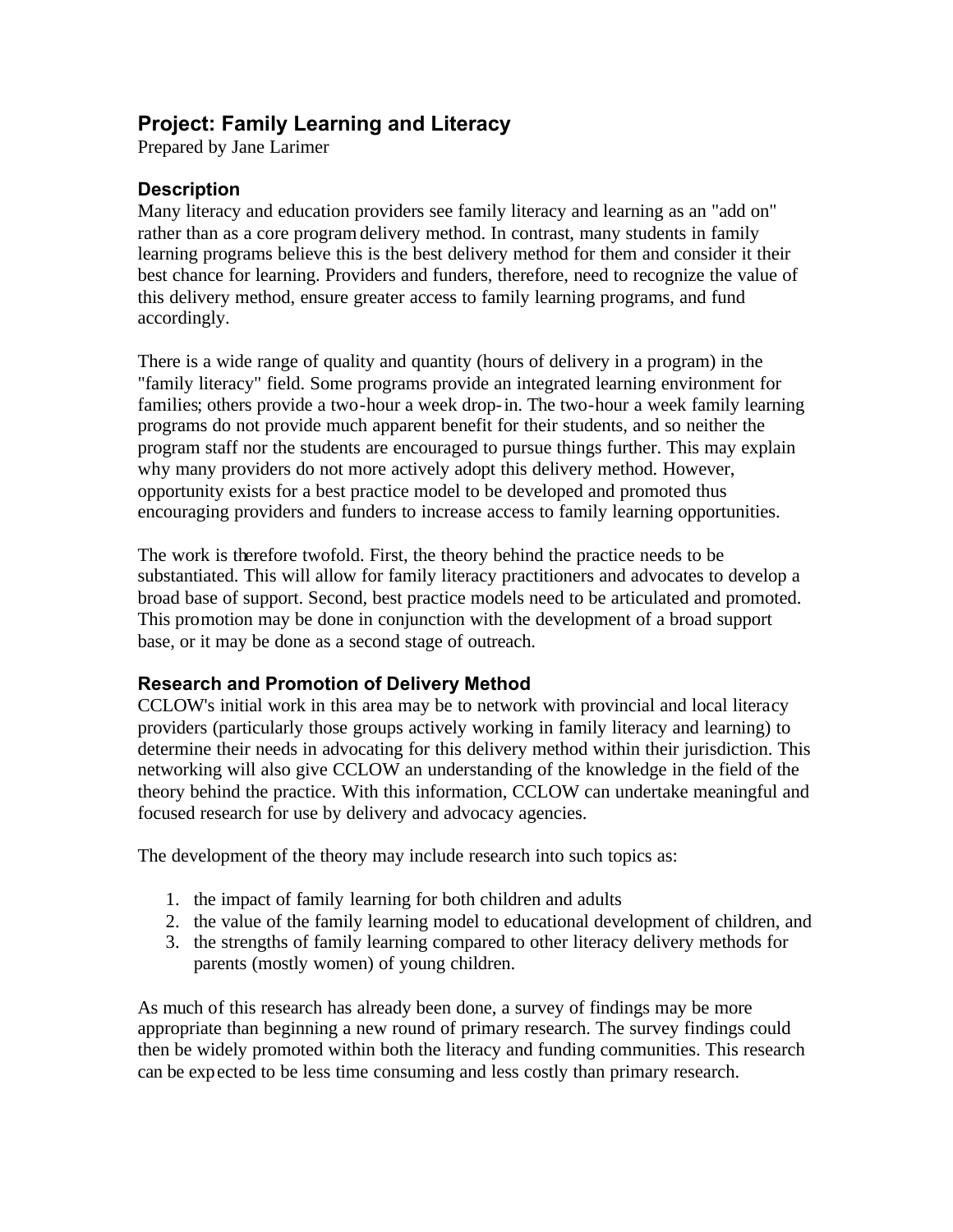# <span id="page-51-0"></span>**Project: Family Learning and Literacy**

Prepared by Jane Larimer

## **Description**

Many literacy and education providers see family literacy and learning as an "add on" rather than as a core program delivery method. In contrast, many students in family learning programs believe this is the best delivery method for them and consider it their best chance for learning. Providers and funders, therefore, need to recognize the value of this delivery method, ensure greater access to family learning programs, and fund accordingly.

There is a wide range of quality and quantity (hours of delivery in a program) in the "family literacy" field. Some programs provide an integrated learning environment for families; others provide a two-hour a week drop-in. The two-hour a week family learning programs do not provide much apparent benefit for their students, and so neither the program staff nor the students are encouraged to pursue things further. This may explain why many providers do not more actively adopt this delivery method. However, opportunity exists for a best practice model to be developed and promoted thus encouraging providers and funders to increase access to family learning opportunities.

The work is therefore twofold. First, the theory behind the practice needs to be substantiated. This will allow for family literacy practitioners and advocates to develop a broad base of support. Second, best practice models need to be articulated and promoted. This promotion may be done in conjunction with the development of a broad support base, or it may be done as a second stage of outreach.

### **Research and Promotion of Delivery Method**

CCLOW's initial work in this area may be to network with provincial and local literacy providers (particularly those groups actively working in family literacy and learning) to determine their needs in advocating for this delivery method within their jurisdiction. This networking will also give CCLOW an understanding of the knowledge in the field of the theory behind the practice. With this information, CCLOW can undertake meaningful and focused research for use by delivery and advocacy agencies.

The development of the theory may include research into such topics as:

- 1. the impact of family learning for both children and adults
- 2. the value of the family learning model to educational development of children, and
- 3. the strengths of family learning compared to other literacy delivery methods for parents (mostly women) of young children.

As much of this research has already been done, a survey of findings may be more appropriate than beginning a new round of primary research. The survey findings could then be widely promoted within both the literacy and funding communities. This research can be expected to be less time consuming and less costly than primary research.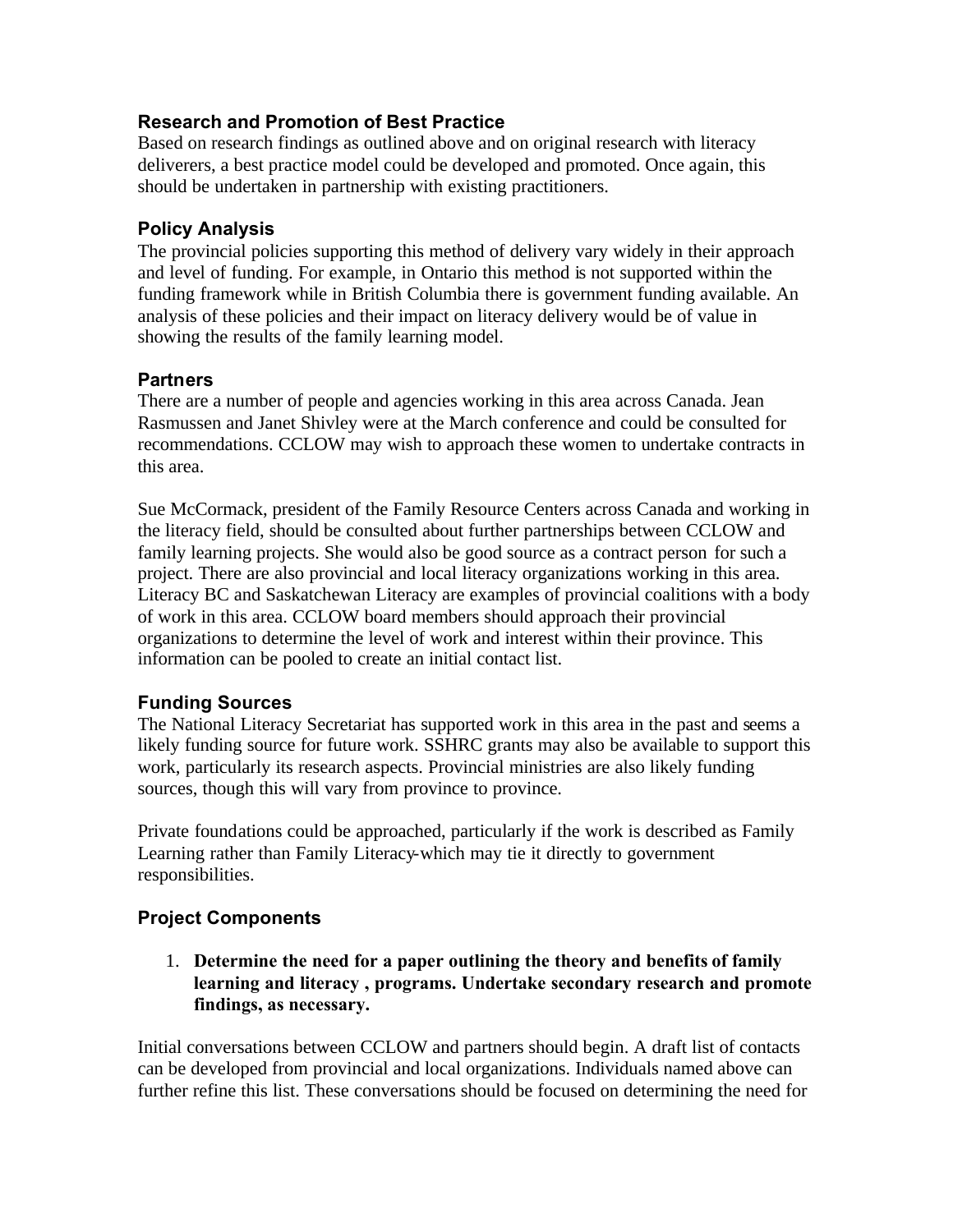# **Research and Promotion of Best Practice**

Based on research findings as outlined above and on original research with literacy deliverers, a best practice model could be developed and promoted. Once again, this should be undertaken in partnership with existing practitioners.

## **Policy Analysis**

The provincial policies supporting this method of delivery vary widely in their approach and level of funding. For example, in Ontario this method is not supported within the funding framework while in British Columbia there is government funding available. An analysis of these policies and their impact on literacy delivery would be of value in showing the results of the family learning model.

## **Partners**

There are a number of people and agencies working in this area across Canada. Jean Rasmussen and Janet Shivley were at the March conference and could be consulted for recommendations. CCLOW may wish to approach these women to undertake contracts in this area.

Sue McCormack, president of the Family Resource Centers across Canada and working in the literacy field, should be consulted about further partnerships between CCLOW and family learning projects. She would also be good source as a contract person for such a project. There are also provincial and local literacy organizations working in this area. Literacy BC and Saskatchewan Literacy are examples of provincial coalitions with a body of work in this area. CCLOW board members should approach their provincial organizations to determine the level of work and interest within their province. This information can be pooled to create an initial contact list.

# **Funding Sources**

The National Literacy Secretariat has supported work in this area in the past and seems a likely funding source for future work. SSHRC grants may also be available to support this work, particularly its research aspects. Provincial ministries are also likely funding sources, though this will vary from province to province.

Private foundations could be approached, particularly if the work is described as Family Learning rather than Family Literacy-which may tie it directly to government responsibilities.

# **Project Components**

1. **Determine the need for a paper outlining the theory and benefits of family learning and literacy , programs. Undertake secondary research and promote findings, as necessary.**

Initial conversations between CCLOW and partners should begin. A draft list of contacts can be developed from provincial and local organizations. Individuals named above can further refine this list. These conversations should be focused on determining the need for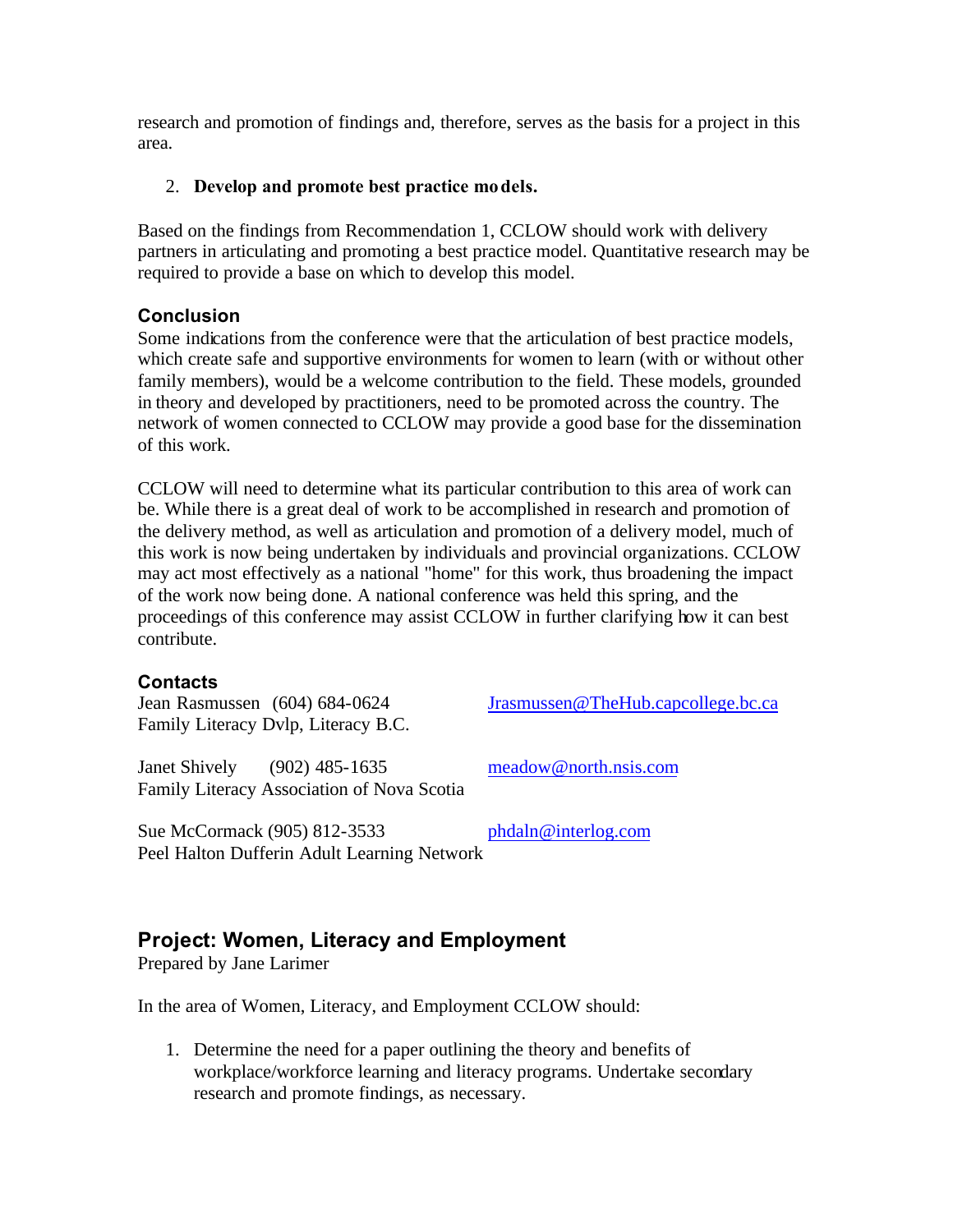<span id="page-53-0"></span>research and promotion of findings and, therefore, serves as the basis for a project in this area.

#### 2. **Develop and promote best practice models.**

Based on the findings from Recommendation 1, CCLOW should work with delivery partners in articulating and promoting a best practice model. Quantitative research may be required to provide a base on which to develop this model.

### **Conclusion**

Some indications from the conference were that the articulation of best practice models, which create safe and supportive environments for women to learn (with or without other family members), would be a welcome contribution to the field. These models, grounded in theory and developed by practitioners, need to be promoted across the country. The network of women connected to CCLOW may provide a good base for the dissemination of this work.

CCLOW will need to determine what its particular contribution to this area of work can be. While there is a great deal of work to be accomplished in research and promotion of the delivery method, as well as articulation and promotion of a delivery model, much of this work is now being undertaken by individuals and provincial organizations. CCLOW may act most effectively as a national "home" for this work, thus broadening the impact of the work now being done. A national conference was held this spring, and the proceedings of this conference may assist CCLOW in further clarifying how it can best contribute.

### **Contacts**

Family Literacy Dvlp, Literacy B.C.

Janet Shively (902) 485-1635 meadow@north.nsis.com Family Literacy Association of Nova Scotia

Jean Rasmussen (604) 684-0624 Jrasmussen@TheHub.capcollege.bc.ca

Sue McCormack (905) 812-3533 phdaln@interlog.com Peel Halton Dufferin Adult Learning Network

# **Project: Women, Literacy and Employment**

Prepared by Jane Larimer

In the area of Women, Literacy, and Employment CCLOW should:

1. Determine the need for a paper outlining the theory and benefits of workplace/workforce learning and literacy programs. Undertake secondary research and promote findings, as necessary.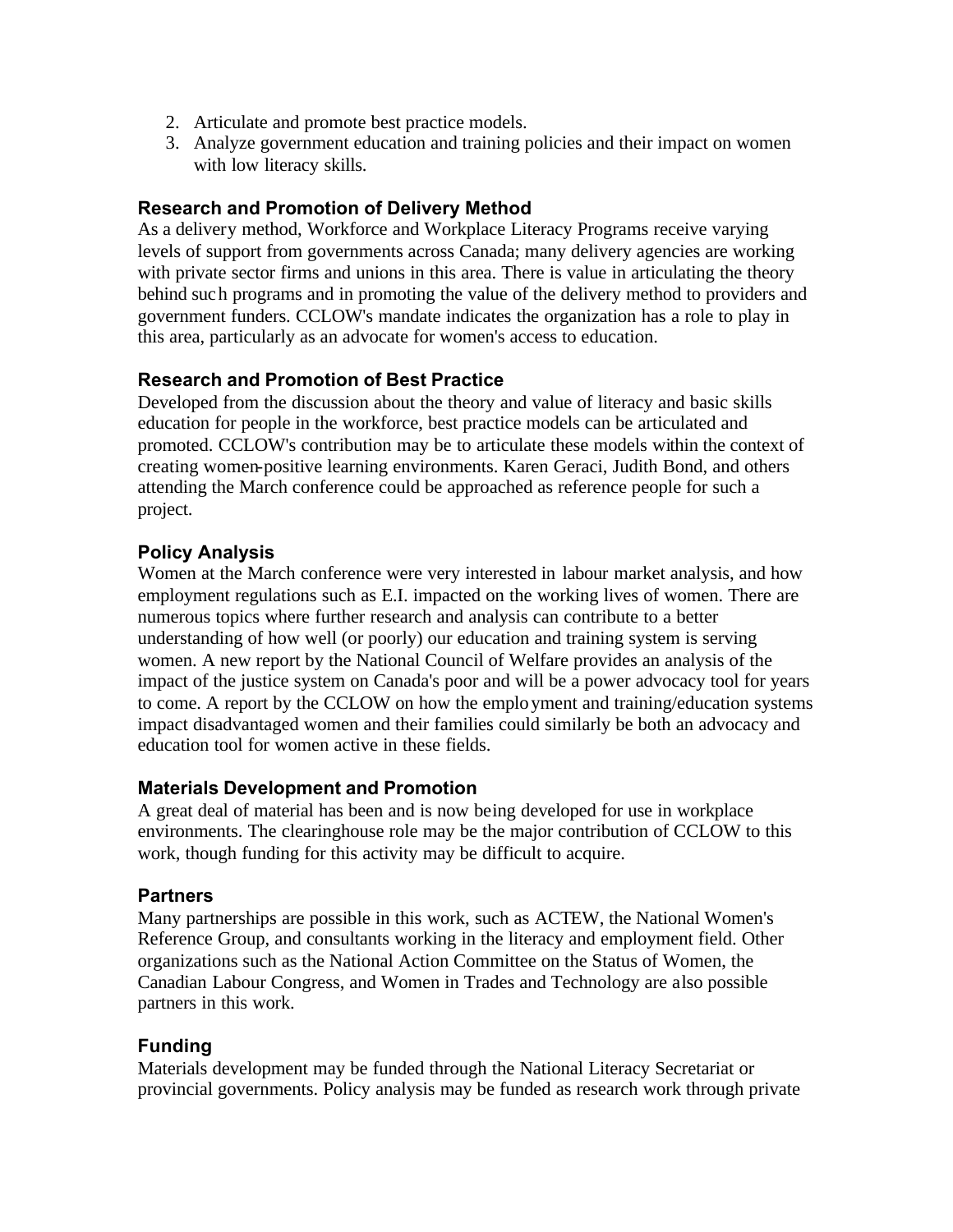- 2. Articulate and promote best practice models.
- 3. Analyze government education and training policies and their impact on women with low literacy skills.

### **Research and Promotion of Delivery Method**

As a delivery method, Workforce and Workplace Literacy Programs receive varying levels of support from governments across Canada; many delivery agencies are working with private sector firms and unions in this area. There is value in articulating the theory behind such programs and in promoting the value of the delivery method to providers and government funders. CCLOW's mandate indicates the organization has a role to play in this area, particularly as an advocate for women's access to education.

# **Research and Promotion of Best Practice**

Developed from the discussion about the theory and value of literacy and basic skills education for people in the workforce, best practice models can be articulated and promoted. CCLOW's contribution may be to articulate these models within the context of creating women-positive learning environments. Karen Geraci, Judith Bond, and others attending the March conference could be approached as reference people for such a project.

# **Policy Analysis**

Women at the March conference were very interested in labour market analysis, and how employment regulations such as E.I. impacted on the working lives of women. There are numerous topics where further research and analysis can contribute to a better understanding of how well (or poorly) our education and training system is serving women. A new report by the National Council of Welfare provides an analysis of the impact of the justice system on Canada's poor and will be a power advocacy tool for years to come. A report by the CCLOW on how the employment and training/education systems impact disadvantaged women and their families could similarly be both an advocacy and education tool for women active in these fields.

### **Materials Development and Promotion**

A great deal of material has been and is now being developed for use in workplace environments. The clearinghouse role may be the major contribution of CCLOW to this work, though funding for this activity may be difficult to acquire.

### **Partners**

Many partnerships are possible in this work, such as ACTEW, the National Women's Reference Group, and consultants working in the literacy and employment field. Other organizations such as the National Action Committee on the Status of Women, the Canadian Labour Congress, and Women in Trades and Technology are also possible partners in this work.

# **Funding**

Materials development may be funded through the National Literacy Secretariat or provincial governments. Policy analysis may be funded as research work through private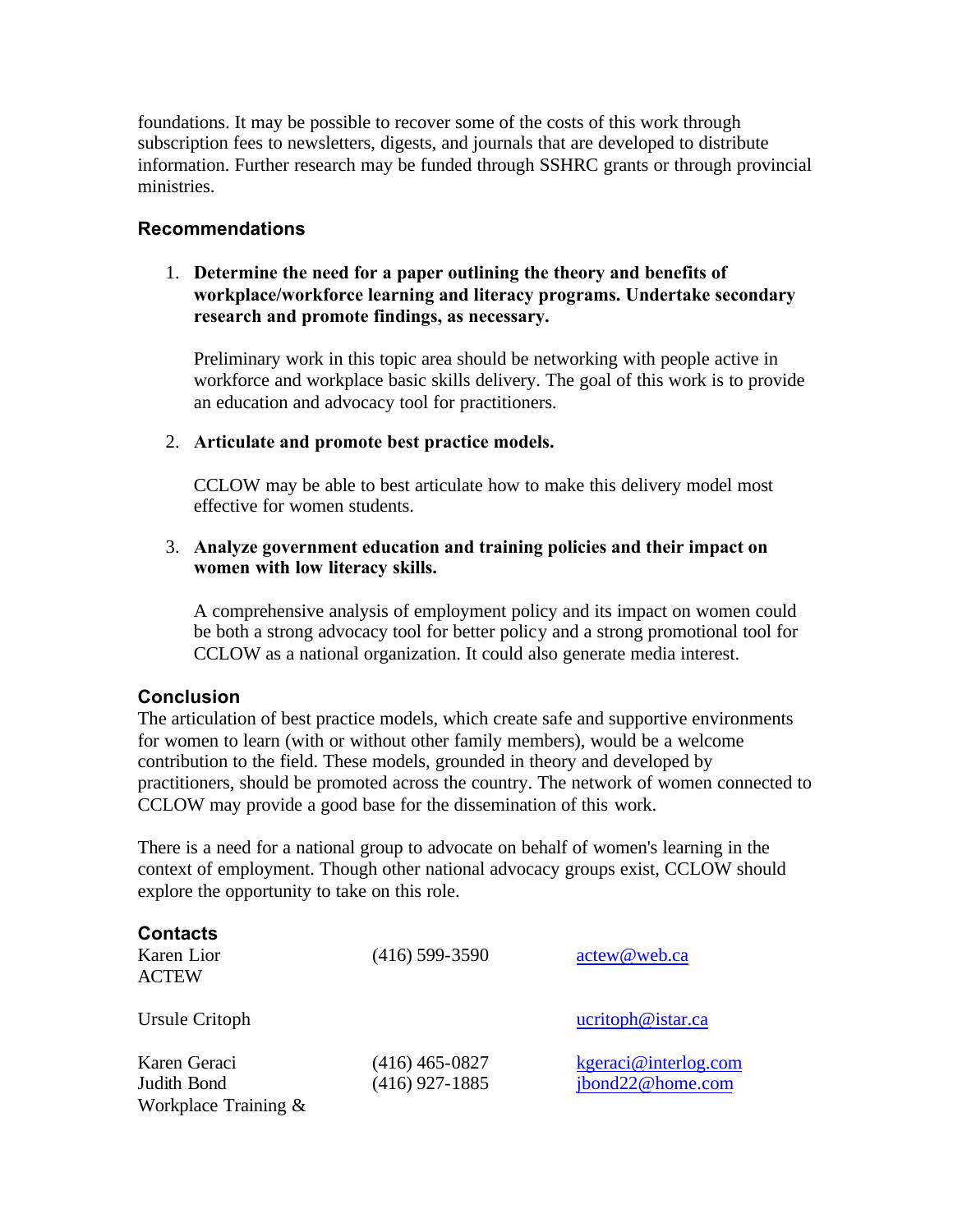foundations. It may be possible to recover some of the costs of this work through subscription fees to newsletters, digests, and journals that are developed to distribute information. Further research may be funded through SSHRC grants or through provincial ministries.

### **Recommendations**

#### 1. **Determine the need for a paper outlining the theory and benefits of workplace/workforce learning and literacy programs. Undertake secondary research and promote findings, as necessary.**

Preliminary work in this topic area should be networking with people active in workforce and workplace basic skills delivery. The goal of this work is to provide an education and advocacy tool for practitioners.

#### 2. **Articulate and promote best practice models.**

CCLOW may be able to best articulate how to make this delivery model most effective for women students.

#### 3. **Analyze government education and training policies and their impact on women with low literacy skills.**

A comprehensive analysis of employment policy and its impact on women could be both a strong advocacy tool for better policy and a strong promotional tool for CCLOW as a national organization. It could also generate media interest.

### **Conclusion**

The articulation of best practice models, which create safe and supportive environments for women to learn (with or without other family members), would be a welcome contribution to the field. These models, grounded in theory and developed by practitioners, should be promoted across the country. The network of women connected to CCLOW may provide a good base for the dissemination of this work.

There is a need for a national group to advocate on behalf of women's learning in the context of employment. Though other national advocacy groups exist, CCLOW should explore the opportunity to take on this role.

| <b>Contacts</b><br>Karen Lior<br><b>ACTEW</b>          | $(416)$ 599-3590                     | actew@web.ca                             |
|--------------------------------------------------------|--------------------------------------|------------------------------------------|
| Ursule Critoph                                         |                                      | ucritoph@istar.ca                        |
| Karen Geraci<br>Judith Bond<br>Workplace Training $\&$ | $(416)$ 465-0827<br>$(416)$ 927-1885 | kgeraci@interlog.com<br>jbond22@home.com |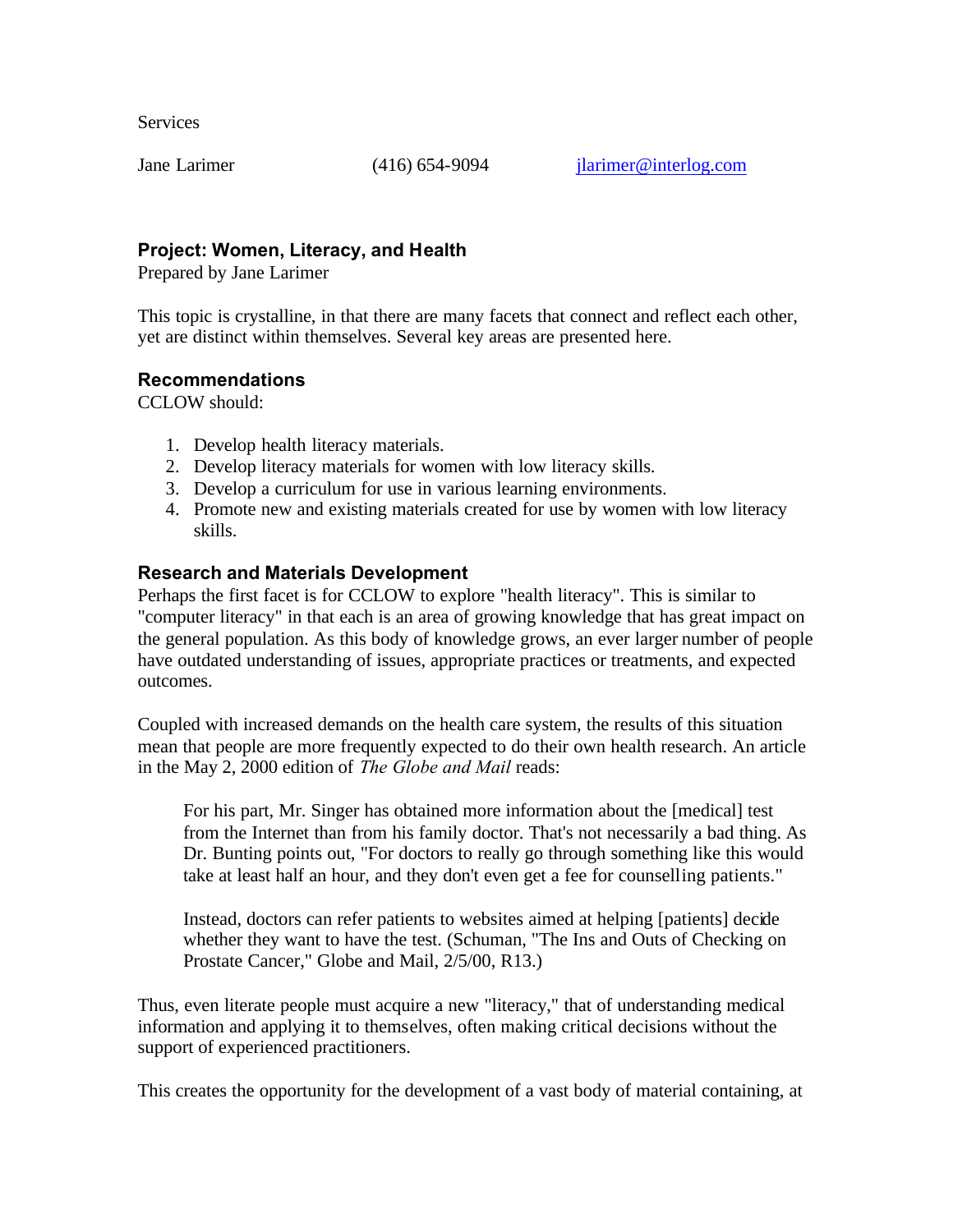<span id="page-56-0"></span>**Services** 

Jane Larimer (416) 654-9094 jlarimer@interlog.com

## **Project: Women, Literacy, and Health**

Prepared by Jane Larimer

This topic is crystalline, in that there are many facets that connect and reflect each other, yet are distinct within themselves. Several key areas are presented here.

## **Recommendations**

CCLOW should:

- 1. Develop health literacy materials.
- 2. Develop literacy materials for women with low literacy skills.
- 3. Develop a curriculum for use in various learning environments.
- 4. Promote new and existing materials created for use by women with low literacy skills.

### **Research and Materials Development**

Perhaps the first facet is for CCLOW to explore "health literacy". This is similar to "computer literacy" in that each is an area of growing knowledge that has great impact on the general population. As this body of knowledge grows, an ever larger number of people have outdated understanding of issues, appropriate practices or treatments, and expected outcomes.

Coupled with increased demands on the health care system, the results of this situation mean that people are more frequently expected to do their own health research. An article in the May 2, 2000 edition of *The Globe and Mail* reads:

For his part, Mr. Singer has obtained more information about the [medical] test from the Internet than from his family doctor. That's not necessarily a bad thing. As Dr. Bunting points out, "For doctors to really go through something like this would take at least half an hour, and they don't even get a fee for counselling patients."

Instead, doctors can refer patients to websites aimed at helping [patients] decide whether they want to have the test. (Schuman, "The Ins and Outs of Checking on Prostate Cancer," Globe and Mail, 2/5/00, R13.)

Thus, even literate people must acquire a new "literacy," that of understanding medical information and applying it to themselves, often making critical decisions without the support of experienced practitioners.

This creates the opportunity for the development of a vast body of material containing, at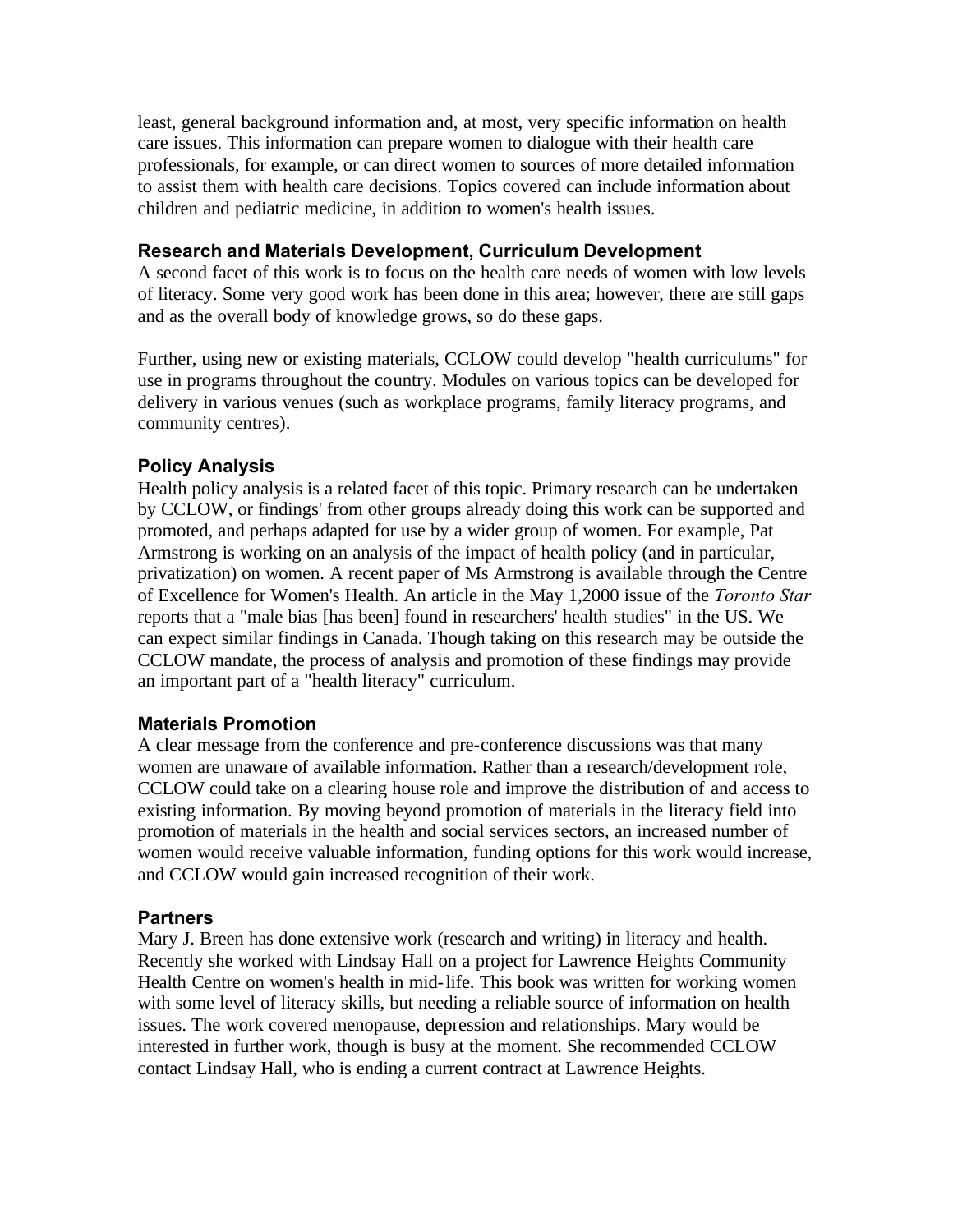least, general background information and, at most, very specific information on health care issues. This information can prepare women to dialogue with their health care professionals, for example, or can direct women to sources of more detailed information to assist them with health care decisions. Topics covered can include information about children and pediatric medicine, in addition to women's health issues.

#### **Research and Materials Development, Curriculum Development**

A second facet of this work is to focus on the health care needs of women with low levels of literacy. Some very good work has been done in this area; however, there are still gaps and as the overall body of knowledge grows, so do these gaps.

Further, using new or existing materials, CCLOW could develop "health curriculums" for use in programs throughout the country. Modules on various topics can be developed for delivery in various venues (such as workplace programs, family literacy programs, and community centres).

## **Policy Analysis**

Health policy analysis is a related facet of this topic. Primary research can be undertaken by CCLOW, or findings' from other groups already doing this work can be supported and promoted, and perhaps adapted for use by a wider group of women. For example, Pat Armstrong is working on an analysis of the impact of health policy (and in particular, privatization) on women. A recent paper of Ms Armstrong is available through the Centre of Excellence for Women's Health. An article in the May 1,2000 issue of the *Toronto Star*  reports that a "male bias [has been] found in researchers' health studies" in the US. We can expect similar findings in Canada. Though taking on this research may be outside the CCLOW mandate, the process of analysis and promotion of these findings may provide an important part of a "health literacy" curriculum.

### **Materials Promotion**

A clear message from the conference and pre-conference discussions was that many women are unaware of available information. Rather than a research/development role, CCLOW could take on a clearing house role and improve the distribution of and access to existing information. By moving beyond promotion of materials in the literacy field into promotion of materials in the health and social services sectors, an increased number of women would receive valuable information, funding options for this work would increase, and CCLOW would gain increased recognition of their work.

### **Partners**

Mary J. Breen has done extensive work (research and writing) in literacy and health. Recently she worked with Lindsay Hall on a project for Lawrence Heights Community Health Centre on women's health in mid-life. This book was written for working women with some level of literacy skills, but needing a reliable source of information on health issues. The work covered menopause, depression and relationships. Mary would be interested in further work, though is busy at the moment. She recommended CCLOW contact Lindsay Hall, who is ending a current contract at Lawrence Heights.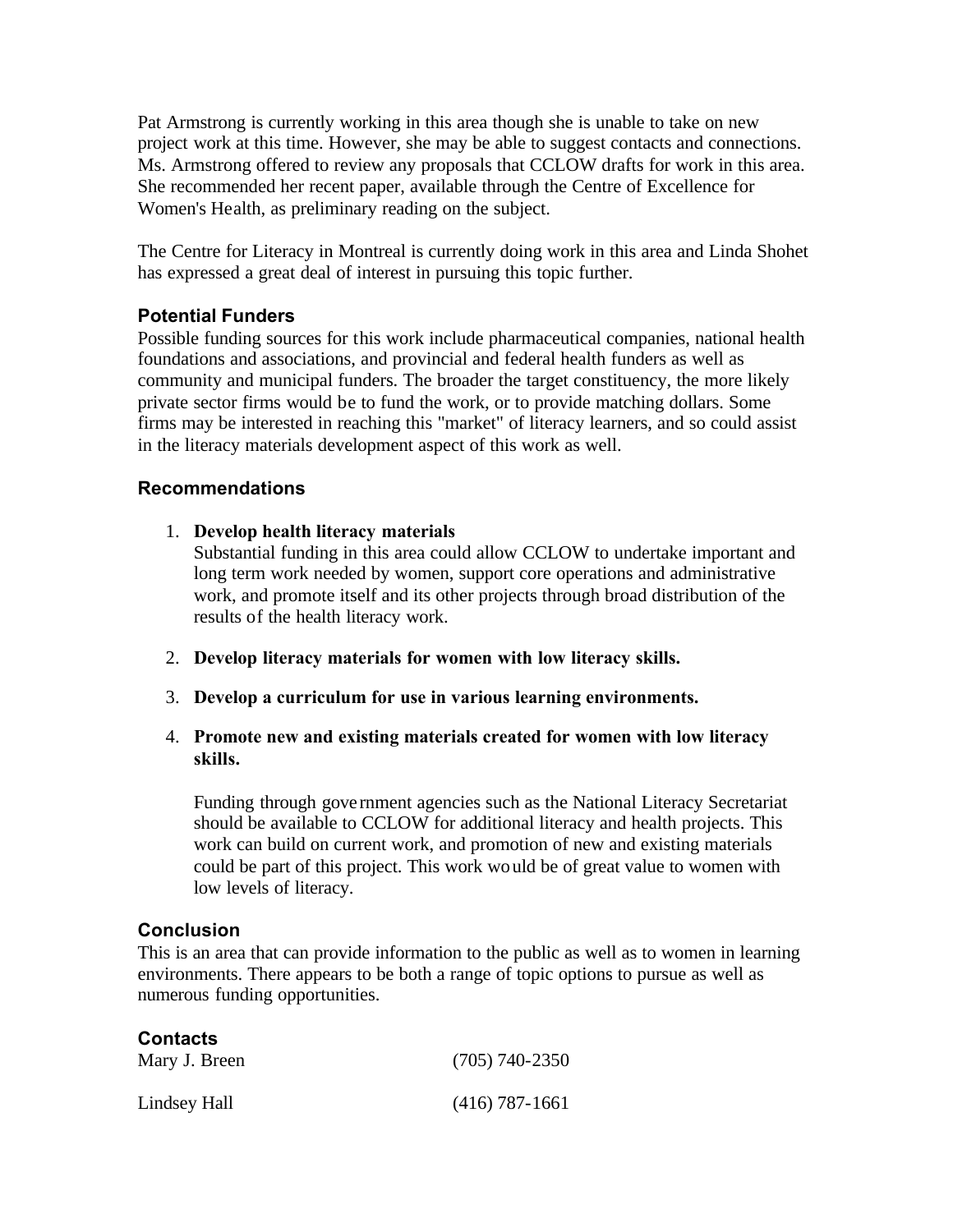Pat Armstrong is currently working in this area though she is unable to take on new project work at this time. However, she may be able to suggest contacts and connections. Ms. Armstrong offered to review any proposals that CCLOW drafts for work in this area. She recommended her recent paper, available through the Centre of Excellence for Women's Health, as preliminary reading on the subject.

The Centre for Literacy in Montreal is currently doing work in this area and Linda Shohet has expressed a great deal of interest in pursuing this topic further.

## **Potential Funders**

Possible funding sources for this work include pharmaceutical companies, national health foundations and associations, and provincial and federal health funders as well as community and municipal funders. The broader the target constituency, the more likely private sector firms would be to fund the work, or to provide matching dollars. Some firms may be interested in reaching this "market" of literacy learners, and so could assist in the literacy materials development aspect of this work as well.

## **Recommendations**

1. **Develop health literacy materials**

Substantial funding in this area could allow CCLOW to undertake important and long term work needed by women, support core operations and administrative work, and promote itself and its other projects through broad distribution of the results of the health literacy work.

- 2. **Develop literacy materials for women with low literacy skills.**
- 3. **Develop a curriculum for use in various learning environments.**

### 4. **Promote new and existing materials created for women with low literacy skills.**

Funding through government agencies such as the National Literacy Secretariat should be available to CCLOW for additional literacy and health projects. This work can build on current work, and promotion of new and existing materials could be part of this project. This work would be of great value to women with low levels of literacy.

### **Conclusion**

This is an area that can provide information to the public as well as to women in learning environments. There appears to be both a range of topic options to pursue as well as numerous funding opportunities.

| <b>Contacts</b> |                  |
|-----------------|------------------|
| Mary J. Breen   | $(705)$ 740-2350 |
| Lindsey Hall    | $(416)$ 787-1661 |